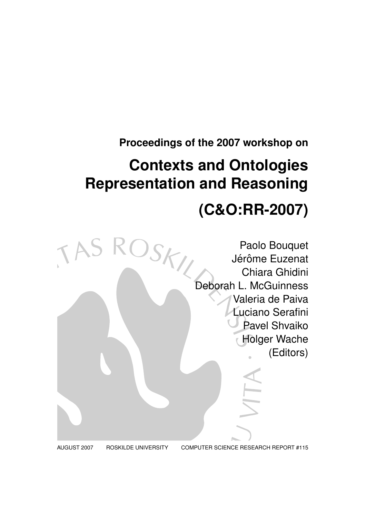## **Proceedings of the 2007 workshop on**

# **Contexts and Ontologies Representation and Reasoning**

# **(C&O:RR-2007)**



AUGUST 2007 ROSKILDE UNIVERSITY COMPUTER SCIENCE RESEARCH REPORT #115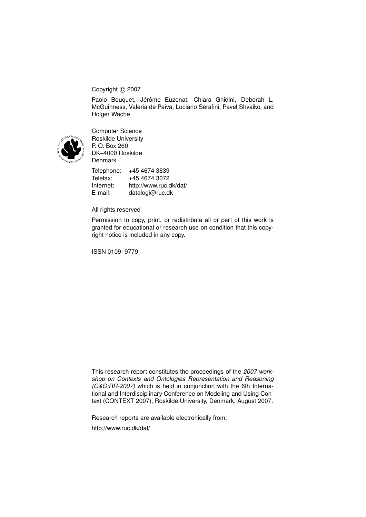### Copyright © 2007

Paolo Bouquet, Jérôme Euzenat, Chiara Ghidini, Deborah L. McGuinness, Valeria de Paiva, Luciano Serafini, Pavel Shvaiko, and Holger Wache



Computer Science Roskilde University P. O. Box 260 DK–4000 Roskilde Denmark

Telephone: +45 4674 3839 Telefax: +45 4674 3072 Internet: http://www.ruc.dk/dat/ E-mail: datalogi@ruc.dk

#### All rights reserved

Permission to copy, print, or redistribute all or part of this work is granted for educational or research use on condition that this copyright notice is included in any copy.

ISSN 0109–9779

This research report constitutes the proceedings of the *2007 workshop on Contexts and Ontologies Representation and Reasoning (C&O:RR-2007)* which is held in conjunction with the 6th International and Interdisciplinary Conference on Modeling and Using Context (CONTEXT 2007), Roskilde University, Denmark, August 2007.

Research reports are available electronically from:

http://www.ruc.dk/dat/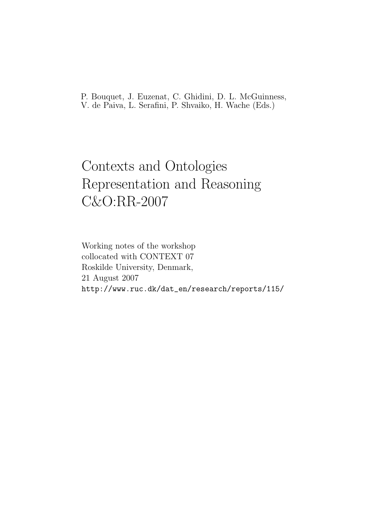P. Bouquet, J. Euzenat, C. Ghidini, D. L. McGuinness, V. de Paiva, L. Serafini, P. Shvaiko, H. Wache (Eds.)

## Contexts and Ontologies Representation and Reasoning C&O:RR-2007

Working notes of the workshop collocated with CONTEXT 07 Roskilde University, Denmark, 21 August 2007 http://www.ruc.dk/dat\_en/research/reports/115/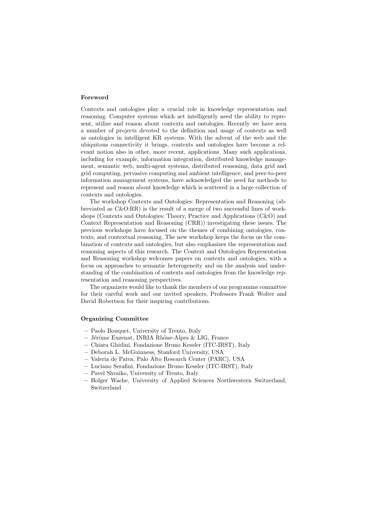#### **Foreword**

Contexts and ontologies play a crucial role in knowledge representation and reasoning. Computer systems which act intelligently need the ability to represent, utilize and reason about contexts and ontologies. Recently we have seen a number of projects devoted to the definition and usage of contexts as well as ontologies in intelligent KR systems. With the advent of the web and the ubiquitous connectivity it brings, contexts and ontologies have become a relevant notion also in other, more recent, applications. Many such applications, including for example, information integration, distributed knowledge management, semantic web, multi-agent systems, distributed reasoning, data grid and grid computing, pervasive computing and ambient intelligence, and peer-to-peer information management systems, have acknowledged the need for methods to represent and reason about knowledge which is scattered in a large collection of contexts and ontologies.

The workshop Contexts and Ontologies: Representation and Reasoning (abbreviated as C&O:RR) is the result of a merge of two successful lines of workshops (Contexts and Ontologies: Theory, Practice and Applications (C&O) and Context Representation and Reasoning (CRR)) investigating these issues. The previous workshops have focused on the themes of combining ontologies, contexts, and contextual reasoning. The new workshop keeps the focus on the combination of contexts and ontologies, but also emphasizes the representation and reasoning aspects of this research. The Context and Ontologies Representation and Reasoning workshop welcomes papers on contexts and ontologies, with a focus on approaches to semantic heterogeneity and on the analysis and understanding of the combination of contexts and ontologies from the knowledge representation and reasoning perspectives.

The organizers would like to thank the members of our programme committee for their careful work and our invited speakers, Professors Frank Wolter and David Robertson for their inspiring contributions.

#### **Organizing Committee**

- **–** Paolo Bouquet, University of Trento, Italy
- **–** J´erˆome Euzenat, INRIA Rhˆone-Alpes & LIG, France
- **–** Chiara Ghidini, Fondazione Bruno Kessler (ITC-IRST), Italy
- **–** Deborah L. McGuinness, Stanford University, USA
- **–** Valeria de Paiva, Palo Alto Research Center (PARC), USA
- **–** Luciano Serafini, Fondazione Bruno Kessler (ITC-IRST), Italy
- **–** Pavel Shvaiko, University of Trento, Italy
- **–** Holger Wache, University of Applied Sciences Northwestern Switzerland, Switzerland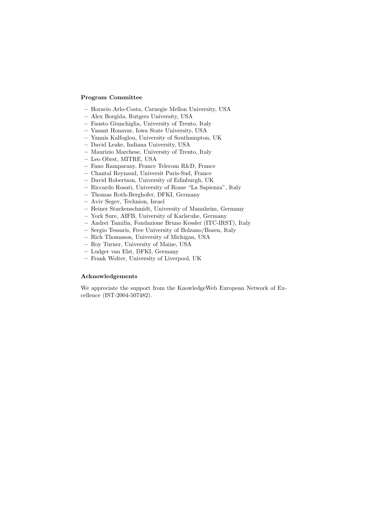#### **Program Committee**

- **–** Horacio Arlo-Costa, Carnegie Mellon University, USA
- **–** Alex Borgida, Rutgers University, USA
- **–** Fausto Giunchiglia, University of Trento, Italy
- **–** Vasant Honavar, Iowa State University, USA
- **–** Yannis Kalfoglou, University of Southampton, UK
- **–** David Leake, Indiana University, USA
- **–** Maurizio Marchese, University of Trento, Italy
- **–** Leo Obrst, MITRE, USA
- **–** Fano Ramparany, France Telecom R&D, France
- **–** Chantal Reynaud, Universit Paris-Sud, France
- **–** David Robertson, University of Edinburgh, UK
- **–** Riccardo Rosati, University of Rome "La Sapienza", Italy
- **–** Thomas Roth-Berghofer, DFKI, Germany
- **–** Aviv Segev, Technion, Israel
- **–** Heiner Stuckenschmidt, University of Mannheim, Germany
- **–** York Sure, AIFB, University of Karlsruhe, Germany
- **–** Andrei Tamilin, Fondazione Bruno Kessler (ITC-IRST), Italy
- **–** Sergio Tessaris, Free University of Bolzano/Bozen, Italy
- **–** Rich Thomason, University of Michigan, USA
- **–** Roy Turner, University of Maine, USA
- **–** Ludger van Elst, DFKI, Germany
- **–** Frank Wolter, University of Liverpool, UK

#### **Acknowledgements**

We appreciate the support from the KnowledgeWeb European Network of Excellence (IST-2004-507482).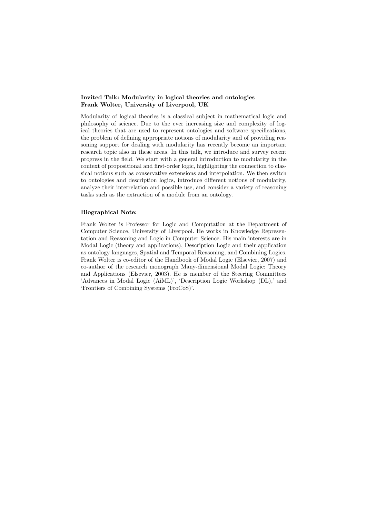#### **Invited Talk: Modularity in logical theories and ontologies Frank Wolter, University of Liverpool, UK**

Modularity of logical theories is a classical subject in mathematical logic and philosophy of science. Due to the ever increasing size and complexity of logical theories that are used to represent ontologies and software specifications, the problem of defining appropriate notions of modularity and of providing reasoning support for dealing with modularity has recently become an important research topic also in these areas. In this talk, we introduce and survey recent progress in the field. We start with a general introduction to modularity in the context of propositional and first-order logic, highlighting the connection to classical notions such as conservative extensions and interpolation. We then switch to ontologies and description logics, introduce different notions of modularity, analyze their interrelation and possible use, and consider a variety of reasoning tasks such as the extraction of a module from an ontology.

#### **Biographical Note:**

Frank Wolter is Professor for Logic and Computation at the Department of Computer Science, University of Liverpool. He works in Knowledge Representation and Reasoning and Logic in Computer Science. His main interests are in Modal Logic (theory and applications), Description Logic and their application as ontology languages, Spatial and Temporal Reasoning, and Combining Logics. Frank Wolter is co-editor of the Handbook of Modal Logic (Elsevier, 2007) and co-author of the research monograph Many-dimensional Modal Logic: Theory and Applications (Elsevier, 2003). He is member of the Steering Committees 'Advances in Modal Logic (AiML)', 'Description Logic Workshop (DL),' and 'Frontiers of Combining Systems (FroCoS)'.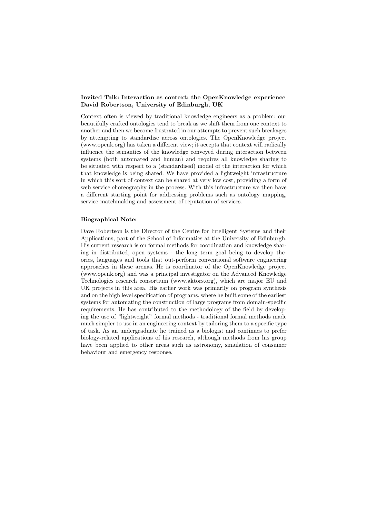#### **Invited Talk: Interaction as context: the OpenKnowledge experience David Robertson, University of Edinburgh, UK**

Context often is viewed by traditional knowledge engineers as a problem: our beautifully crafted ontologies tend to break as we shift them from one context to another and then we become frustrated in our attempts to prevent such breakages by attempting to standardise across ontologies. The OpenKnowledge project (www.openk.org) has taken a different view; it accepts that context will radically influence the semantics of the knowledge conveyed during interaction between systems (both automated and human) and requires all knowledge sharing to be situated with respect to a (standardised) model of the interaction for which that knowledge is being shared. We have provided a lightweight infrastructure in which this sort of context can be shared at very low cost, providing a form of web service choreography in the process. With this infrastructure we then have a different starting point for addressing problems such as ontology mapping, service matchmaking and assessment of reputation of services.

#### **Biographical Note:**

Dave Robertson is the Director of the Centre for Intelligent Systems and their Applications, part of the School of Informatics at the University of Edinburgh. His current research is on formal methods for coordination and knowledge sharing in distributed, open systems - the long term goal being to develop theories, languages and tools that out-perform conventional software engineering approaches in these arenas. He is coordinator of the OpenKnowledge project (www.openk.org) and was a principal investigator on the Advanced Knowledge Technologies research consortium (www.aktors.org), which are major EU and UK projects in this area. His earlier work was primarily on program synthesis and on the high level specification of programs, where he built some of the earliest systems for automating the construction of large programs from domain-specific requirements. He has contributed to the methodology of the field by developing the use of "lightweight" formal methods - traditional formal methods made much simpler to use in an engineering context by tailoring them to a specific type of task. As an undergraduate he trained as a biologist and continues to prefer biology-related applications of his research, although methods from his group have been applied to other areas such as astronomy, simulation of consumer behaviour and emergency response.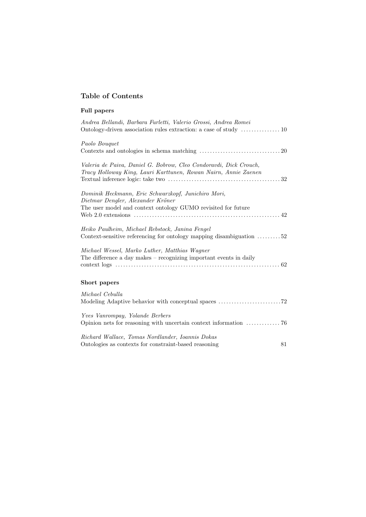## **Table of Contents**

| <b>Full papers</b>                                                                                                                                        |
|-----------------------------------------------------------------------------------------------------------------------------------------------------------|
| Andrea Bellandi, Barbara Furletti, Valerio Grossi, Andrea Romei                                                                                           |
| Paolo Bouquet                                                                                                                                             |
| Valeria de Paiva, Daniel G. Bobrow, Cleo Condoravdi, Dick Crouch,<br>Tracy Holloway King, Lauri Karttunen, Rowan Nairn, Annie Zaenen                      |
| Dominik Heckmann, Eric Schwarzkopf, Junichiro Mori,<br>Dietmar Dengler, Alexander Kröner<br>The user model and context ontology GUMO revisited for future |
| Heiko Paulheim, Michael Rebstock, Janina Fengel<br>Context-sensitive referencing for ontology mapping disambiguation 52                                   |
| Michael Wessel, Marko Luther, Matthias Wagner<br>The difference a day makes $-$ recognizing important events in daily                                     |
| Short papers                                                                                                                                              |
| Michael Cebulla                                                                                                                                           |
| Yves Vanrompay, Yolande Berbers<br>Opinion nets for reasoning with uncertain context information $\dots\dots\dots\dots$ 76                                |
| Richard Wallace, Tomas Nordlander, Ioannis Dokas<br>Ontologies as contexts for constraint-based reasoning<br>81                                           |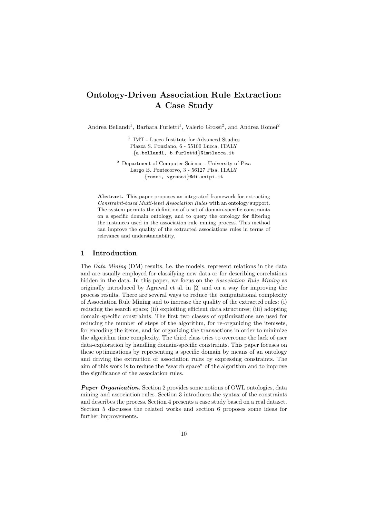## **Ontology-Driven Association Rule Extraction: A Case Study**

Andrea Bellandi<sup>1</sup>, Barbara Furletti<sup>1</sup>, Valerio Grossi<sup>2</sup>, and Andrea Romei<sup>2</sup>

 $^{\rm 1}$  IMT - Lucca Institute for Advanced Studies Piazza S. Ponziano, 6 - 55100 Lucca, ITALY {a.bellandi, b.furletti}@imtlucca.it

<sup>2</sup> Department of Computer Science - University of Pisa Largo B. Pontecorvo, 3 - 56127 Pisa, ITALY {romei, vgrossi}@di.unipi.it

**Abstract.** This paper proposes an integrated framework for extracting Constraint-based Multi-level Association Rules with an ontology support. The system permits the definition of a set of domain-specific constraints on a specific domain ontology, and to query the ontology for filtering the instances used in the association rule mining process. This method can improve the quality of the extracted associations rules in terms of relevance and understandability.

#### **1 Introduction**

The Data Mining (DM) results, i.e. the models, represent relations in the data and are usually employed for classifying new data or for describing correlations hidden in the data. In this paper, we focus on the Association Rule Mining as originally introduced by Agrawal et al. in [2] and on a way for improving the process results. There are several ways to reduce the computational complexity of Association Rule Mining and to increase the quality of the extracted rules: (i) reducing the search space; (ii) exploiting efficient data structures; (iii) adopting domain-specific constraints. The first two classes of optimizations are used for reducing the number of steps of the algorithm, for re-organizing the itemsets, for encoding the items, and for organizing the transactions in order to minimize the algorithm time complexity. The third class tries to overcome the lack of user data-exploration by handling domain-specific constraints. This paper focuses on these optimizations by representing a specific domain by means of an ontology and driving the extraction of association rules by expressing constraints. The aim of this work is to reduce the "search space" of the algorithm and to improve the significance of the association rules.

*Paper Organization.* Section 2 provides some notions of OWL ontologies, data mining and association rules. Section 3 introduces the syntax of the constraints and describes the process. Section 4 presents a case study based on a real dataset. Section 5 discusses the related works and section 6 proposes some ideas for further improvements.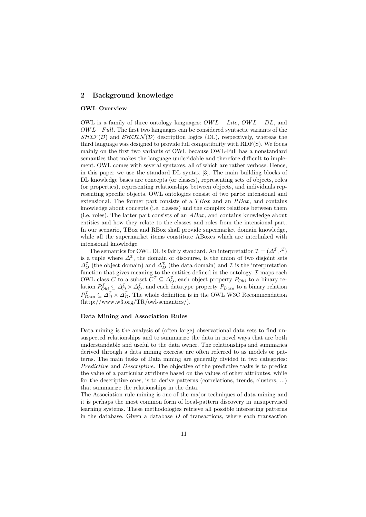#### **2 Background knowledge**

#### **OWL Overview**

OWL is a family of three ontology languages:  $OWL - Lit$ ,  $OWL - DL$ , and  $OWL-Full$ . The first two languages can be considered syntactic variants of the  $SHIF(D)$  and  $SHOIN(D)$  description logics (DL), respectively, whereas the third language was designed to provide full compatibility with RDF(S). We focus mainly on the first two variants of OWL because OWL-Full has a nonstandard semantics that makes the language undecidable and therefore difficult to implement. OWL comes with several syntaxes, all of which are rather verbose. Hence, in this paper we use the standard DL syntax [3]. The main building blocks of DL knowledge bases are concepts (or classes), representing sets of objects, roles (or properties), representing relationships between objects, and individuals representing specific objects. OWL ontologies consist of two parts: intensional and extensional. The former part consists of a  $TBox$  and an  $RBox$ , and contains knowledge about concepts (i.e. classes) and the complex relations between them (i.e. roles). The latter part consists of an  $ABox$ , and contains knowledge about entities and how they relate to the classes and roles from the intensional part. In our scenario, TBox and RBox shall provide supermarket domain knowledge, while all the supermarket items constitute ABoxes which are interlinked with intensional knowledge.

The semantics for OWL DL is fairly standard. An interpretation  $\mathcal{I} = (\Delta^{\mathcal{I}}, \cdot^{\mathcal{I}})$ is a tuple where  $\Delta^{\mathcal{I}}$ , the domain of discourse, is the union of two disjoint sets  $\Delta_{\mathcal{O}}^{\mathcal{I}}$  (the object domain) and  $\Delta_{\mathcal{D}}^{\mathcal{I}}$  (the data domain) and  $\mathcal{I}$  is the interpretation function that gives meaning to the entities defined in the ontology.  $\mathcal I$  maps each OWL class C to a subset  $C^{\mathcal{I}} \subseteq \Delta_{O}^{\mathcal{I}}$ , each object property  $P_{Obj}$  to a binary relation  $P_{Obj}^{\mathcal{I}} \subseteq \Delta_{O}^{\mathcal{I}} \times \Delta_{O}^{\mathcal{I}}$ , and each datatype property  $P_{Data}$  to a binary relation  $P_{Data}^{\mathcal{I}} \subseteq \Delta_O^{\mathcal{I}} \times \Delta_D^{\mathcal{I}}$ . The whole definition is in the OWL W3C Recommendation (http://www.w3.org/TR/owl-semantics/).

#### **Data Mining and Association Rules**

Data mining is the analysis of (often large) observational data sets to find unsuspected relationships and to summarize the data in novel ways that are both understandable and useful to the data owner. The relationships and summaries derived through a data mining exercise are often referred to as models or patterns. The main tasks of Data mining are generally divided in two categories: Predictive and Descriptive. The objective of the predictive tasks is to predict the value of a particular attribute based on the values of other attributes, while for the descriptive ones, is to derive patterns (correlations, trends, clusters, ...) that summarize the relationships in the data.

The Association rule mining is one of the major techniques of data mining and it is perhaps the most common form of local-pattern discovery in unsupervised learning systems. These methodologies retrieve all possible interesting patterns in the database. Given a database  $D$  of transactions, where each transaction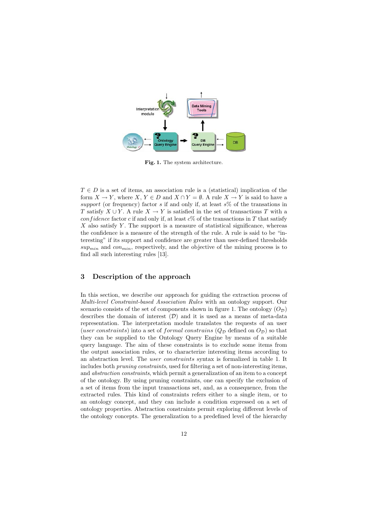

**Fig. 1.** The system architecture.

 $T \in D$  is a set of items, an association rule is a (statistical) implication of the form  $X \to Y$ , where  $X, Y \in D$  and  $X \cap Y = \emptyset$ . A rule  $X \to Y$  is said to have a support (or frequency) factor s if and only if, at least  $s\%$  of the transations in T satisfy  $X \cup Y$ . A rule  $X \to Y$  is satisfied in the set of transactions T with a confidence factor c if and only if, at least  $c\%$  of the transactions in T that satisfy  $X$  also satisfy  $Y$ . The support is a measure of statistical significance, whereas the confidence is a measure of the strength of the rule. A rule is said to be "interesting" if its support and confidence are greater than user-defined thresholds  $sup_{min}$  and  $con_{min}$ , respectively, and the objective of the mining process is to find all such interesting rules [13].

#### **3 Description of the approach**

In this section, we describe our approach for guiding the extraction process of Multi-level Constraint-based Association Rules with an ontology support. Our scenario consists of the set of components shown in figure 1. The ontology  $(O_{\mathcal{D}})$ describes the domain of interest  $(D)$  and it is used as a means of meta-data representation. The interpretation module translates the requests of an user (user constraints) into a set of formal constrains  $(Q_{\mathcal{D}})$  defined on  $O_{\mathcal{D}})$  so that they can be supplied to the Ontology Query Engine by means of a suitable query language. The aim of these constraints is to exclude some items from the output association rules, or to characterize interesting items according to an abstraction level. The user constraints syntax is formalized in table 1. It includes both pruning constraints, used for filtering a set of non-interesting items, and abstraction constraints, which permit a generalization of an item to a concept of the ontology. By using pruning constraints, one can specify the exclusion of a set of items from the input transactions set, and, as a consequence, from the extracted rules. This kind of constraints refers either to a single item, or to an ontology concept, and they can include a condition expressed on a set of ontology properties. Abstraction constraints permit exploring different levels of the ontology concepts. The generalization to a predefined level of the hierarchy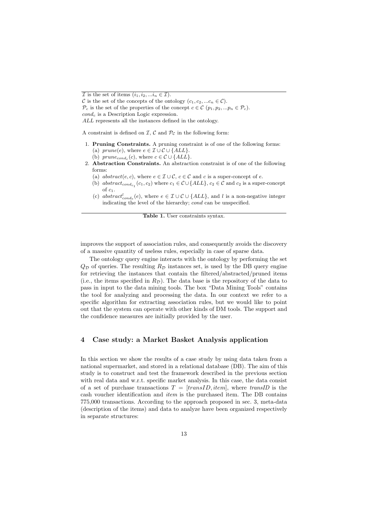ALL represents all the instances defined in the ontology.

A constraint is defined on  $\mathcal{I}, \mathcal{C}$  and  $\mathcal{P}_{\mathcal{C}}$  in the following form:

- 1. **Pruning Constraints.** A pruning constraint is of one of the following forms: (a)  $prune(e)$ , where  $e \in \mathcal{I} \cup \mathcal{C} \cup \{ALL\}.$ 
	- (b)  $prune_{cond_c}(c)$ , where  $c \in \mathcal{C} \cup \{ALL\}.$
- 2. **Abstraction Constraints.** An abstraction constraint is of one of the following forms:
	- (a)  $abstract(e, c)$ , where  $e \in \mathcal{I} \cup \mathcal{C}$ ,  $c \in \mathcal{C}$  and c is a super-concept of e.
	- (b) abstract<sub>condc<sub>1</sub></sub> (c<sub>1</sub>, c<sub>2</sub>) where  $c_1 \in \mathcal{C} \cup \{ALL\}$ ,  $c_2 \in \mathcal{C}$  and c<sub>2</sub> is a super-concept of  $c_1$ .
	- (c) abstract<sup>l</sup><sub>conde</sub> (e), where  $e \in \mathcal{I} \cup \mathcal{C} \cup \{ALL\}$ , and l is a non-negative integer indicating the level of the hierarchy; cond can be unspecified.

**Table 1.** User constraints syntax.

improves the support of association rules, and consequently avoids the discovery of a massive quantity of useless rules, especially in case of sparse data.

The ontology query engine interacts with the ontology by performing the set  $Q_{\mathcal{D}}$  of queries. The resulting  $R_{\mathcal{D}}$  instances set, is used by the DB query engine for retrieving the instances that contain the filtered/abstracted/pruned items (i.e., the items specified in  $R_{\mathcal{D}}$ ). The data base is the repository of the data to pass in input to the data mining tools. The box "Data Mining Tools" contains the tool for analyzing and processing the data. In our context we refer to a specific algorithm for extracting association rules, but we would like to point out that the system can operate with other kinds of DM tools. The support and the confidence measures are initially provided by the user.

#### **4 Case study: a Market Basket Analysis application**

In this section we show the results of a case study by using data taken from a national supermarket, and stored in a relational database (DB). The aim of this study is to construct and test the framework described in the previous section with real data and w.r.t. specific market analysis. In this case, the data consist of a set of purchase transactions  $T = [transID, item]$ , where transID is the cash voucher identification and item is the purchased item. The DB contains 775,000 transactions. According to the approach proposed in sec. 3, meta-data (description of the items) and data to analyze have been organized respectively in separate structures:

 $\overline{\mathcal{I}}$  is the set of items  $(i_1, i_2, ... i_n \in \mathcal{I}).$ 

C is the set of the concepts of the ontology  $(c_1, c_2, ... c_n \in \mathcal{C})$ .

 $\mathcal{P}_c$  is the set of the properties of the concept  $c \in \mathcal{C}$   $(p_1, p_2, ... p_n \in \mathcal{P}_c)$ .  $cond_c$  is a Description Logic expression.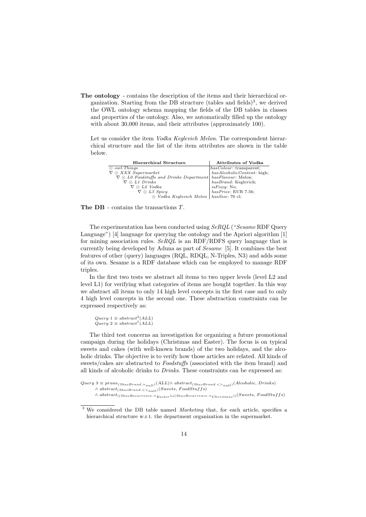**The ontology** - contains the description of the items and their hierarchical organization. Starting from the DB structure (tables and fields)<sup>3</sup>, we derived the OWL ontology schema mapping the fields of the DB tables in classes and properties of the ontology. Also, we automatically filled up the ontology with about 30,000 items, and their attributes (approximately 100).

Let us consider the item Vodka Keglevich Melon. The correspondent hierarchical structure and the list of the item attributes are shown in the table below.

| Hierarchical Structure                                                 | Attributes of Vodka                                                  |
|------------------------------------------------------------------------|----------------------------------------------------------------------|
| $\odot$ owl: Things                                                    | $has Color: \verb+transparent+; has Alcoholic Content: \verb+high+;$ |
| $\nabla \odot XXX$ Supermarket                                         |                                                                      |
| $\nabla \odot L0$ Foodstuffs and Drinks Department has Flavour: Melon; |                                                                      |
| $\nabla \odot L1$ Drinks                                               | hasBrand: Keglevich;                                                 |
| $\nabla \odot L2$ Vodka                                                |                                                                      |
| $\nabla \odot L3$ Spicy                                                | $isFizzy:$ No;<br>hasPrice: EUR 7.56;                                |
| $\odot$ Vodka Keglevich Melon   hasSize: 70 cl;                        |                                                                      |
|                                                                        |                                                                      |

**The DB** - contains the transactions T.

The experimentation has been conducted using SeRQL ("Sesame RDF Query Language") [4] language for querying the ontology and the Apriori algorithm [1] for mining association rules.  $SeRQL$  is an RDF/RDFS query language that is currently being developed by Aduna as part of Sesame [5]. It combines the best features of other (query) languages (RQL, RDQL, N-Triples, N3) and adds some of its own. Sesame is a RDF database which can be employed to manage RDF triples.

In the first two tests we abstract all items to two upper levels (level L2 and level L1) for verifying what categories of items are bought together. In this way we abstract all items to only 14 high level concepts in the first case and to only 4 high level concepts in the second one. These abstraction constraints can be expressed respectively as:

 $Query 1 \equiv abstract^2(ALL)$  $Query$  2  $\equiv$  abstract<sup>1</sup>(ALL)

The third test concerns an investigation for organizing a future promotional campaign during the holidays (Christmas and Easter). The focus is on typical sweets and cakes (with well-known brands) of the two holidays, and the alcoholic drinks. The objective is to verify how those articles are related. All kinds of sweets/cakes are abstracted to Foodstuffs (associated with the item brand) and all kinds of alcoholic drinks to Drinks. These constraints can be expressed as:

```
Query 3 \equiv prune_{(\exists hasBrand.=null}(ALL) \wedge abstract_{(\exists hasBrand.<>>n_{null})}(Alcoholic, Drinks)\land abstract<sub>(∃hasBrand.</sub><><sub>null</sub>)(Sweets, FoodStuffs)
        \land abstract<sub>((∃hasRecurrence.=Easter</sub>)\sqcup(∃hasRecurrence.=<sub>Christmas</sub>))(Sweets, FoodStuffs)
```
<sup>&</sup>lt;sup>3</sup> We considered the DB table named *Marketing* that, for each article, specifies a hierarchical structure w.r.t. the department organization in the supermarket.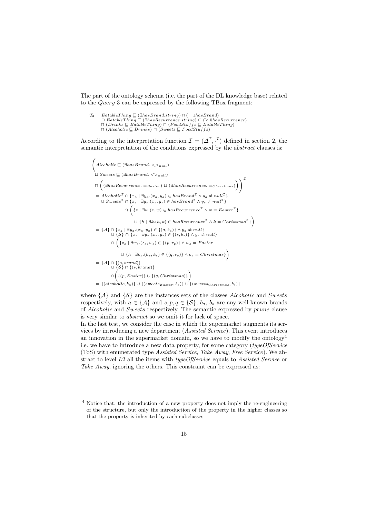The part of the ontology schema (i.e. the part of the DL knowledge base) related to the Query 3 can be expressed by the following TBox fragment:

$$
\begin{array}{l} \mathcal{T}_3 = \textit{Eatable} \textit{Things} \sqsubseteq (\exists has\textit{Brand}.\textit{string}) \sqcap (\text{=} \textit{1has}\textit{Brand}) \\ \sqcap \textit{Eatable} \textit{Thisg} \sqsubseteq (\exists has\textit{Recurrence}.\textit{string}) \sqcap (\text{ } \geq \textit{0has}\textit{Recurrence}) \\ \sqcap (\textit{Drinks} \sqsubseteq \textit{Eatable} \textit{Third}) \sqcap (\textit{Food} \textit{St\_Eatable} \textit{Third}) \\ \sqcap (\textit{Alcoholic} \sqsubseteq \textit{Drinks}) \sqcap (\textit{Sweets} \sqsubseteq \textit{Food} \textit{Stiffs}) \end{array}
$$

According to the interpretation function  $\mathcal{I} = (\Delta^{\mathcal{I}}, \cdot^{\mathcal{I}})$  defined in section 2, the semantic interpretation of the conditions expressed by the *abstract* clauses is:

$$
\left(\begin{aligned}\n\text{Alcoholic } &\sqsubseteq (\exists hasBrand. <>_{null}) \\
\sqcup \text{ Sweets } &\sqsubseteq (\exists hasBrand. <>_{null}) \\
\sqcap \left((\exists has Recurrence. =_{Easter}) \sqcup (\exists has Recurrence. =_{Christmas}))\right)\right)^{\mathcal{I}} \\
&= Alcoholic^{\mathcal{I}} \cap \{x_a \mid \exists y_a.(x_a, y_a) \in hasBrand^{\mathcal{I}} \land y_a \neq null^{\mathcal{I}}\} \\
\sqcup \text{ Sweets}^{\mathcal{I}} \cap \{x_s \mid \exists y_s.(x_s, y_s) \in hasBrand^{\mathcal{I}} \land y_s \neq null^{\mathcal{I}}\} \\
&\cap \left(\{z \mid \exists w.(z, w) \in has Recurrence^{\mathcal{I}} \land w = Easter^{\mathcal{I}}\} \cup \{h \mid \exists k.(h, k) \in has Recurrence^{\mathcal{I}} \land k = Christmas^{\mathcal{I}}\}\right) \\
&= \{\mathcal{A}\} \cap \{x_a \mid \exists y_a.(x_a, y_a) \in \{(a, b_a)\} \land y_a \neq null\} \\
&\cap \left(\{z_s \mid \exists w_s.(z_s, w_s) \in \{(s, b_s)\} \land y_s \neq null\} \cap \left(\{z_s \mid \exists w_s.(z_s, w_s) \in \{(p, r_p)\} \land w_s = Easter\}\right) \cup \{h \mid \exists k_s.(h_s, k_s) \in \{(q, r_q)\} \land k_s = Christmas\}\right) \\
&= \{\mathcal{A}\} \cap \{(a, brand)\} \\
&\cup \{S\} \cap \{(s, brand)\} \\
&\cap \left(\{(p, Eastern) \cup \{(q, Christmas)\}\}\right) \\
&= \{(alcoholic, b_a)\} \cup \{(sweets_{Easter}, b_s)\} \cup \{(sweets_{Christmas}, b_s)\}\n\end{aligned}
$$

where  $\{\mathcal{A}\}\$ and  $\{\mathcal{S}\}\$ are the instances sets of the classes Alcoholic and Sweets respectively, with  $a \in \{\mathcal{A}\}\$ and  $s, p, q \in \{\mathcal{S}\}\;$ ;  $b_a, b_s$  are any well-known brands of Alcoholic and Sweets respectively. The semantic expressed by prune clause is very similar to abstract so we omit it for lack of space.

In the last test, we consider the case in which the supermarket augments its services by introducing a new department (Assisted Service). This event introduces an innovation in the supermarket domain, so we have to modify the ontology<sup>4</sup> i.e. we have to introduce a new data property, for some category (typeOfService (ToS) with enumerated type Assisted Service, Take Away, Free Service). We abstract to level L2 all the items with typeOfService equals to Assisted Service or Take Away, ignoring the others. This constraint can be expressed as:

<sup>4</sup> Notice that, the introduction of a new property does not imply the re-engineering of the structure, but only the introduction of the property in the higher classes so that the property is inherited by each subclasses.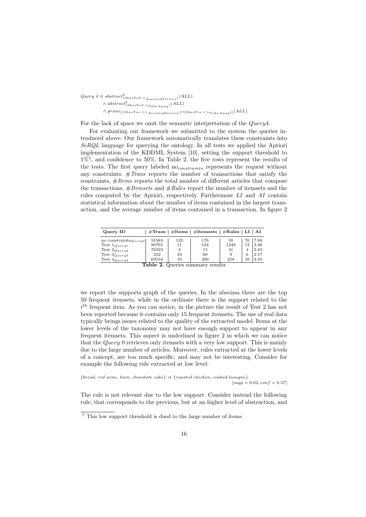$Query 4 \equiv abstract_{(\exists hasToS.=AssistedService)}^{2}(ALL)$  $\wedge$  abstract<sup>2</sup>( $\exists$ hasToS.=<sub>TakeAway</sub>)</sub>(ALL)  $\land$  prune(( $\exists$ hasTos. <  $>$ AssistedService</sub>) $\sqcap$ ( $\exists$ hasTos. <  $>$ T<sub>akeAway</sub>))(ALL)

For the lack of space we omit the semantic interpretation of the Query4.

For evaluating our framework we submitted to the system the queries introduced above. Our framework automatically translates these constraints into SeRQL language for querying the ontology. In all tests we applied the Apriori implementation of the KDDML System [10], setting the support threshold to  $1\%$ <sup>5</sup>, and confidence to 50%. In Table 2, the five rows represent the results of the tests. The first query labeled no<sub>constraints</sub> represents the request without any constraints.  $#Trans$  reports the number of transactions that satisfy the constraints,  $\#Items$  reports the total number of different articles that compose the transactions,  $\#Itemsets$  and  $\#Rules$  report the number of itemsets and the rules computed by the Apriori, respectively. Furthermore LI and AI contain statistical information about the number of items contained in the largest transaction, and the average number of items contained in a transaction. In figure 2

| Query ID                         |       |     | $\#\text{Trans}$   $\#\text{Items}$   $\#\text{Items}$   $\#\text{Rules}$ |      | ∣ LI∣AI |      |  |
|----------------------------------|-------|-----|---------------------------------------------------------------------------|------|---------|------|--|
| no constraints $_{Query0}$       | 91563 | 123 | 176                                                                       | 50   | 76      | 7.68 |  |
| Test $1_{Query1}$                | 80765 | 11  | 524                                                                       | 1248 | 12      | 3.86 |  |
| Test $2_{Query2}$                | 76323 | 4   | 15                                                                        | -31  | 4       | 2.83 |  |
| Test $3_{Query3}$                | 352   | 33  | 60                                                                        | 9    | 6       | 2.17 |  |
| Test $4_{Query4}$                | 69534 | 10  | 200                                                                       | 258  | 10      | 4.03 |  |
| Table 2. Queries summary results |       |     |                                                                           |      |         |      |  |
|                                  |       |     |                                                                           |      |         |      |  |

we report the supports graph of the queries. In the abscissa there are the top 50 frequent itemsets, while in the ordinate there is the support related to the  $i<sup>th</sup>$  frequent item. As you can notice, in the picture the result of Test 2 has not been reported because it contains only 15 frequent itemsets. The use of real data typically brings issues related to the quality of the extracted model. Items at the lower levels of the taxonomy may not have enough support to appear in any frequent itemsets. This aspect is underlined in figure 2 in which we can notice that the Query 0 retrieves only itemsets with a very low support. This is mainly due to the large number of articles. Moreover, rules extracted at the lower levels of a concept, are too much specific, and may not be interesting. Consider for example the following rule extracted at low level:

 ${break, red$  wine, ham, chocolate cake}  $\Rightarrow$  {roasted chicken, cooked lasagne}  $[supp = 0.02, conf = 0.57].$ 

The rule is not relevant due to the low support. Consider instead the following rule, that corresponds to the previous, but at an higher level of abstraction, and

 $\frac{5}{5}$  This low support threshold is dued to the large number of items.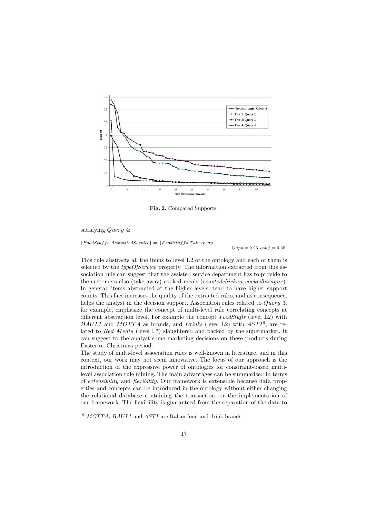

**Fig. 2.** Compared Supports.

satisfying *Query* 4:

 ${FoodStuffs.}\ Assume the received Service$  ⇒  ${FoodStuffs.}$  TakeAway}

 $[supp = 0.26, conf = 0.68].$ 

This rule abstracts all the items to level L2 of the ontology and each of them is selected by the *typeOfService* property. The information extracted from this association rule can suggest that the assisted service department has to provide to the customers also (take away) cooked meals (roastedchicken, cookedlasagne). In general, items abstracted at the higher levels, tend to have higher support counts. This fact increases the quality of the extracted rules, and as consequence, helps the analyst in the decision support. Association rules related to *Query* 3, for example, emphasize the concept of multi-level rule correlating concepts at different abstraction level. For example the concept FoodStuffs (level L2) with BAULI and MOTTA as brands, and Drinks (level L2) with  $ASTI<sup>6</sup>$ , are related to Red Meats (level L7) slaughtered and packed by the supermarket. It can suggest to the analyst some marketing decisions on these products during Easter or Christmas period.

The study of multi-level association rules is well-known in literature, and in this context, our work may not seem innovative. The focus of our approach is the introduction of the expressive power of ontologies for constraint-based multilevel association rule mining. The main advantages can be summarized in terms of extensibility and flexibility. Our framework is extensible because data properties and concepts can be introduced in the ontology without either changing the relational database containing the transaction, or the implementation of our framework. The flexibility is guaranteed from the separation of the data to

 $\sqrt[6]{MOTTA}$ ,  $BAULI$  and  $ASTI$  are Italian food and drink brands.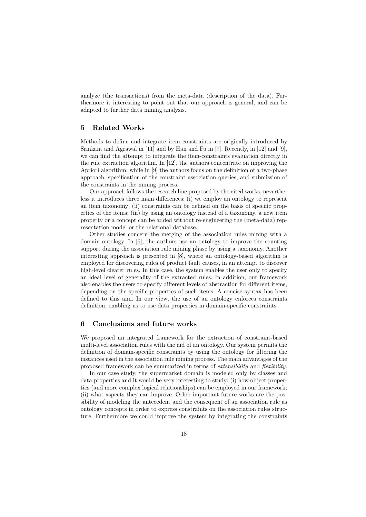analyze (the transactions) from the meta-data (description of the data). Furthermore it interesting to point out that our approach is general, and can be adapted to further data mining analysis.

#### **5 Related Works**

Methods to define and integrate item constraints are originally introduced by Srinkant and Agrawal in [11] and by Han and Fu in [7]. Recently, in [12] and [9], we can find the attempt to integrate the item-constraints evaluation directly in the rule extraction algorithm. In [12], the authors concentrate on improving the Apriori algorithm, while in [9] the authors focus on the definition of a two-phase approach: specification of the constraint association queries, and submission of the constraints in the mining process.

Our approach follows the research line proposed by the cited works, nevertheless it introduces three main differences: (i) we employ an ontology to represent an item taxonomy; (ii) constraints can be defined on the basis of specific properties of the items; (iii) by using an ontology instead of a taxonomy, a new item property or a concept can be added without re-engineering the (meta-data) representation model or the relational database.

Other studies concern the merging of the association rules mining with a domain ontology. In [6], the authors use an ontology to improve the counting support during the association rule mining phase by using a taxonomy. Another interesting approach is presented in [8], where an ontology-based algorithm is employed for discovering rules of product fault causes, in an attempt to discover high-level clearer rules. In this case, the system enables the user only to specify an ideal level of generality of the extracted rules. In addition, our framework also enables the users to specify different levels of abstraction for different items, depending on the specific properties of such items. A concise syntax has been defined to this aim. In our view, the use of an ontology enforces constraints definition, enabling us to use data properties in domain-specific constraints.

#### **6 Conclusions and future works**

We proposed an integrated framework for the extraction of constraint-based multi-level association rules with the aid of an ontology. Our system permits the definition of domain-specific constraints by using the ontology for filtering the instances used in the association rule mining process. The main advantages of the proposed framework can be summarized in terms of extensibility and flexibility.

In our case study, the supermarket domain is modeled only by classes and data properties and it would be very interesting to study: (i) how object properties (and more complex logical relationships) can be employed in our framework; (ii) what aspects they can improve. Other important future works are the possibility of modeling the antecedent and the consequent of an association rule as ontology concepts in order to express constraints on the association rules structure. Furthermore we could improve the system by integrating the constraints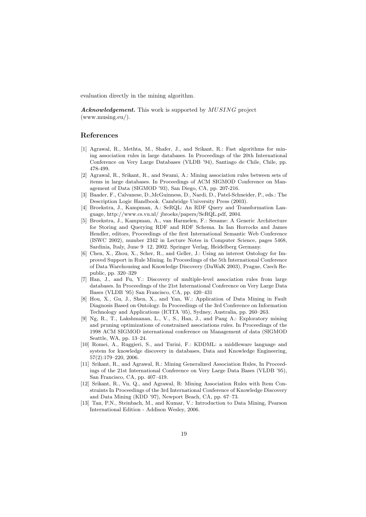evaluation directly in the mining algorithm.

*Acknowledgement.* This work is supported by MUSING project (www.musing.eu/).

#### **References**

- [1] Agrawal, R., Methta, M., Shafer, J., and Srikant, R.: Fast algorithms for mining association rules in large databases. In Proceedings of the 20th International Conference on Very Large Databases (VLDB '94), Santiago de Chile, Chile, pp. 478-499.
- [2] Agrawal, R., Srikant, R., and Swami, A.: Mining association rules between sets of items in large databases. In Proceedings of ACM SIGMOD Conference on Management of Data (SIGMOD '93), San Diego, CA, pp. 207-216.
- [3] Baader, F., Calvanese, D.,McGuinness, D., Nardi, D., Patel-Schneider, P., eds.: The Description Logic Handbook. Cambridge University Press (2003).
- [4] Broekstra, J., Kampman, A.: SeRQL: An RDF Query and Transformation Language, http://www.cs.vu.nl/ jbroeks/papers/SeRQL.pdf, 2004.
- [5] Broekstra, J., Kampman, A., van Harmelen, F.: Sesame: A Generic Architecture for Storing and Querying RDF and RDF Schema. In Ian Horrocks and James Hendler, editors, Proceedings of the first International Semantic Web Conference (ISWC 2002), number 2342 in Lecture Notes in Computer Science, pages 5468, Sardinia, Italy, June 9 12, 2002. Springer Verlag, Heidelberg Germany.
- [6] Chen, X., Zhou, X., Scher, R., and Geller, J.: Using an interest Ontology for Improved Support in Rule Mining. In Proceedings of the 5th International Conference of Data Warehousing and Knowledge Discovery (DaWaK 2003), Prague, Czech Republic, pp. 320–329
- [7] Han, J., and Fu, Y.: Discovery of multiple-level association rules from large databases. In Proceedings of the 21st International Conference on Very Large Data Bases (VLDB '95) San Francisco, CA, pp. 420–431
- [8] Hou, X., Gu, J., Shen, X., and Yan, W.: Application of Data Mining in Fault Diagnosis Based on Ontology. In Proceedings of the 3rd Conference on Information Technology and Applications (ICITA '05), Sydney, Australia, pp. 260–263.
- [9] Ng, R., T., Lakshmanan, L., V., S., Han, J., and Pang A.: Exploratory mining and pruning optimizations of constrained associations rules. In Proceedings of the 1998 ACM SIGMOD international conference on Management of data (SIGMOD Seattle, WA, pp. 13–24.
- [10] Romei, A., Ruggieri, S., and Turini, F.: KDDML: a middleware language and system for knowledge discovery in databases, Data and Knowledge Engineering, 57(2):179–220, 2006.
- [11] Srikant, R., and Agrawal, R.: Mining Generalized Association Rules, In Proceedings of the 21st International Conference on Very Large Data Bases (VLDB '95), San Francisco, CA, pp. 407–419.
- [12] Srikant, R., Vu, Q., and Agrawal, R: Mining Association Rules with Item Constraints In Proceedings of the 3rd International Conference of Knowledge Discovery and Data Mining (KDD '97), Newport Beach, CA, pp. 67–73.
- [13] Tan, P.N., Steinbach, M., and Kumar, V.: Introduction to Data Mining, Pearson International Edition - Addison Wesley, 2006.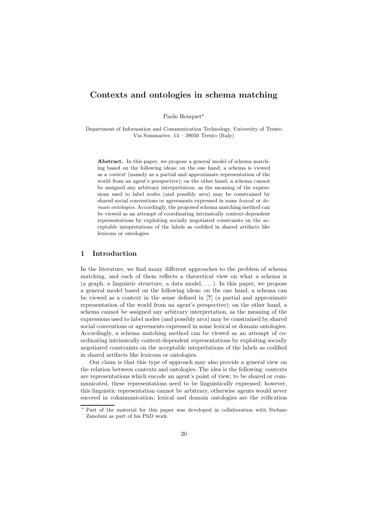## **Contexts and ontologies in schema matching**

Paolo Bouquet\*

Department of Information and Communication Technology, University of Trento Via Sommarive, 14 – 38050 Trento (Italy)

**Abstract.** In this paper, we propose a general model of schema matching based on the following ideas: on the one hand, a schema is viewed as a context (namely as a partial and approximate representation of the world from an agent's perspective); on the other hand, a schema cannot be assigned any arbitrary interpretation, as the meaning of the expressions used to label nodes (and possibly arcs) may be constrained by shared social conventions or agreements expressed in some lexical or domain ontologies. Accordingly, the proposed schema matching method can be viewed as an attempt of coordinating intrinsically context-dependent representations by exploiting socially negotiated constraints on the acceptable intepretations of the labels as codified in shared artifacts like lexicons or ontologies.

#### **1 Introduction**

In the literature, we find many different approaches to the problem of schema matching, and each of them reflects a theoretical view on what a schema is (a graph, a linguistic structure, a data model, . . . ). In this paper, we propose a general model based on the following ideas: on the one hand, a schema can be viewed as a context in the sense defined in [**?**] (a partial and approximate representation of the world from an agent's perspective); on the other hand, a schema cannot be assigned any arbitrary interpretation, as the meaning of the expressions used to label nodes (and possibly arcs) may be constrained by shared social conventions or agreements expressed in some lexical or domain ontologies. Accordingly, a schema matching method can be viewed as an attempt of coordinating intrinsically context-dependent representations by exploiting socially negotiated constraints on the acceptable intepretations of the labels as codified in shared artifacts like lexicons or ontologies.

Our claim is that this type of approach may also provide a general view on the relation between contexts and ontologies. The idea is the following: contexts are representations which encode an agent's point of view; to be shared or communicated, these representations need to be linguistically expressed; however, this linguistic representation cannot be arbitrary, otherwise agents would never succeed in cokmmunication; lexical and domain ontologies are the reification

<sup>-</sup> Part of the material for this paper was developed in collaboration with Stefano Zanobini as part of his PhD work.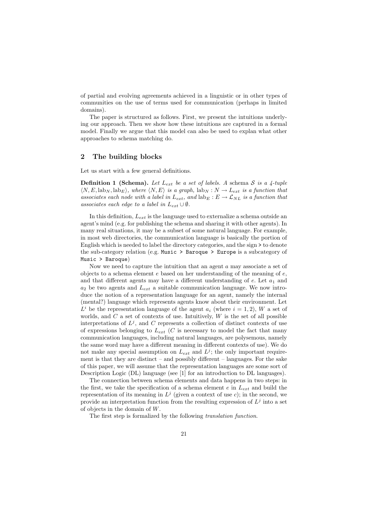of partial and evolving agreements achieved in a linguistic or in other types of communities on the use of terms used for communication (perhaps in limited domains).

The paper is structured as follows. First, we present the intuitions underlying our approach. Then we show how these intuitions are captured in a formal model. Finally we argue that this model can also be used to explan what other approaches to schema matching do.

#### **2 The building blocks**

Let us start with a few general definitions.

**Definition 1 (Schema).** Let  $L_{ext}$  be a set of labels. A schema S is a 4-tuple  $\langle N, E, \mathrm{lab}_N, \mathrm{lab}_E \rangle$ , where  $\langle N, E \rangle$  is a graph,  $\mathrm{lab}_N : N \to L_{ext}$  is a function that associates each node with a label in  $L_{ext}$ , and  $\text{lab}_E : E \to \mathcal{L}_{NL}$  is a function that associates each edge to a label in  $L_{ext} \cup \emptyset$ .

In this definition,  $L_{ext}$  is the language used to externalize a schema outside an agent's mind (e.g. for publishing the schema and sharing it with other agents). In many real situations, it may be a subset of some natural language. For example, in most web directories, the communication language is basically the portion of English which is needed to label the directory categories, and the sign > to denote the sub-category relation (e.g. Music > Baroque > Europe is a subcategory of Music > Baroque)

Now we need to capture the intuition that an agent a may associate a set of objects to a schema element  $e$  based on her understanding of the meaning of  $e$ , and that different agents may have a different understanding of  $e$ . Let  $a_1$  and  $a_2$  be two agents and  $L_{ext}$  a suitable communication language. We now introduce the notion of a representation language for an agent, namely the internal (mental?) language which represents agents know about their environment. Let  $L^i$  be the representation language of the agent  $a_i$  (where  $i = 1, 2$ ), W a set of worlds, and  $C$  a set of contexts of use. Intuitively,  $W$  is the set of all possible interpretations of  $L^j$ , and C represents a collection of distinct contexts of use of expressions belonging to  $L_{ext}$  (C is necessary to model the fact that many communication languages, including natural languages, are polysemous, namely the same word may have a different meaning in different contexts of use). We do not make any special assumption on  $L_{ext}$  and  $L^j$ ; the only important requirement is that they are distinct – and possibly different – languages. For the sake of this paper, we will assume that the representation languages are some sort of Description Logic (DL) language (see [1] for an introduction to DL languages).

The connection between schema elements and data happens in two steps: in the first, we take the specification of a schema element  $e$  in  $L_{ext}$  and build the representation of its meaning in  $L^j$  (given a context of use c); in the second, we provide an interpretation function from the resulting expression of  $L^j$  into a set of objects in the domain of W.

The first step is formalized by the following translation function.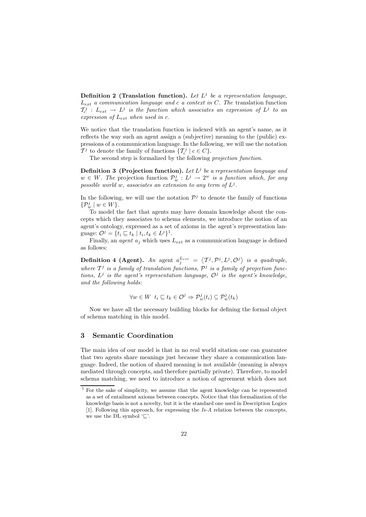**Definition 2 (Translation function).** Let  $L^j$  be a representation language,  $L_{ext}$  a communication language and c a context in C. The translation function  $\mathcal{T}^j_c$  :  $L_{ext} \rightarrow L^j$  is the function which associates an expression of  $L^j$  to an expression of  $L_{ext}$  when used in c.

We notice that the translation function is indexed with an agent's name, as it reflects the way such an agent assign a (subjective) meaning to the (public) expressions of a communication language. In the following, we will use the notation  $\mathcal{T}^j$  to denote the family of functions  $\{\mathcal{T}_c^j \mid c \in C\}$ .

The second step is formalized by the following projection function.

**Definition 3 (Projection function).** Let  $L^j$  be a representation language and  $w \in W$ . The projection function  $\mathcal{P}_w^j : L^j \to 2^w$  is a function which, for any possible world w, associates an extension to any term of  $L^j$ .

In the following, we will use the notation  $\mathcal{P}^j$  to denote the family of functions  $\{\mathcal{P}^j_w \mid w \in W\}.$ 

To model the fact that agents may have domain knowledge about the concepts which they associates to schema elements, we introduce the notion of an agent's ontology, expressed as a set of axioms in the agent's representation language:  $\mathcal{O}^j = \{t_i \sqsubseteq t_k \mid t_i, t_k \in L^j\}^1$ .

Finally, an *agent*  $a_i$  which uses  $L_{ext}$  as a communication language is defined as follows:

**Definition 4 (Agent).** An agent  $a_j^{L_{ext}} = \langle T^j, \mathcal{P}^j, L^j, \mathcal{O}^j \rangle$  is a quadruple, where  $\mathcal{T}^j$  is a family of translation functions,  $\mathcal{P}^j$  is a family of projection functions,  $L^j$  is the agent's representation language,  $\mathcal{O}^j$  is the agent's knowledge, and the following holds:

$$
\forall w \in W \ \ t_i \subseteq t_k \in \mathcal{O}^j \Rightarrow \mathcal{P}_w^j(t_i) \subseteq \mathcal{P}_w^j(t_k)
$$

Now we have all the necessary building blocks for defining the formal object of schema matching in this model.

#### **3 Semantic Coordination**

The main idea of our model is that in no real world sitation one can guarantee that two agents share meanings just because they share a communication language. Indeed, the notion of shared meaning is not available (meaning is always mediated through concepts, and therefore partially private). Therefore, to model schema matching, we need to introduce a notion of agreement which does not

<sup>1</sup> For the sake of simplicity, we assume that the agent knowledge can be represented as a set of entailment axioms between concepts. Notice that this formalization of the knowledge basis is not a novelty, but it is the standard one used in Description Logics [1]. Following this approach, for expressing the Is-A relation between the concepts, we use the DL symbol  $\subseteq$ .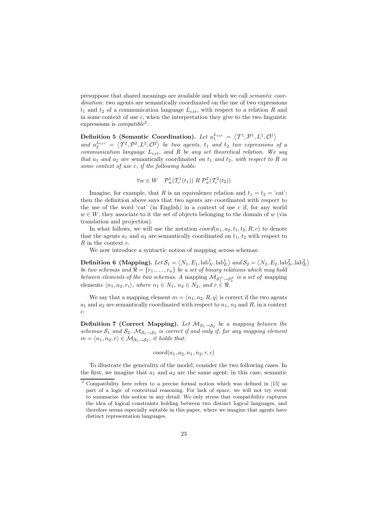presuppose that shared meanings are available and which we call semantic coordination: two agents are semantically coordinated on the use of two expressions  $t_1$  and  $t_2$  of a communication language  $L_{ext}$ , with respect to a relation R and<br>in game sentert of use a when the intermetation they give to the two linguistics in some context of use  $c$ , when the interpretation they give to the two linguistic expressions is *compatible*<sup>2</sup>:

**Definition 5 (Semantic Coordination).** Let  $a_1^{Lex} = \langle T^1, \mathcal{P}^1, L^1, \mathcal{O}^1 \rangle$ and  $a_2^{L_{ext}} = \langle T^2, \mathcal{P}^2, L^2, \mathcal{O}^2 \rangle$  be two agents,  $t_1$  and  $t_2$  two expressions of a<br>communication language  $L_{\text{tot}}$  and  $R$  be any set-theoretical relation. We see communication language  $L_{ext}$ , and R be any set-theoretical relation. We say that  $a_1$  and  $a_2$  are semantically coordinated on  $t_1$  and  $t_2$ , with respect to R in some context of use c, if the following holds:

$$
\forall w \in W \quad \mathcal{P}_w^1(\mathcal{T}_c^1(t_1)) \; R \; \mathcal{P}_w^2(\mathcal{T}_c^2(t_2))
$$

Imagine, for example, that R is an equivalence relation and  $t_1 = t_2 = 'cat';$ then the definition above says that two agents are coordinated with respect to the use of the word 'cat' (in English) in a context of use  $c$  if, for any world  $w \in W$ , they associate to it the set of objects belonging to the domain of w (via translation and projection).

In what follows, we will use the notation  $coord(a_1, a_2, t_1, t_2, R, c)$  to denote that the agents  $a_1$  and  $a_2$  are semantically coordinated on  $t_1$ ,  $t_2$  with respect to R in the context c.

We now introduce a syntactic notion of mapping across schemas:

**Definition 6** (Mapping). Let  $S_1 = \langle N_1, E_1, \text{lab}_N^1, \text{lab}_K^1 \rangle$  and  $S_2 = \langle N_2, E_2, \text{lab}_N^2, \text{lab}_K^2 \rangle$ be two schemas and  $\Re = \{r_1, \ldots, r_n\}$  be a set of binary relations which may hold between elements of the two schemas. A mapping  $\mathcal{M}_{\mathcal{S}_1^P \to \mathcal{S}_2^P}$  is a set of mapping elements  $\langle n_1, n_2, r_i \rangle$ , where  $n_1 \in N_1$ ,  $n_2 \in N_2$ , and  $r \in \Re$ .

We say that a mapping element  $m = \langle n_1, n_2, R, q \rangle$  is correct if the two agents  $a_1$  and  $a_2$  are semantically coordinated with respect to  $n_1$ ,  $n_2$  and  $R$ , in a context c:

**Definition 7 (Correct Mapping).** Let  $M_{S_1 \to S_2}$  be a mapping between the schemas  $S_1$  and  $S_2$ .  $\mathcal{M}_{S_1\rightarrow S_2}$  is correct if and only if, for any mapping element  $m = \langle n_1, n_2, r \rangle \in \mathcal{M}_{\mathcal{S}_1 \to \mathcal{S}_2}$ , it holds that:

$$
coord(a_1, a_2, n_1, n_2, r, c)
$$

To illustrate the generality of the model, consider the two following cases. In the first, we imagine that  $a_1$  and  $a_2$  are the same agent; in this case, semantic

<sup>2</sup> Compatibility here refers to a precise formal notion which was defined in [15] as part of a logic of contextual reasoning. For lack of space, we will not try event to summarize this notion in any detail. We only stress that compatibility captures the idea of logical constraints holding between two distinct logical languages, and therefore seems especially suitable in this paper, where we imagine that agents have distinct representation languages.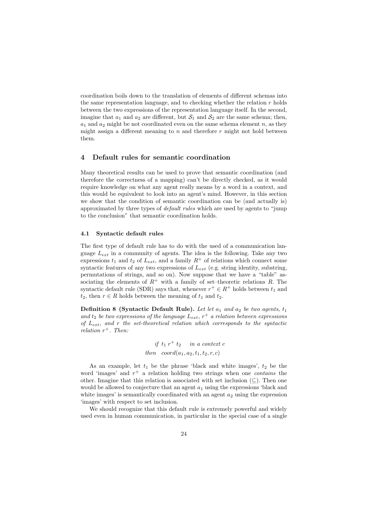coordination boils down to the translation of elements of different schemas into the same representation language, and to checking whether the relation  $r$  holds between the two expressions of the representation language itself. In the second, imagine that  $a_1$  and  $a_2$  are different, but  $S_1$  and  $S_2$  are the same schema; then,  $a_1$  and  $a_2$  might be not coordinated even on the same schema element n, as they might accion a different meaning to n and therefore n might not hald hatmon might assign a different meaning to  $n$  and therefore  $r$  might not hold between them.

#### **4 Default rules for semantic coordination**

Many theoretical results can be used to prove that semantic coordination (and therefore the correctness of a mapping) can't be directly checked, as it would require knowledge on what any agent really means by a word in a context, and this would be equivalent to look into an agent's mind. However, in this section we show that the condition of semantic coordination can be (and actually is) approximated by three types of default rules which are used by agents to "jump to the conclusion" that semantic coordination holds.

#### **4.1 Syntactic default rules**

The first type of default rule has to do with the used of a communication language  $L_{ext}$  in a community of agents. The idea is the following. Take any two expressions  $t_1$  and  $t_2$  of  $L_{ext}$ , and a family  $R^+$  of relations which connect some syntactic features of any two expressions of  $L_{ext}$  (e.g. string identity, substring, permutations of strings, and so on). Now suppose that we have a "table" associating the elements of  $R^+$  with a family of set–theoretic relations R. The syntactic default rule (SDR) says that, whenever  $r^+ \in R^+$  holds between  $t_1$  and  $t_2$ , then  $r \in R$  holds between the meaning of  $t_1$  and  $t_2$ .

**Definition 8 (Syntactic Default Rule).** Let let  $a_1$  and  $a_2$  be two agents,  $t_1$ and  $t_2$  be two expressions of the language  $L_{ext}$ ,  $r^+$  a relation between expressions of  $L_{ext}$ , and r the set-theoretical relation which corresponds to the syntactic relation  $r^+$ . Then:

$$
if t_1 r^+ t_2 \quad in a context c
$$
  
then 
$$
coord(a_1, a_2, t_1, t_2, r, c)
$$

As an example, let  $t_1$  be the phrase 'black and white images',  $t_2$  be the word 'images' and  $r^+$  a relation holding two strings when one *contains* the other. Imagine that this relation is associated with set inclusion  $(\subseteq)$ . Then one would be allowed to conjecture that an agent  $a_1$  using the expressions 'black and white images' is semantically coordinated with an agent  $a_2$  using the expression 'images' with respect to set inclusion.

We should recognize that this default rule is extremely powerful and widely used even in human communication, in particular in the special case of a single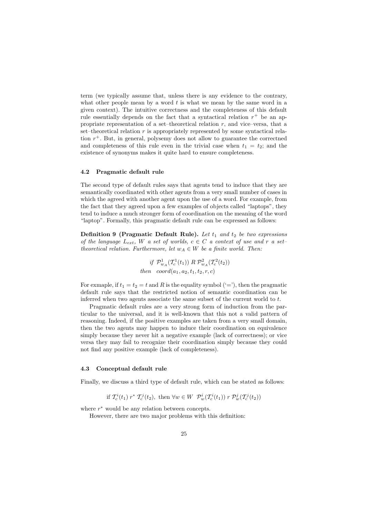term (we typically assume that, unless there is any evidence to the contrary, what other people mean by a word  $t$  is what we mean by the same word in a given context). The intuitive correctness and the completeness of this default rule essentially depends on the fact that a syntactical relation  $r^+$  be an appropriate representation of a set–theoretical relation  $r$ , and vice–versa, that a set–theoretical relation  $r$  is appropriately represented by some syntactical relation  $r^+$ . But, in general, polysemy does not allow to guarantee the correctned and completeness of this rule even in the trivial case when  $t_1 = t_2$ ; and the existence of synonyms makes it quite hard to ensure completeness.

#### **4.2 Pragmatic default rule**

The second type of default rules says that agents tend to induce that they are semantically coordinated with other agents from a very small number of cases in which the agreed with another agent upon the use of a word. For example, from the fact that they agreed upon a few examples of objects called "laptops", they tend to induce a much stronger form of coordination on the meaning of the word "laptop". Formally, this pragmatic default rule can be expressed as follows:

**Definition** 9 (Pragmatic Default Rule). Let  $t_1$  and  $t_2$  be two expressions of the language  $L_{ext}$ , W a set of worlds,  $c \in C$  a context of use and r a settheoretical relation. Furthermore, let  $w_A \in W$  be a finite world. Then:

> if  $\mathcal{P}_{w_A}^1(\mathcal{T}_c^1(t_1))$  R  $\mathcal{P}_{w_A}^2(\mathcal{T}_c^2(t_2))$ then  $coord(a_1, a_2, t_1, t_2, r, c)$

For exmaple, if  $t_1 = t_2 = t$  and R is the equality symbol  $(4-i)$ , then the pragmatic default rule says that the restricted notion of semantic coordination can be inferred when two agents associate the same subset of the current world to  $t$ .

Pragmatic default rules are a very strong form of induction from the particular to the universal, and it is well-known that this not a valid pattern of reasoning. Indeed, if the positive examples are taken from a very small domain, then the two agents may happen to induce their coordination on equivalence simply because they never hit a negative example (lack of correctness); or vice versa they may fail to recognize their coordination simply because they could not find any positive example (lack of completeness).

#### **4.3 Conceptual default rule**

Finally, we discuss a third type of default rule, which can be stated as follows:

if  $\mathcal{T}_c^i(t_1)$   $r^*$   $\mathcal{T}_c^j(t_2)$ , then  $\forall w \in W$   $\mathcal{P}_w^i(\mathcal{T}_c^i(t_1))$   $r$   $\mathcal{P}_w^j(\mathcal{T}_c^j(t_2))$ 

where  $r^*$  would be any relation between concepts.

However, there are two major problems with this definition: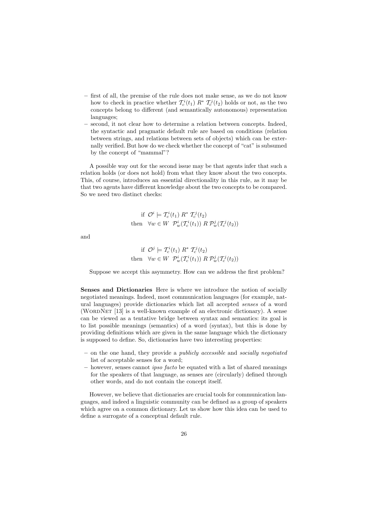- **–** first of all, the premise of the rule does not make sense, as we do not know how to check in practice whether  $\mathcal{T}_{c}^{i}(t_{1})$   $R^{*}$   $\mathcal{T}_{c}^{j}(t_{2})$  holds or not, as the two<br>concepts heleng to different (and experimentially surface exactly expresentation concepts belong to different (and semantically autonomous) representation languages;
- **–** second, it not clear how to determine a relation between concepts. Indeed, the syntactic and pragmatic default rule are based on conditions (relation between strings, and relations between sets of objects) which can be externally verified. But how do we check whether the concept of "cat" is subsumed by the concept of "mammal"?

A possible way out for the second issue may be that agents infer that such a relation holds (or does not hold) from what they know about the two concepts. This, of course, introduces an essential directionality in this rule, as it may be that two agents have different knowledge about the two concepts to be compared. So we need two distinct checks:

$$
\text{if } \mathcal{O}^i \models \mathcal{T}_c^i(t_1) \; R^* \; \mathcal{T}_c^j(t_2) \\
\text{then } \; \forall w \in W \; \mathcal{P}_w^i(\mathcal{T}_c^i(t_1)) \; R \; \mathcal{P}_w^j(\mathcal{T}_c^j(t_2))
$$

and

$$
\text{if } \mathcal{O}^j \models \mathcal{T}_c^i(t_1) \ R^* \ \mathcal{T}_c^j(t_2) \\
\text{then } \forall w \in W \ \mathcal{P}_w^i(\mathcal{T}_c^i(t_1)) \ R \ \mathcal{P}_w^j(\mathcal{T}_c^j(t_2))
$$

Suppose we accept this asymmetry. How can we address the first problem?

**Senses and Dictionaries** Here is where we introduce the notion of socially negotiated meanings. Indeed, most communication languages (for example, natural languages) provide dictionaries which list all accepted senses of a word (WORDNET [13] is a well-known example of an electronic dictionary). A sense can be viewed as a tentative bridge between syntax and semantics: its goal is to list possible meanings (semantics) of a word (syntax), but this is done by providing definitions which are given in the same language which the dictionary is supposed to define. So, dictionaries have two interesting properties:

- **–** on the one hand, they provide a publicly accessible and socially negotiated list of acceptable senses for a word;
- **–** however, senses cannot ipso facto be equated with a list of shared meanings for the speakers of that language, as senses are (circularly) defined through other words, and do not contain the concept itself.

However, we believe that dictionaries are crucial tools for communication languages, and indeed a linguistic community can be defined as a group of speakers which agree on a common dictionary. Let us show how this idea can be used to define a surrogate of a conceptual default rule.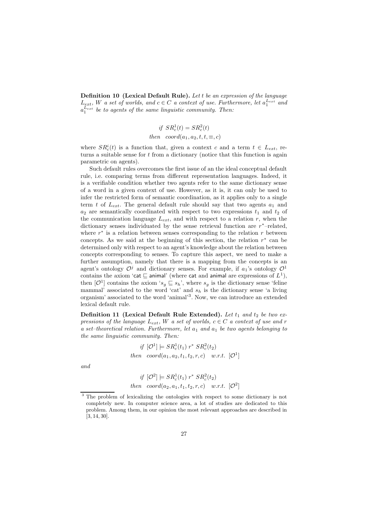**Definition 10 (Lexical Default Rule).** Let t be an expression of the language  $L_{ext}$ , W a set of worlds, and  $c \in C$  a context of use. Furthermore, let  $a_1^{L_{ext}}$  and  $a_2^{L_{ext}}$  be to agents of the same linewistic community. Then:  $a_1^{L_{ext}}$  be to agents of the same linguistic community. Then:

$$
if SRc1(t) = SRc2(t)
$$
  
then  $coord(a_1, a_2, t, t, \equiv, c)$ 

where  $SR_c^i(t)$  is a function that, given a context c and a term  $t \in L_{ext}$ , returns a suitable sense for  $t$  from a dictionary (notice that this function is again parametric on agents).

Such default rules overcomes the first issue of an the ideal conceptual default rule, i.e. comparing terms from different representation languages. Indeed, it is a verifiable condition whether two agents refer to the same dictionary sense of a word in a given context of use. However, as it is, it can only be used to infer the restricted form of semantic coordination, as it applies only to a single term t of  $L_{ext}$ . The general default rule should say that two agents  $a_1$  and  $a_2$  are semantically coordinated with respect to two expressions  $t_1$  and  $t_2$  of the communication language  $I_1$  and with respect to a relation n when the the communication language  $L_{ext}$ , and with respect to a relation r, when the dictionary senses individuated by the sense retrieval function are r<sup>∗</sup>–related, where  $r^*$  is a relation between senses corresponding to the relation r between concepts. As we said at the beginning of this section, the relation  $r^*$  can be determined only with respect to an agent's knowledge about the relation between concepts corresponding to senses. To capture this aspect, we need to make a further assumption, namely that there is a mapping from the concepts is an agent's ontology  $\mathcal{O}^j$  and dictionary senses. For example, if  $a_1$ 's ontology  $\mathcal{O}^1$ contains the axiom 'cat  $\sqsubseteq$  animal' (where cat and animal are expressions of  $L^1$ ), then  $[\mathcal{O}^1]$  contains the axiom ' $s_g \subseteq s_h$ ', where  $s_g$  is the dictionary sense 'feline mammal' associated to the word 'cat' and  $s_h$  is the dictionary sense 'a living organism' associated to the word 'animal'3. Now, we can introduce an extended lexical default rule.

**Definition 11 (Lexical Default Rule Extended).** Let  $t_1$  and  $t_2$  be two expressions of the language  $L_{ext}$ , W a set of worlds,  $c \in C$  a context of use and r a set–theoretical relation. Furthermore, let  $a_1$  and  $a_1$  be two agents belonging to the same linguistic community. Then:

if 
$$
[\mathcal{O}^1] \models SR_c^1(t_1) r^* SR_c^2(t_2)
$$
  
then  $coord(a_1, a_2, t_1, t_2, r, c)$  w.r.t.  $[\mathcal{O}^1]$ 

and

if 
$$
[O^2] \models SR_c^1(t_1) r^* SR_c^2(t_2)
$$
  
then  $coord(a_2, a_1, t_1, t_2, r, c)$  w.r.t.  $[O^2]$ 

<sup>&</sup>lt;sup>3</sup> The problem of lexicalizing the ontologies with respect to some dictionary is not completely new. In computer science area, a lot of studies are dedicated to this problem. Among them, in our opinion the most relevant approaches are described in [3, 14, 30].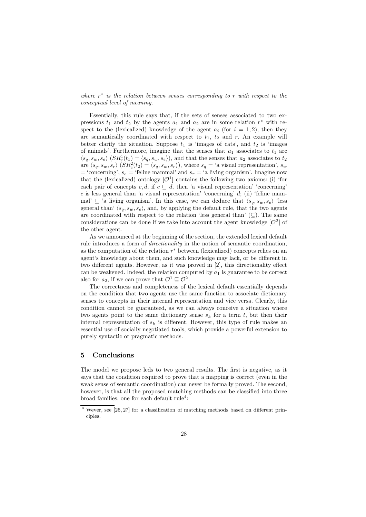#### where  $r^*$  is the relation between senses corresponding to r with respect to the conceptual level of meaning.

Essentially, this rule says that, if the sets of senses associated to two expressions  $t_1$  and  $t_2$  by the agents  $a_1$  and  $a_2$  are in some relation  $r^*$  with respect to the (lexicalized) knowledge of the agent  $a_i$  (for  $i = 1, 2$ ), then they are semantically coordinated with respect to  $t_1$ ,  $t_2$  and r. An example will better clarify the situation. Suppose  $t_1$  is 'images of cats', and  $t_2$  is 'images of animals'. Furthermore, imagine that the senses that  $a_1$  associates to  $t_1$  are  $\langle s_q, s_w, s_e \rangle$   $(SR_c^1(t_1) = \langle s_q, s_w, s_e \rangle)$ , and that the senses that  $a_2$  associates to  $t_2$ are  $\langle s_q, s_w, s_r \rangle$   $\overline{(SR_c^2(t_2))} = \langle s_q, s_w, s_r \rangle$ , where  $s_q = 'a$  visual representation',  $s_w$ = 'concerning',  $s_e$  = 'feline mammal' and  $s_r$  = 'a living organism'. Imagine now that the (lexicalized) ontology  $[O^1]$  contains the following two axioms: (i) 'for each pair of concepts c, d, if  $c \subseteq d$ , then 'a visual representation' 'concerning'  $c$  is less general than 'a visual representation' 'concerning'  $d$ ; (ii) 'feline mammal'  $\subseteq$  'a living organism'. In this case, we can deduce that  $\langle s_q, s_w, s_e \rangle$  'less general than'  $\langle s_q, s_w, s_e \rangle$ , and, by applying the default rule, that the two agents are coordinated with respect to the relation 'less general than'  $(\subseteq)$ . The same considerations can be done if we take into account the agent knowledge  $[O^2]$  of the other agent.

As we announced at the beginning of the section, the extended lexical default rule introduces a form of directionality in the notion of semantic coordination, as the computation of the relation  $r^*$  between (lexicalized) concepts relies on an agent's knowledge about them, and such knowledge may lack, or be different in two different agents. However, as it was proved in [2], this directionality effect can be weakened. Indeed, the relation computed by  $a_1$  is guarantee to be correct also for  $a_2$ , if we can prove that  $\mathcal{O}^1 \sqsubseteq \mathcal{O}^2$ .

The correctness and completeness of the lexical default essentially depends on the condition that two agents use the same function to associate dictionary senses to concepts in their internal representation and vice versa. Clearly, this condition cannot be guaranteed, as we can always conceive a situation where two agents point to the same dictionary sense  $s_k$  for a term t, but then their internal representation of  $s_k$  is different. However, this type of rule makes an essential use of socially negotiated tools, which provide a powerful extension to purely syntactic or pragmatic methods.

#### **5 Conclusions**

The model we propose leds to two general results. The first is negative, as it says that the condition required to prove that a mapping is correct (even in the weak sense of semantic coordination) can never be formally proved. The second, however, is that all the proposed matching methods can be classified into three broad families, one for each default rule<sup>4</sup>:

 $\frac{4}{4}$  Wever, see [25, 27] for a classification of matching methods based on different principles.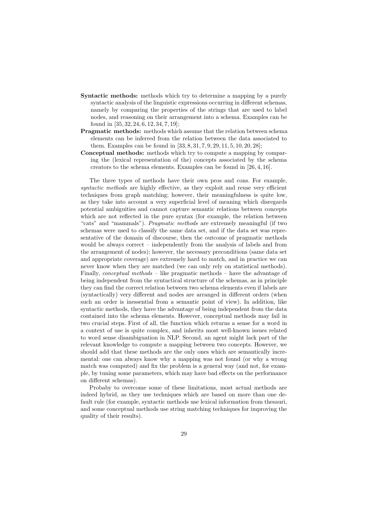- **Syntactic methods:** methods which try to determine a mapping by a purely syntactic analysis of the linguistic expressions occurring in different schemas, namely by comparing the properties of the strings that are used to label nodes, and reasoning on their arrangement into a schema. Examples can be found in [35, 32, 24, 6, 12, 34, 7, 19];
- **Pragmatic methods:** methods which assume that the relation between schema elements can be inferred from the relation between the data associated to them. Examples can be found in [33, 8, 31, 7, 9, 29, 11, 5, 10, 20, 28];
- **Conceptual methods:** methods which try to compute a mapping by comparing the (lexical representation of the) concepts associated by the schema creators to the schema elements. Examples can be found in [26, 4, 16].

The three types of methods have their own pros and cons. For example, syntactic methods are highly effective, as they exploit and reuse very efficient techniques from graph matching; however, their meaningfulness is quite low, as they take into account a very superficial level of meaning which disregards potential ambiguities and cannot capture semantic relations between concepts which are not reflected in the pure syntax (for example, the relation between "cats" and "mammals"). Pragmatic methods are extremely meaningful (if two schemas were used to classify the same data set, and if the data set was representative of the domain of discourse, then the outcome of pragmatic methods would be always correct – independently from the analysis of labels and from the arrangement of nodes); however, the necessary preconditions (same data set and appropriate coverage) are extremely hard to match, and in practice we can never know when they are matched (we can only rely on statistical methods). Finally, conceptual methods – like pragmatic methods – have the advantage of being independent from the syntactical structure of the schemas, as in principle they can find the correct relation between two schema elements even if labels are (syntactically) very different and nodes are arranged in different orders (when such an order is inessential from a semantic point of view). In addition, like syntactic methods, they have the advantage of being independent from the data contained into the schema elements. However, conceptual methods may fail in two crucial steps. First of all, the function which returns a sense for a word in a context of use is quite complex, and inherits most well-known issues related to word sense disambiguation in NLP. Second, an agent might lack part of the relevant knowledge to compute a mapping between two concepts. However, we should add that these methods are the only ones which are semantically incremental: one can always know why a mapping was not found (or why a wrong match was computed) and fix the problem is a general way (and not, for example, by tuning some parameters, which may have bad effects on the performance on different schemas).

Probaby to overcome some of these limitations, most actual methods are indeed hybrid, as they use techniques which are based on more than one default rule (for example, syntactic methods use lexical information from thesauri, and some conceptual methods use string matching techniques for improving the quality of their results).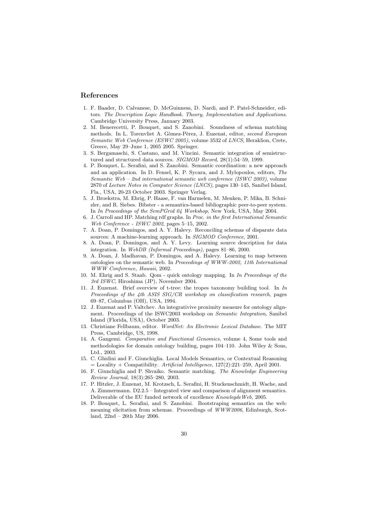#### **References**

- 1. F. Baader, D. Calvanese, D. McGuinness, D. Nardi, and P. Patel-Schneider, editors. The Description Logic Handbook. Theory, Implementation and Applications. Cambridge University Press, January 2003.
- 2. M. Benerecetti, P. Bouquet, and S. Zanobini. Soundness of schema matching methods. In L. Torenvliet A. Gòmez-Pèrez, J. Euzenat, editor, second European Semantic Web Conference (ESWC 2005), volume 3532 of LNCS, Heraklion, Crete, Greece, May 29–June 1, 2005 2005. Springer.
- 3. S. Bergamaschi, S. Castano, and M. Vincini. Semantic integration of semistructured and structured data sources. SIGMOD Record, 28(1):54–59, 1999.
- 4. P. Bouquet, L. Serafini, and S. Zanobini. Semantic coordination: a new approach and an application. In D. Fensel, K. P. Sycara, and J. Mylopoulos, editors, The Semantic Web – 2nd international semantic web conference (ISWC 2003), volume 2870 of Lecture Notes in Computer Science (LNCS), pages 130–145, Sanibel Island, Fla., USA, 20-23 October 2003. Springer Verlag.
- 5. J. Broekstra, M. Ehrig, P. Haase, F. van Harmelen, M. Menken, P. Mika, B. Schnizler, and R. Siebes. Bibster - a semantics-based bibliographic peer-to-peer system. In In Proceedings of the SemPGrid 04 Workshop, New York, USA, May 2004.
- 6. J. Carroll and HP. Matching rdf graphs. In Proc. in the first International Semantic Web Conference - ISWC 2002, pages 5–15, 2002.
- 7. A. Doan, P. Domingos, and A. Y. Halevy. Reconciling schemas of disparate data sources: A machine-learning approach. In SIGMOD Conference, 2001.
- 8. A. Doan, P. Domingos, and A. Y. Levy. Learning source description for data integration. In WebDB (Informal Proceedings), pages 81–86, 2000.
- 9. A. Doan, J. Madhavan, P. Domingos, and A. Halevy. Learning to map between ontologies on the semantic web. In Proceedings of WWW-2002, 11th International WWW Conference, Hawaii, 2002.
- 10. M. Ehrig and S. Staab. Qom quick ontology mapping. In In Proceedings of the 3rd ISWC, Hiroshima (JP), November 2004.
- 11. J. Euzenat. Brief overview of t-tree: the tropes taxonomy building tool. In In Proceedings of the 4th ASIS SIG/CR workshop on classification research, pages 69–87, Columbus (OH), USA, 1994.
- 12. J. Euzenat and P. Valtchev. An integrativive proximity measure for ontology alignment. Proceedings of the ISWC2003 workshop on Semantic Integration, Sanibel Island (Florida, USA), October 2003.
- 13. Christiane Fellbaum, editor. WordNet: An Electronic Lexical Database. The MIT Press, Cambridge, US, 1998.
- 14. A. Gangemi. Comparative and Functional Genomics, volume 4, Some tools and methodologies for domain ontology building, pages 104–110. John Wiley & Sons, Ltd., 2003.
- 15. C. Ghidini and F. Giunchiglia. Local Models Semantics, or Contextual Reasoning  $=$  Locality + Compatibility. Artificial Intelligence, 127(2):221-259, April 2001.
- 16. F. Giunchiglia and P. Shvaiko. Semantic matching. The Knowledge Engineering Review Journal, 18(3):265–280, 2003.
- 17. P. Hitzler, J. Euzenat, M. Krotzsch, L. Serafini, H. Stuckenschmidt, H. Wache, and A. Zimmermann. D2.2.5 – Integrated view and comparison of alignment semantics. Deliverable of the EU funded network of excellence KnowlegdeWeb, 2005.
- 18. P. Bouquet, L. Serafini, and S. Zanobini. Bootstraping semantics on the web: meaning elicitation from schemas. Proceedings of  $WWW2006$ , Edinburgh, Scotland, 22nd – 26th May 2006.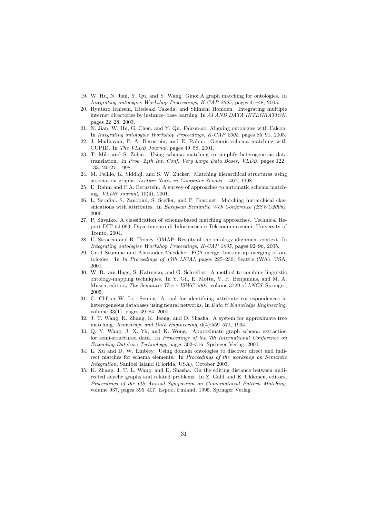- 19. W. Hu, N. Jian, Y. Qu, and Y. Wang. Gmo: A graph matching for ontologies. In Integrating ontologies Workshop Proceedings, K-CAP 2005, pages 41–48, 2005.
- 20. Ryutaro Ichisem, Hiedeaki Takeda, and Shinichi Honiden. Integrating multiple internet directories by instance–base learning. In AI AND DATA INTEGRATION, pages 22–28, 2003.
- 21. N. Jian, W. Hu, G. Chen, and Y. Qu. Falcon-ao: Aligning ontologies with Falcon. In Integrating ontologies Workshop Proceedings, K-CAP 2005, pages 85–91, 2005.
- 22. J. Madhavan, P. A. Bernstein, and E. Rahm. Generic schema matching with CUPID. In The VLDB Journal, pages 49–58, 2001.
- 23. T. Milo and S. Zohar. Using schema matching to simplify heterogeneous data translation. In Proc. 24th Int. Conf. Very Large Data Bases, VLDB, pages 122– 133, 24–27 1998.
- 24. M. Pelillo, K. Siddiqi, and S. W. Zucker. Matching hierarchical structures using association graphs. Lecture Notes in Computer Science, 1407, 1998.
- 25. E. Rahm and P.A. Bernstein. A survey of approaches to automatic schema matching. VLDB Journal, 10(4), 2001.
- 26. L. Serafini, S. Zanobini, S. Sceffer, and P. Bouquet. Matching hierarchical classifications with attributes. In European Semantic Web Conference (ESWC2006), 2006.
- 27. P. Shvaiko. A classification of schema-based matching approaches. Technical Report DIT-04-093, Dipartimento di Informatica e Telecomunicazioni, University of Trento, 2004.
- 28. U. Straccia and R. Troncy. OMAP: Results of the ontology alignment context. In Integrating ontologies Workshop Proceedings, K-CAP 2005, pages 92–96, 2005.
- 29. Gerd Stumme and Alexander Maedche. FCA-merge: bottom-up merging of ontologies. In In Proceedings of 17th IJCAI, pages 225–230, Seattle (WA), USA, 2001.
- 30. W. R. van Hage, S. Katrenko, and G. Schreiber. A method to combine linguistic ontology-mapping techniques. In Y. Gil, E. Motta, V. R. Benjamins, and M. A. Musen, editors, The Semantic Wec – ISWC 2005, volume 3729 of LNCS. Springer, 2005.
- 31. C. Clifton W. Li. Semint: A tool for identifying attribute correspondences in heterogeneous databases using neural networks. In Data  $\mathcal C$  Knowledge Engineering, volume 33(1), pages 49–84, 2000.
- 32. J. T. Wang, K. Zhang, K. Jeong, and D. Shasha. A system for approximate tree matching. Knowledge and Data Engineering, 6(4):559–571, 1994.
- 33. Q. Y. Wang, J. X. Yu, and K. Wong. Approximate graph schema extraction for semi-structured data. In Proceedings of the 7th International Conference on Extending Database Technology, pages 302–316. Springer-Verlag, 2000.
- 34. L. Xu and D. W. Embley. Using domain ontologies to discover direct and indirect matches for schema elements. In *Proceedings of the workshop on Semantic* Integration, Sanibel Island (Florida, USA), October 2003.
- 35. K. Zhang, J. T. L. Wang, and D. Shasha. On the editing distance between undirected acyclic graphs and related problems. In Z. Galil and E. Ukkonen, editors, Proceedings of the 6th Annual Symposium on Combinatorial Pattern Matching, volume 937, pages 395–407, Espoo, Finland, 1995. Springer Verlag.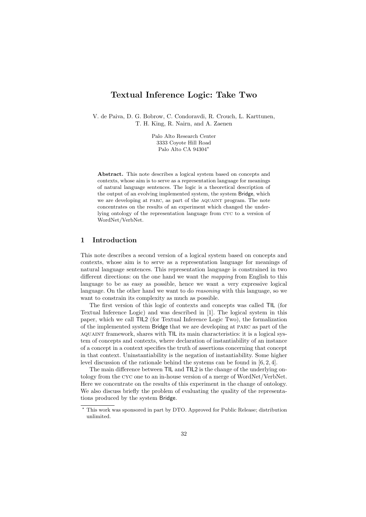## **Textual Inference Logic: Take Two**

V. de Paiva, D. G. Bobrow, C. Condoravdi, R. Crouch, L. Karttunen, T. H. King, R. Nairn, and A. Zaenen

> Palo Alto Research Center 3333 Coyote Hill Road Palo Alto CA 94304\*

**Abstract.** This note describes a logical system based on concepts and contexts, whose aim is to serve as a representation language for meanings of natural language sentences. The logic is a theoretical description of the output of an evolving implemented system, the system Bridge, which we are developing at PARC, as part of the AQUAINT program. The note concentrates on the results of an experiment which changed the underlying ontology of the representation language from cyc to a version of WordNet/VerbNet.

#### **1 Introduction**

This note describes a second version of a logical system based on concepts and contexts, whose aim is to serve as a representation language for meanings of natural language sentences. This representation language is constrained in two different directions: on the one hand we want the mapping from English to this language to be as easy as possible, hence we want a very expressive logical language. On the other hand we want to do *reasoning* with this language, so we want to constrain its complexity as much as possible.

The first version of this logic of contexts and concepts was called TIL (for Textual Inference Logic) and was described in [1]. The logical system in this paper, which we call TIL2 (for Textual Inference Logic Two), the formalization of the implemented system Bridge that we are developing at parc as part of the aquaint framework, shares with TIL its main characteristics: it is a logical system of concepts and contexts, where declaration of instantiability of an instance of a concept in a context specifies the truth of assertions concerning that concept in that context. Uninstantiability is the negation of instantiability. Some higher level discussion of the rationale behind the systems can be found in [6, 2, 4].

The main difference between TIL and TIL2 is the change of the underlying ontology from the cyc one to an in-house version of a merge of WordNet/VerbNet. Here we concentrate on the results of this experiment in the change of ontology. We also discuss briefly the problem of evaluating the quality of the representations produced by the system Bridge.

<sup>\*</sup> This work was sponsored in part by DTO. Approved for Public Release; distribution unlimited.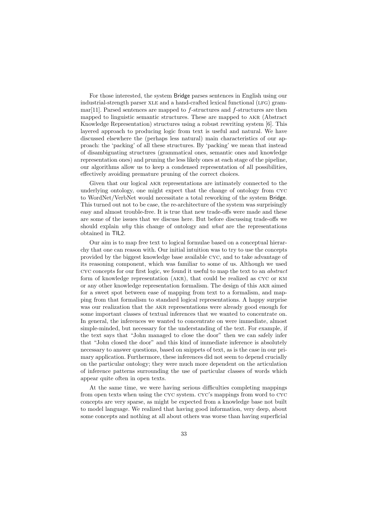For those interested, the system Bridge parses sentences in English using our industrial-strength parser xle and a hand-crafted lexical functional (lfg) gram $mar[11]$ . Parsed sentences are mapped to  $f$ -structures and  $f$ -structures are then mapped to linguistic semantic structures. These are mapped to akr (Abstract Knowledge Representation) structures using a robust rewriting system [6]. This layered approach to producing logic from text is useful and natural. We have discussed elsewhere the (perhaps less natural) main characteristics of our approach: the 'packing' of all these structures. By 'packing' we mean that instead of disambiguating structures (grammatical ones, semantic ones and knowledge representation ones) and pruning the less likely ones at each stage of the pipeline, our algorithms allow us to keep a condensed representation of all possibilities, effectively avoiding premature pruning of the correct choices.

Given that our logical AKR representations are intimately connected to the underlying ontology, one might expect that the change of ontology from cyc to WordNet/VerbNet would necessitate a total reworking of the system Bridge. This turned out not to be case, the re-architecture of the system was surprisingly easy and almost trouble-free. It is true that new trade-offs were made and these are some of the issues that we discuss here. But before discussing trade-offs we should explain why this change of ontology and what are the representations obtained in TIL2.

Our aim is to map free text to logical formulae based on a conceptual hierarchy that one can reason with. Our initial intuition was to try to use the concepts provided by the biggest knowledge base available cyc, and to take advantage of its reasoning component, which was familiar to some of us. Although we used cyc concepts for our first logic, we found it useful to map the text to an abstract form of knowledge representation (akr), that could be realized as cyc or km or any other knowledge representation formalism. The design of this AKR aimed for a sweet spot between ease of mapping from text to a formalism, and mapping from that formalism to standard logical representations. A happy surprise was our realization that the AKR representations were already good enough for some important classes of textual inferences that we wanted to concentrate on. In general, the inferences we wanted to concentrate on were immediate, almost simple-minded, but necessary for the understanding of the text. For example, if the text says that "John managed to close the door" then we can safely infer that "John closed the door" and this kind of immediate inference is absolutely necessary to answer questions, based on snippets of text, as is the case in our primary application. Furthermore, these inferences did not seem to depend crucially on the particular ontology; they were much more dependent on the articulation of inference patterns surrounding the use of particular classes of words which appear quite often in open texts.

At the same time, we were having serious difficulties completing mappings from open texts when using the cyc system. cyc's mappings from word to cyc concepts are very sparse, as might be expected from a knowledge base not built to model language. We realized that having good information, very deep, about some concepts and nothing at all about others was worse than having superficial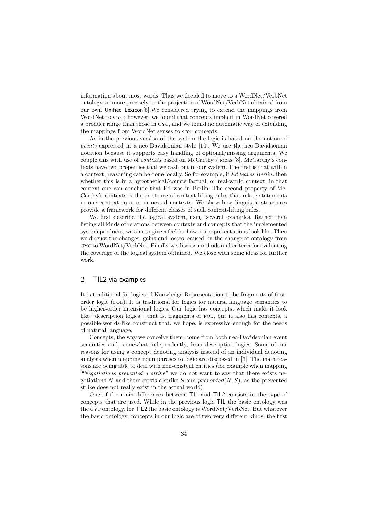information about most words. Thus we decided to move to a WordNet/VerbNet ontology, or more precisely, to the projection of WordNet/VerbNet obtained from our own Unified Lexicon[5].We considered trying to extend the mappings from WordNet to cyc; however, we found that concepts implicit in WordNet covered a broader range than those in cyc, and we found no automatic way of extending the mappings from WordNet senses to cyc concepts.

As in the previous version of the system the logic is based on the notion of events expressed in a neo-Davidsonian style [10]. We use the neo-Davidsonian notation because it supports easy handling of optional/missing arguments. We couple this with use of contexts based on McCarthy's ideas [8]. McCarthy's contexts have two properties that we cash out in our system. The first is that within a context, reasoning can be done locally. So for example, if Ed leaves Berlin. then whether this is in a hypothetical/counterfactual, or real-world context, in that context one can conclude that Ed was in Berlin. The second property of Mc-Carthy's contexts is the existence of context-lifting rules that relate statements in one context to ones in nested contexts. We show how linguistic structures provide a framework for different classes of such context-lifting rules.

We first describe the logical system, using several examples. Rather than listing all kinds of relations between contexts and concepts that the implemented system produces, we aim to give a feel for how our representations look like. Then we discuss the changes, gains and losses, caused by the change of ontology from cyc to WordNet/VerbNet. Finally we discuss methods and criteria for evaluating the coverage of the logical system obtained. We close with some ideas for further work.

#### **2** TIL2 via examples

It is traditional for logics of Knowledge Representation to be fragments of firstorder logic (fol). It is traditional for logics for natural language semantics to be higher-order intensional logics. Our logic has concepts, which make it look like "description logics", that is, fragments of FOL, but it also has contexts, a possible-worlds-like construct that, we hope, is expressive enough for the needs of natural language.

Concepts, the way we conceive them, come from both neo-Davidsonian event semantics and, somewhat independently, from description logics. Some of our reasons for using a concept denoting analysis instead of an individual denoting analysis when mapping noun phrases to logic are discussed in [3]. The main reasons are being able to deal with non-existent entities (for example when mapping "Negotiations prevented a strike" we do not want to say that there exists negotiations N and there exists a strike S and prevented  $(N, S)$ , as the prevented strike does not really exist in the actual world).

One of the main differences between TIL and TIL2 consists in the type of concepts that are used. While in the previous logic TIL the basic ontology was the cyc ontology, for TIL2 the basic ontology is WordNet/VerbNet. But whatever the basic ontology, concepts in our logic are of two very different kinds: the first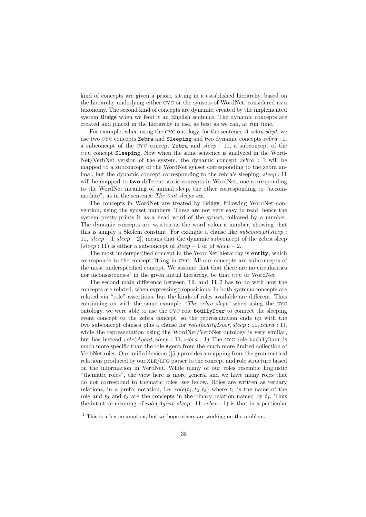kind of concepts are given a priori, sitting in a established hierarchy, based on the hierarchy underlying either cyc or the synsets of WordNet, considered as a taxonomy. The second kind of concepts are dynamic, created by the implemented system Bridge when we feed it an English sentence. The dynamic concepts are created and placed in the hierarchy in use, as best as we can, at run time.

For example, when using the cyc ontology, for the sentence A zebra slept, we use two CYC concepts Zebra and Sleeping and two dynamic concepts  $zebra:1$ , a subconcept of the cyc concept Zebra and sleep : 11, a subconcept of the cyc concept Sleeping. Now when the same sentence is analyzed in the Word-Net/VerbNet version of the system, the dynamic concept zebra : 1 will be mapped to a subconcept of the WordNet synset corresponding to the zebra animal, but the dynamic concept corresponding to the zebra's sleeping, sleep : 11 will be mapped to **two** different static concepts in WordNet, one corresponding to the WordNet meaning of animal sleep, the other corresponding to "accommodate", as in the sentence The tent sleeps six.

The concepts in WordNet are treated by Bridge, following WordNet convention, using the synset numbers. These are not very easy to read, hence the system pretty-prints it as a head word of the synset, followed by a number. The dynamic concepts are written as the word colon a number, showing that this is simply a Skolem constant. For example a clause like *subconcept*(sleep : 11,  $[sleep-1, sleep-2]$  means that the dynamic subconcept of the zebra sleep (sleep : 11) is either a subconcept of  $sleep - 1$  or of  $sleep - 2$ .

The most underspecified concept in the WordNet hierarchy is **entity**, which corresponds to the concept Thing in cyc. All our concepts are subconcepts of the most underspecified concept. We assume that that there are no circularities nor inconsistencies<sup>1</sup> in the given initial hierarchy, be that  $\alpha$  cyc or WordNet.

The second main difference between TIL and TIL2 has to do with how the concepts are related, when expressing propositions. In both systems concepts are related via "role" assertions, but the kinds of roles available are different. Thus continuing on with the same example "The zebra slept" when using the  $CYC$ ontology, we were able to use the cyc role bodilyDoer to connect the sleeping event concept to the zebra concept, so the representation ends up with the two subconcept clauses plus a clause for  $role(bodilyDoer, sleep: 11, zebra: 1)$ , while the representation using the WordNet/VerbNet ontology is very similar, but has instead  $role(Agent, sleep : 11, zebra : 1)$  The CYC role bodilyDoer is much more specific than the role Agent from the much more limited collection of VerbNet roles. Our unified lexicon ([5]) provides a mapping from the grammatical relations produced by our xle/lfg parser to the concept and role structure based on the information in VerbNet. While many of our roles resemble linguistic "thematic roles", the view here is more general and we have many roles that do not correspond to thematic roles, see below. Roles are written as ternary relations, in a prefix notation, i.e.  $role(t_1, t_2, t_3)$  where  $t_1$  is the name of the role and  $t_2$  and  $t_3$  are the concepts in the binary relation named by  $t_1$ . Thus the intuitive meaning of  $role(Agent, sleep: 11, zebra: 1)$  is that in a particular

 $\frac{1}{1}$  This is a big assumption, but we hope others are working on the problem.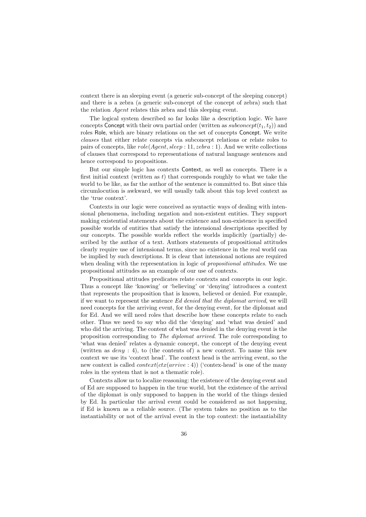context there is an sleeping event (a generic sub-concept of the sleeping concept) and there is a zebra (a generic sub-concept of the concept of zebra) such that the relation Agent relates this zebra and this sleeping event.

The logical system described so far looks like a description logic. We have concepts Concept with their own partial order (written as subconcept $(t_1, t_2)$ ) and roles Role, which are binary relations on the set of concepts Concept. We write clauses that either relate concepts via subconcept relations or relate roles to pairs of concepts, like  $role(Agent, sleep : 11, zebra : 1)$ . And we write collections of clauses that correspond to representations of natural language sentences and hence correspond to propositions.

But our simple logic has contexts Context, as well as concepts. There is a first initial context (written as  $t$ ) that corresponds roughly to what we take the world to be like, as far the author of the sentence is committed to. But since this circumlocution is awkward, we will usually talk about this top level context as the 'true context'.

Contexts in our logic were conceived as syntactic ways of dealing with intensional phenomena, including negation and non-existent entities. They support making existential statements about the existence and non-existence in specified possible worlds of entities that satisfy the intensional descriptions specified by our concepts. The possible worlds reflect the worlds implicitly (partially) described by the author of a text. Authors statements of propositional attitudes clearly require use of intensional terms, since no existence in the real world can be implied by such descriptions. It is clear that intensional notions are required when dealing with the representation in logic of *propositional attitudes*. We use propositional attitudes as an example of our use of contexts.

Propositional attitudes predicates relate contexts and concepts in our logic. Thus a concept like 'knowing' or 'believing' or 'denying' introduces a context that represents the proposition that is known, believed or denied. For example, if we want to represent the sentence Ed denied that the diplomat arrived, we will need concepts for the arriving event, for the denying event, for the diplomat and for Ed. And we will need roles that describe how these concepts relate to each other. Thus we need to say who did the 'denying' and 'what was denied' and who did the arriving. The content of what was denied in the denying event is the proposition corresponding to The diplomat arrived. The role corresponding to 'what was denied' relates a dynamic concept, the concept of the denying event (written as  $deny: 4$ ), to (the contents of) a new context. To name this new context we use its 'context head'. The context head is the arriving event, so the new context is called  $context(ctx(arrive: 4))$  ('contex-head' is one of the many roles in the system that is not a thematic role).

Contexts allow us to localize reasoning: the existence of the denying event and of Ed are supposed to happen in the true world, but the existence of the arrival of the diplomat is only supposed to happen in the world of the things denied by Ed. In particular the arrival event could be considered as not happening, if Ed is known as a reliable source. (The system takes no position as to the instantiability or not of the arrival event in the top context: the instantiability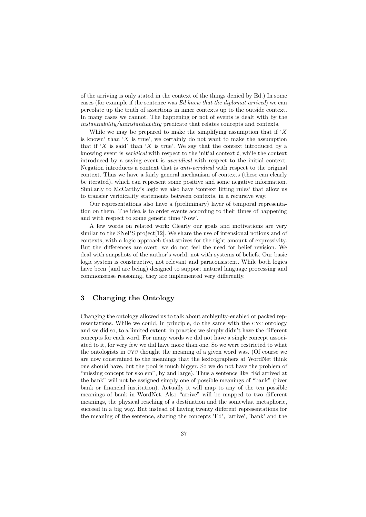of the arriving is only stated in the context of the things denied by Ed.) In some cases (for example if the sentence was Ed knew that the diplomat arrived) we can percolate up the truth of assertions in inner contexts up to the outside context. In many cases we cannot. The happening or not of events is dealt with by the instantiability/uninstantiability predicate that relates concepts and contexts.

While we may be prepared to make the simplifying assumption that if  $X$ is known' than 'X is true', we certainly do not want to make the assumption that if 'X is said' than 'X is true'. We say that the context introduced by a knowing event is *veridical* with respect to the initial context  $t$ , while the context introduced by a saying event is averidical with respect to the initial context. Negation introduces a context that is anti-veridical with respect to the original context. Thus we have a fairly general mechanism of contexts (these can clearly be iterated), which can represent some positive and some negative information. Similarly to McCarthy's logic we also have 'context lifting rules' that allow us to transfer veridicality statements between contexts, in a recursive way.

Our representations also have a (preliminary) layer of temporal representation on them. The idea is to order events according to their times of happening and with respect to some generic time 'Now'.

A few words on related work: Clearly our goals and motivations are very similar to the SNePS project [12]. We share the use of intensional notions and of contexts, with a logic approach that strives for the right amount of expressivity. But the differences are overt: we do not feel the need for belief revision. We deal with snapshots of the author's world, not with systems of beliefs. Our basic logic system is constructive, not relevant and paraconsistent. While both logics have been (and are being) designed to support natural language processing and commonsense reasoning, they are implemented very differently.

# **3 Changing the Ontology**

Changing the ontology allowed us to talk about ambiguity-enabled or packed representations. While we could, in principle, do the same with the cyc ontology and we did so, to a limited extent, in practice we simply didn't have the different concepts for each word. For many words we did not have a single concept associated to it, for very few we did have more than one. So we were restricted to what the ontologists in cyc thought the meaning of a given word was. (Of course we are now constrained to the meanings that the lexicographers at WordNet think one should have, but the pool is much bigger. So we do not have the problem of "missing concept for skolem", by and large). Thus a sentence like "Ed arrived at the bank" will not be assigned simply one of possible meanings of "bank" (river bank or financial institution). Actually it will map to any of the ten possible meanings of bank in WordNet. Also "arrive" will be mapped to two different meanings, the physical reaching of a destination and the somewhat metaphoric, succeed in a big way. But instead of having twenty different representations for the meaning of the sentence, sharing the concepts 'Ed', 'arrive', 'bank' and the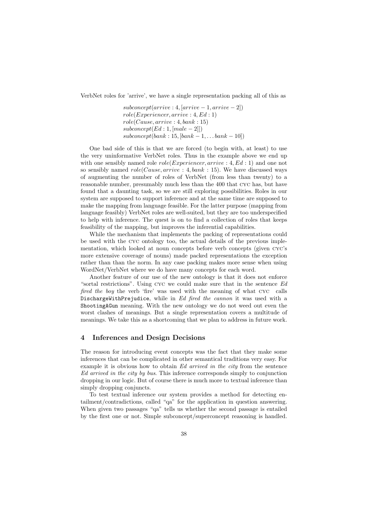VerbNet roles for 'arrive', we have a single representation packing all of this as

 $subconcept(arrive: 4, [arrive - 1, arrive - 2])$  $role(Experiment, arrive: 4, Ed: 1)$  $role(Cause, arrive: 4, bank: 15)$  $subconcept(Ed:1, [male-2]])$  $subconcept(bank: 15, [bank-1, \ldots bank-10])$ 

One bad side of this is that we are forced (to begin with, at least) to use the very uninformative VerbNet roles. Thus in the example above we end up with one sensibly named role  $role(Experiment, arrive: 4, Ed: 1)$  and one not so sensibly named  $role(Cause, arrive: 4, bank: 15)$ . We have discussed ways of augmenting the number of roles of VerbNet (from less than twenty) to a reasonable number, presumably much less than the 400 that cyc has, but have found that a daunting task, so we are still exploring possibilities. Roles in our system are supposed to support inference and at the same time are supposed to make the mapping from language feasible. For the latter purpose (mapping from language feasibly) VerbNet roles are well-suited, but they are too underspecified to help with inference. The quest is on to find a collection of roles that keeps feasibility of the mapping, but improves the inferential capabilities.

While the mechanism that implements the packing of representations could be used with the cyc ontology too, the actual details of the previous implementation, which looked at noun concepts before verb concepts (given cyc's more extensive coverage of nouns) made packed representations the exception rather than than the norm. In any case packing makes more sense when using WordNet/VerbNet where we do have many concepts for each word.

Another feature of our use of the new ontology is that it does not enforce "sortal restrictions". Using cyc we could make sure that in the sentence Ed fired the boy the verb 'fire' was used with the meaning of what cyc calls DischargeWithPrejudice, while in Ed fired the cannon it was used with a ShootingAGun meaning. With the new ontology we do not weed out even the worst clashes of meanings. But a single representation covers a multitude of meanings. We take this as a shortcoming that we plan to address in future work.

## **4 Inferences and Design Decisions**

The reason for introducing event concepts was the fact that they make some inferences that can be complicated in other semantical traditions very easy. For example it is obvious how to obtain Ed arrived in the city from the sentence Ed arrived in the city by bus. This inference corresponds simply to conjunction dropping in our logic. But of course there is much more to textual inference than simply dropping conjuncts.

To test textual inference our system provides a method for detecting entailment/contradictions, called "qa" for the application in question answering. When given two passages "qa" tells us whether the second passage is entailed by the first one or not. Simple subconcept/superconcept reasoning is handled.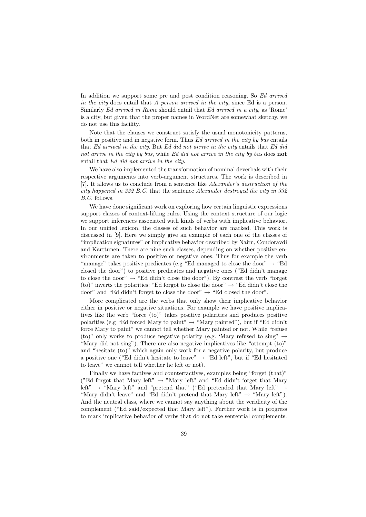In addition we support some pre and post condition reasoning. So Ed arrived in the city does entail that A person arrived in the city, since Ed is a person. Similarly Ed arrived in Rome should entail that Ed arrived in a city, as 'Rome' is a city, but given that the proper names in WordNet are somewhat sketchy, we do not use this facility.

Note that the clauses we construct satisfy the usual monotonicity patterns, both in positive and in negative form. Thus Ed arrived in the city by bus entails that Ed arrived in the city. But Ed did not arrive in the city entails that Ed did not arrive in the city by bus, while Ed did not arrive in the city by bus does **not** entail that Ed did not arrive in the city.

We have also implemented the transformation of nominal deverbals with their respective arguments into verb-argument structures. The work is described in [7]. It allows us to conclude from a sentence like Alexander's destruction of the city happened in 332 B.C. that the sentence Alexander destroyed the city in 332 B.C. follows.

We have done significant work on exploring how certain linguistic expressions support classes of context-lifting rules. Using the context structure of our logic we support inferences associated with kinds of verbs with implicative behavior. In our unified lexicon, the classes of such behavior are marked. This work is discussed in [9]. Here we simply give an example of each one of the classes of "implication signatures" or implicative behavior described by Nairn, Condoravdi and Karttunen. There are nine such classes, depending on whether positive environments are taken to positive or negative ones. Thus for example the verb "manage" takes positive predicates (e.g "Ed managed to close the door"  $\rightarrow$  "Ed closed the door") to positive predicates and negative ones ("Ed didn't manage to close the door"  $\rightarrow$  "Ed didn't close the door"). By contrast the verb "forget (to)" inverts the polarities: "Ed forgot to close the door"  $\rightarrow$  "Ed didn't close the door" and "Ed didn't forget to close the door"  $\rightarrow$  "Ed closed the door".

More complicated are the verbs that only show their implicative behavior either in positive or negative situations. For example we have positive implicatives like the verb "force (to)" takes positive polarities and produces positive polarities (e.g "Ed forced Mary to paint"  $\rightarrow$  "Mary painted"), but if "Ed didn't force Mary to paint" we cannot tell whether Mary painted or not. While "refuse (to)" only works to produce negative polarity (e.g. 'Mary refused to sing"  $\rightarrow$ "Mary did not sing"). There are also negative implicatives like "attempt (to)" and "hesitate (to)" which again only work for a negative polarity, but produce a positive one ("Ed didn't hesitate to leave"  $\rightarrow$  "Ed left", but if "Ed hesitated to leave" we cannot tell whether he left or not).

Finally we have factives and counterfactives, examples being "forget (that)" ("Ed forgot that Mary left"  $\rightarrow$  "Mary left" and "Ed didn't forget that Mary left"  $\rightarrow$  "Mary left" and "pretend that" ("Ed pretended that Mary left"  $\rightarrow$ "Mary didn't leave" and "Ed didn't pretend that Mary left"  $\rightarrow$  "Mary left"). And the neutral class, where we cannot say anything about the veridicity of the complement ("Ed said/expected that Mary left"). Further work is in progress to mark implicative behavior of verbs that do not take sentential complements.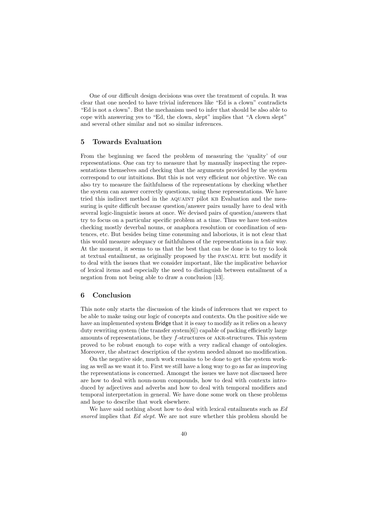One of our difficult design decisions was over the treatment of copula. It was clear that one needed to have trivial inferences like "Ed is a clown" contradicts "Ed is not a clown". But the mechanism used to infer that should be also able to cope with answering yes to "Ed, the clown, slept" implies that "A clown slept" and several other similar and not so similar inferences.

## **5 Towards Evaluation**

From the beginning we faced the problem of measuring the 'quality' of our representations. One can try to measure that by manually inspecting the representations themselves and checking that the arguments provided by the system correspond to our intuitions. But this is not very efficient nor objective. We can also try to measure the faithfulness of the representations by checking whether the system can answer correctly questions, using these representations. We have tried this indirect method in the AQUAINT pilot KB Evaluation and the measuring is quite difficult because question/answer pairs usually have to deal with several logic-linguistic issues at once. We devised pairs of question/answers that try to focus on a particular specific problem at a time. Thus we have test-suites checking mostly deverbal nouns, or anaphora resolution or coordination of sentences, etc. But besides being time consuming and laborious, it is not clear that this would measure adequacy or faithfulness of the representations in a fair way. At the moment, it seems to us that the best that can be done is to try to look at textual entailment, as originally proposed by the PASCAL RTE but modify it to deal with the issues that we consider important, like the implicative behavior of lexical items and especially the need to distinguish between entailment of a negation from not being able to draw a conclusion [13].

# **6 Conclusion**

This note only starts the discussion of the kinds of inferences that we expect to be able to make using our logic of concepts and contexts. On the positive side we have an implemented system Bridge that it is easy to modify as it relies on a heavy duty rewriting system (the transfer system[6]) capable of packing efficiently large amounts of representations, be they f-structures or akr-structures. This system proved to be robust enough to cope with a very radical change of ontologies. Moreover, the abstract description of the system needed almost no modification.

On the negative side, much work remains to be done to get the system working as well as we want it to. First we still have a long way to go as far as improving the representations is concerned. Amongst the issues we have not discussed here are how to deal with noun-noun compounds, how to deal with contexts introduced by adjectives and adverbs and how to deal with temporal modifiers and temporal interpretation in general. We have done some work on these problems and hope to describe that work elsewhere.

We have said nothing about how to deal with lexical entailments such as Ed snored implies that Ed slept. We are not sure whether this problem should be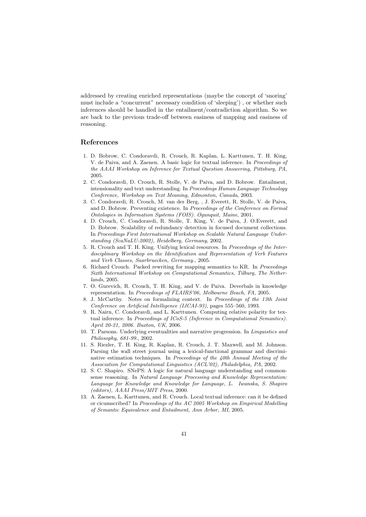addressed by creating enriched representations (maybe the concept of 'snoring' must include a "concurrent" necessary condition of 'sleeping') , or whether such inferences should be handled in the entailment/contradiction algorithm. So we are back to the previous trade-off between easiness of mapping and easiness of reasoning.

## **References**

- 1. D. Bobrow, C. Condoravdi, R. Crouch, R. Kaplan, L. Karttunen, T. H. King, V. de Paiva, and A. Zaenen. A basic logic for textual inference. In Proceedings of the AAAI Workshop on Inference for Textual Question Answering, Pittsburg, PA, 2005.
- 2. C. Condoravdi, D. Crouch, R. Stolle, V. de Paiva, and D. Bobrow. Entailment, intensionality and text understanding. In Proceedings Human Language Technology Conference, Workshop on Text Meaning, Edmonton, Canada, 2003.
- 3. C. Condoravdi, R. Crouch, M. van der Berg, , J. Everett, R. Stolle, V. de Paiva, and D. Bobrow. Preventing existence. In Proceedings of the Conference on Formal Ontologies in Information Systems (FOIS). Ogunquit, Maine, 2001.
- 4. D. Crouch, C. Condoravdi, R. Stolle, T. King, V. de Paiva, J. O.Everett, and D. Bobrow. Scalability of redundancy detection in focused document collections. In Proceedings First International Workshop on Scalable Natural Language Understanding (ScaNaLU-2002), Heidelberg, Germany, 2002.
- 5. R. Crouch and T. H. King. Unifying lexical resources. In Proceedings of the Interdisciplinary Workshop on the Identification and Representation of Verb Features and Verb Classes, Saarbruecken, Germany., 2005.
- 6. Richard Crouch. Packed rewriting for mapping semantics to KR. In Proceedings Sixth International Workshop on Computational Semantics, Tilburg, The Netherlands, 2005.
- 7. O. Gurevich, R. Crouch, T. H. King, and V. de Paiva. Deverbals in knowledge representation. In Proceedings of FLAIRS'06, Melbourne Beach, FA, 2005.
- 8. J. McCarthy. Notes on formalizing context. In Proceedings of the 13th Joint Conference on Artificial Intelligence (IJCAI-93), pages 555–560, 1993.
- 9. R. Nairn, C. Condoravdi, and L. Karttunen. Computing relative polarity for textual inference. In Proceedings of ICoS-5 (Inference in Computational Semantics). April 20-21, 2006. Buxton, UK, 2006.
- 10. T. Parsons. Underlying eventualities and narrative progression. In Linguistics and Philosophy, 681-99., 2002.
- 11. S. Riezler, T. H. King, R. Kaplan, R. Crouch, J. T. Maxwell, and M. Johnson. Parsing the wall street journal using a lexical-functional grammar and discriminative estimation techniques. In Proceedings of the 40th Annual Meeting of the Association for Computational Linguistics (ACL'02), Philadelphia, PA, 2002.
- 12. S. C. Shapiro. SNePS: A logic for natural language understanding and commonsense reasoning. In Natural Language Processing and Knowledge Representation: Language for Knowledge and Knowledge for Language, L. Iwanska, S. Shapiro (editors), AAAI Press/MIT Press, 2000.
- 13. A. Zaenen, L. Karttunen, and R. Crouch. Local textual inference: can it be defined or cicumscribed? In Proceedings of the AC 2005 Workshop on Empirical Modelling of Semantic Equivalence and Entailment, Ann Arbor, MI, 2005.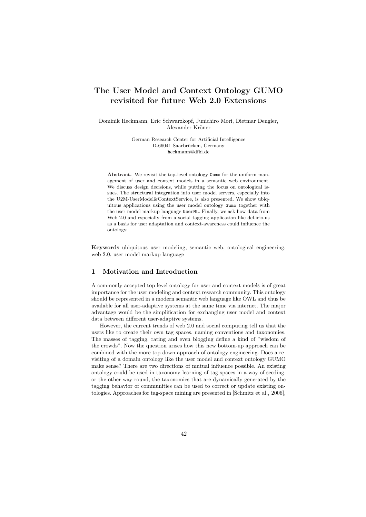# **The User Model and Context Ontology GUMO revisited for future Web 2.0 Extensions**

Dominik Heckmann, Eric Schwarzkopf, Junichiro Mori, Dietmar Dengler, Alexander Kröner

> German Research Center for Artificial Intelligence D-66041 Saarbrücken, Germany heckmann@dfki.de

**Abstract.** We revisit the top-level ontology Gumo for the uniform management of user and context models in a semantic web environment. We discuss design decisions, while putting the focus on ontological issues. The structural integration into user model servers, especially into the U2M-UserModel&ContextService, is also presented. We show ubiquitous applications using the user model ontology Gumo together with the user model markup language UserML. Finally, we ask how data from Web 2.0 and especially from a social tagging application like del.icio.us as a basis for user adaptation and context-awareness could influence the ontology.

**Keywords** ubiquitous user modeling, semantic web, ontological engineering, web 2.0, user model markup language

# **1 Motivation and Introduction**

A commonly accepted top level ontology for user and context models is of great importance for the user modeling and context research community. This ontology should be represented in a modern semantic web language like OWL and thus be available for all user-adaptive systems at the same time via internet. The major advantage would be the simplification for exchanging user model and context data between different user-adaptive systems.

However, the current trends of web 2.0 and social computing tell us that the users like to create their own tag spaces, naming conventions and taxonomies. The masses of tagging, rating and even blogging define a kind of "wisdom of the crowds". Now the question arises how this new bottom-up approach can be combined with the more top-down approach of ontology engineering. Does a revisiting of a domain ontology like the user model and context ontology GUMO make sense? There are two directions of mutual influence possible. An existing ontology could be used in taxonomy learning of tag spaces in a way of seeding, or the other way round, the taxonomies that are dynamically generated by the tagging behavior of communities can be used to correct or update existing ontologies. Approaches for tag-space mining are presented in [Schmitz et al., 2006],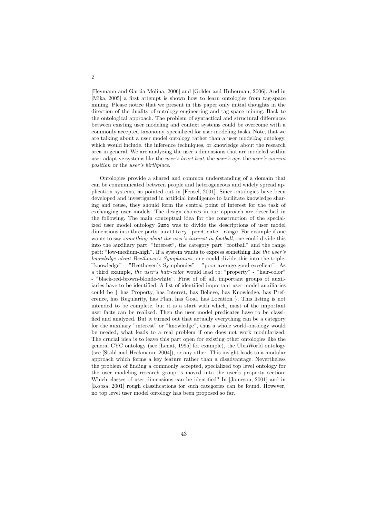[Heymann and Garcia-Molina, 2006] and [Golder and Huberman, 2006]. And in [Mika, 2005] a first attempt is shown how to learn ontologies from tag-space mining. Please notice that we present in this paper only initial thoughts in the direction of the duality of ontology engineering and tag-space mining. Back to the ontological approach. The problem of syntactical and structural differences between existing user modeling and context systems could be overcome with a commonly accepted taxonomy, specialized for user modeling tasks. Note, that we are talking about a user model ontology rather than a user modeling ontology, which would include, the inference techniques, or knowledge about the research area in general. We are analyzing the user's dimensions that are modeled within user-adaptive systems like the user's heart beat, the user's age, the user's current position or the user's birthplace.

Ontologies provide a shared and common understanding of a domain that can be communicated between people and heterogeneous and widely spread application systems, as pointed out in [Fensel, 2001]. Since ontologies have been developed and investigated in artificial intelligence to facilitate knowledge sharing and reuse, they should form the central point of interest for the task of exchanging user models. The design choices in our approach are described in the following. The main conceptual idea for the construction of the specialized user model ontology Gumo was to divide the descriptions of user model dimensions into three parts: auxiliary - predicate - range. For example if one wants to say *something about the user's interest in football*, one could divide this into the auxiliary part: "interest", the category part "football" and the range part: "low-medium-high". If a system wants to express something like the user's knowledge about Beethoven's Symphonies, one could divide this into the triple: "knowledge" - "Beethoven's Symphonies" - "poor-average-good-excellent". As a third example, the user's hair-color would lead to: "property" - "hair-color" - "black-red-brown-blonde-white". First of off all, important groups of auxiliaries have to be identified. A list of identified important user model auxiliaries could be { has Property, has Interest, has Believe, has Knowledge, has Preference, has Regularity, has Plan, has Goal, has Location }. This listing is not intended to be complete, but it is a start with which, most of the important user facts can be realized. Then the user model predicates have to be classified and analyzed. But it turned out that actually everything can be a category for the auxiliary "interest" or "knowledge", thus a whole world-ontology would be needed, what leads to a real problem if one does not work modularized. The crucial idea is to leave this part open for existing other ontologies like the general CYC ontology (see [Lenat, 1995] for example), the UbisWorld ontology (see [Stahl and Heckmann, 2004]), or any other. This insight leads to a modular approach which forms a key feature rather than a disadvantage. Nevertheless the problem of finding a commonly accepted, specialized top level ontology for the user modeling research group is moved into the user's property section: Which classes of user dimensions can be identified? In [Jameson, 2001] and in [Kobsa, 2001] rough classifications for such categories can be found. However, no top level user model ontology has been proposed so far.

2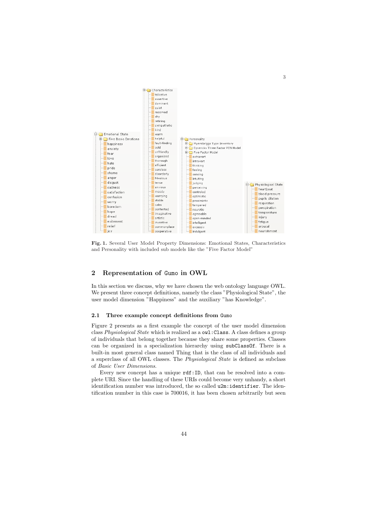

**Fig. 1.** Several User Model Property Dimensions: Emotional States, Characteristics and Personality with included sub models like the "Five Factor Model"

# **2 Representation of** Gumo **in OWL**

In this section we discuss, why we have chosen the web ontology language OWL. We present three concept definitions, namely the class "Physiological State", the user model dimension "Happiness" and the auxiliary "has Knowledge".

#### **2.1 Three example concept definitions from** Gumo

Figure 2 presents as a first example the concept of the user model dimension class Physiological State which is realized as a owl: Class. A class defines a group of individuals that belong together because they share some properties. Classes can be organized in a specialization hierarchy using subClassOf. There is a built-in most general class named Thing that is the class of all individuals and a superclass of all OWL classes. The Physiological State is defined as subclass of Basic User Dimensions.

Every new concept has a unique rdf:ID, that can be resolved into a complete URI. Since the handling of these URIs could become very unhandy, a short identification number was introduced, the so called u2m:identifier. The identification number in this case is 700016, it has been chosen arbitrarily but seen

3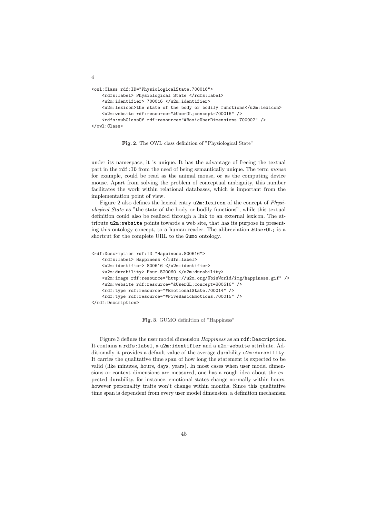```
<owl:Class rdf:ID="PhysiologicalState.700016">
   <rdfs:label> Physiological State </rdfs:label>
    <u2m:identifier> 700016 </u2m:identifier>
    <u2m:lexicon>the state of the body or bodily functions</u2m:lexicon>
    <u2m:website rdf:resource="&UserOL;concept=700016" />
    <rdfs:subClassOf rdf:resource="#BasicUserDimensions.700002" />
</owl:Class>
```
4

**Fig. 2.** The OWL class definition of "Physiological State"

under its namespace, it is unique. It has the advantage of freeing the textual part in the rdf:ID from the need of being semantically unique. The term mouse for example, could be read as the animal mouse, or as the computing device mouse. Apart from solving the problem of conceptual ambiguity, this number facilitates the work within relational databases, which is important from the implementation point of view.

Figure 2 also defines the lexical entry u2m:lexicon of the concept of Physiological State as "the state of the body or bodily functions", while this textual definition could also be realized through a link to an external lexicon. The attribute u2m:website points towards a web site, that has its purpose in presenting this ontology concept, to a human reader. The abbreviation &UserOL; is a shortcut for the complete URL to the Gumo ontology.

```
<rdf:Description rdf:ID="Happiness.800616">
    <rdfs:label> Happiness </rdfs:label>
    <u2m:identifier> 800616 </u2m:identifier>
    <u2m:durability> Hour.520060 </u2m:durability>
    <u2m:image rdf:resource="http://u2m.org/UbisWorld/img/happiness.gif" />
    <u2m:website rdf:resource="&UserOL;concept=800616" />
    <rdf:type rdf:resource="#EmotionalState.700014" />
    <rdf:type rdf:resource="#FiveBasicEmotions.700015" />
</rdf:Description>
```
**Fig. 3.** GUMO definition of "Happiness"

Figure 3 defines the user model dimension Happiness as an rdf: Description. It contains a rdfs:label, a u2m:identifier and a u2m:website attribute. Additionally it provides a default value of the average durability u2m:durability. It carries the qualitative time span of how long the statement is expected to be valid (like minutes, hours, days, years). In most cases when user model dimensions or context dimensions are measured, one has a rough idea about the expected durability, for instance, emotional states change normally within hours, however personality traits won't change within months. Since this qualitative time span is dependent from every user model dimension, a definition mechanism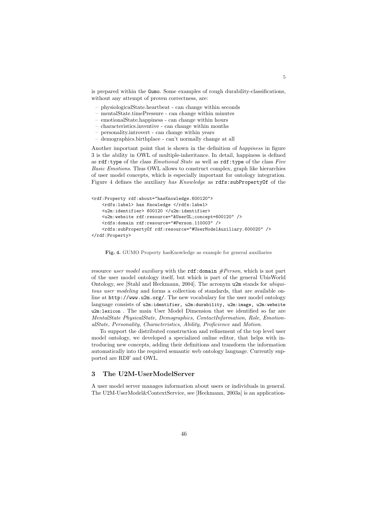is prepared within the Gumo. Some examples of rough durability-classifications, without any attempt of proven correctness, are:

- physiologicalState.heartbeat can change within seconds
- mentalState.timePressure can change within minutes
- emotionalState.happiness can change within hours
- characteristics.inventive can change within months
- personality.introvert can change within years
- demographics.birthplace can't normally change at all

Another important point that is shown in the definition of happiness in figure 3 is the ability in OWL of multiple-inheritance. In detail, happiness is defined as  $\texttt{rdf:type}$  of the class *Emotional State* as well as  $\texttt{rdf:type}$  of the class *Five* Basic Emotions. Thus OWL allows to construct complex, graph like hierarchies of user model concepts, which is especially important for ontology integration. Figure 4 defines the auxiliary has Knowledge as rdfs:subPropertyOf of the

```
<rdf:Property rdf:about="hasKnowledge.600120">
    <rdfs:label> has Knowledge </rdfs:label>
    <u2m:identifier> 600120 </u2m:identifier>
    <u2m:website rdf:resource="&UserOL;concept=600120" />
    <rdfs:domain rdf:resource="#Person.110003" />
    <rdfs:subPropertyOf rdf:resource="#UserModelAuxiliary.600020" />
</rdf:Property>
```
#### **Fig. 4.** GUMO Property hasKnowledge as example for general auxiliaries

resource user model auxiliary with the  $\texttt{rdf:domain} \# Person$ , which is not part of the user model ontology itself, but which is part of the general UbisWorld Ontology, see [Stahl and Heckmann, 2004]. The acronym u2m stands for ubiquitous user modeling and forms a collection of standards, that are available online at http://www.u2m.org/. The new vocabulary for the user model ontology language consists of u2m:identifier, u2m:durability, u2m:image, u2m:website u2m:lexicon . The main User Model Dimension that we identified so far are MentalState PhysicalState, Demographics, ContactInformation, Role, EmotionalState, Personality, Characteristics, Ability, Proficience and Motion.

To support the distributed construction and refinement of the top level user model ontology, we developed a specialized online editor, that helps with introducing new concepts, adding their definitions and transform the information automatically into the required semantic web ontology language. Currently supported are RDF and OWL.

#### **3 The U2M-UserModelServer**

A user model server manages information about users or individuals in general. The U2M-UserModel&ContextService, see [Heckmann, 2003a] is an application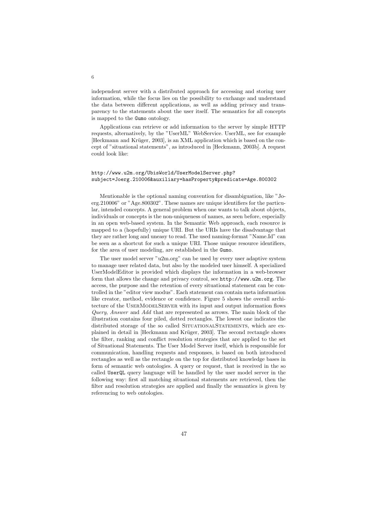independent server with a distributed approach for accessing and storing user information, while the focus lies on the possibility to exchange and understand the data between different applications, as well as adding privacy and transparency to the statements about the user itself. The semantics for all concepts is mapped to the Gumo ontology.

Applications can retrieve or add information to the server by simple HTTP requests, alternatively, by the "UserML" WebService. UserML, see for example [Heckmann and Krüger, 2003], is an XML application which is based on the concept of "situational statements", as introduced in [Heckmann, 2003b]. A request could look like:

#### http://www.u2m.org/UbisWorld/UserModelServer.php? subject=Joerg.210006&auxiliary=hasProperty&predicate=Age.800302

Mentionable is the optional naming convention for disambiguation, like "Joerg.210006" or "Age.800302". These names are unique identifiers for the particular, intended concepts. A general problem when one wants to talk about objects, individuals or concepts is the non-uniqueness of names, as seen before, especially in an open web-based system. In the Semantic Web approach, each resource is mapped to a (hopefully) unique URI. But the URIs have the disadvantage that they are rather long and uneasy to read. The used naming-format "Name.Id" can be seen as a shortcut for such a unique URI. Those unique resource identifiers, for the area of user modeling, are established in the Gumo.

The user model server "u2m.org" can be used by every user adaptive system to manage user related data, but also by the modeled user himself. A specialized UserModelEditor is provided which displays the information in a web-browser form that allows the change and privacy control, see http://www.u2m.org. The access, the purpose and the retention of every situational statement can be controlled in the "editor view modus". Each statement can contain meta information like creator, method, evidence or confidence. Figure 5 shows the overall architecture of the UserModelServer with its input and output information flows Query, Answer and Add that are represented as arrows. The main block of the illustration contains four piled, dotted rectangles. The lowest one indicates the distributed storage of the so called SITUATIONALSTATEMENTS, which are explained in detail in [Heckmann and Krüger, 2003]. The second rectangle shows the filter, ranking and conflict resolution strategies that are applied to the set of Situational Statements. The User Model Server itself, which is responsible for communication, handling requests and responses, is based on both introduced rectangles as well as the rectangle on the top for distributed knowledge bases in form of semantic web ontologies. A query or request, that is received in the so called UserQL query language will be handled by the user model server in the following way: first all matching situational statements are retrieved, then the filter and resolution strategies are applied and finally the semantics is given by referencing to web ontologies.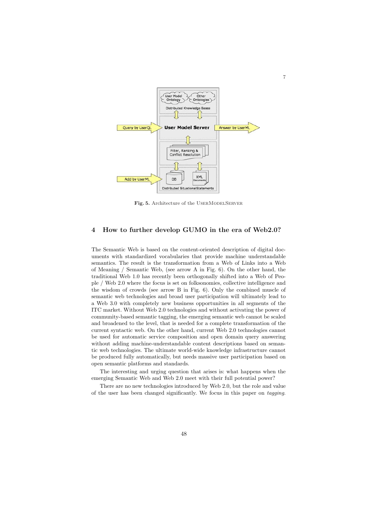

7

Fig. 5. Architecture of the USERMODELSERVER

## **4 How to further develop GUMO in the era of Web2.0?**

The Semantic Web is based on the content-oriented description of digital documents with standardized vocabularies that provide machine understandable semantics. The result is the transformation from a Web of Links into a Web of Meaning / Semantic Web, (see arrow A in Fig. 6). On the other hand, the traditional Web 1.0 has recently been orthogonally shifted into a Web of People / Web 2.0 where the focus is set on folksonomies, collective intelligence and the wisdom of crowds (see arrow B in Fig. 6). Only the combined muscle of semantic web technologies and broad user participation will ultimately lead to a Web 3.0 with completely new business opportunities in all segments of the ITC market. Without Web 2.0 technologies and without activating the power of community-based semantic tagging, the emerging semantic web cannot be scaled and broadened to the level, that is needed for a complete transformation of the current syntactic web. On the other hand, current Web 2.0 technologies cannot be used for automatic service composition and open domain query answering without adding machine-understandable content descriptions based on semantic web technologies. The ultimate world-wide knowledge infrastructure cannot be produced fully automatically, but needs massive user participation based on open semantic platforms and standards.

The interesting and urging question that arises is: what happens when the emerging Semantic Web and Web 2.0 meet with their full potential power?

There are no new technologies introduced by Web 2.0, but the role and value of the user has been changed significantly. We focus in this paper on tagging.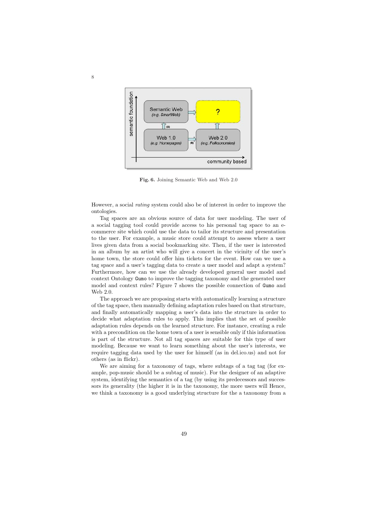

**Fig. 6.** Joining Semantic Web and Web 2.0

However, a social rating system could also be of interest in order to improve the ontologies.

Tag spaces are an obvious source of data for user modeling. The user of a social tagging tool could provide access to his personal tag space to an ecommerce site which could use the data to tailor its structure and presentation to the user. For example, a music store could attempt to assess where a user lives given data from a social bookmarking site. Then, if the user is interested in an album by an artist who will give a concert in the vicinity of the user's home town, the store could offer him tickets for the event. How can we use a tag space and a user's tagging data to create a user model and adapt a system? Furthermore, how can we use the already developed general user model and context Ontology Gumo to improve the tagging taxonomy and the generated user model and context rules? Figure 7 shows the possible connection of Gumo and Web 2.0.

The approach we are proposing starts with automatically learning a structure of the tag space, then manually defining adaptation rules based on that structure, and finally automatically mapping a user's data into the structure in order to decide what adaptation rules to apply. This implies that the set of possible adaptation rules depends on the learned structure. For instance, creating a rule with a precondition on the home town of a user is sensible only if this information is part of the structure. Not all tag spaces are suitable for this type of user modeling. Because we want to learn something about the user's interests, we require tagging data used by the user for himself (as in del.ico.us) and not for others (as in flickr).

We are aiming for a taxonomy of tags, where subtags of a tag tag (for example, pop-music should be a subtag of music). For the designer of an adaptive system, identifying the semantics of a tag (by using its predecessors and successors its generality (the higher it is in the taxonomy, the more users will Hence, we think a taxonomy is a good underlying structure for the a taxonomy from a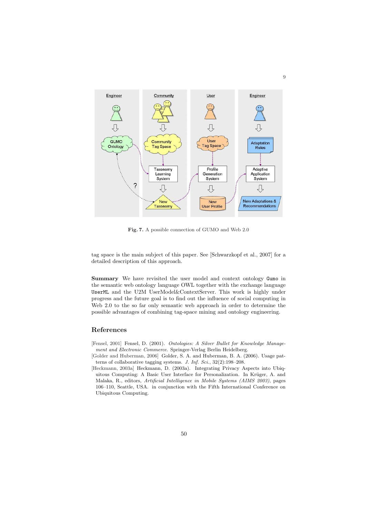

**Fig. 7.** A possible connection of GUMO and Web 2.0

tag space is the main subject of this paper. See [Schwarzkopf et al., 2007] for a detailed description of this approach.

Summary We have revisited the user model and context ontology Gumo in the semantic web ontology language OWL together with the exchange language UserML and the U2M UserModel&ContextServer. This work is highly under progress and the future goal is to find out the influence of social computing in Web 2.0 to the so far only semantic web approach in order to determine the possible advantages of combining tag-space mining and ontology engineering.

## **References**

- [Fensel, 2001] Fensel, D. (2001). Ontologies: A Silver Bullet for Knowledge Management and Electronic Commerce. Springer-Verlag Berlin Heidelberg.
- [Golder and Huberman, 2006] Golder, S. A. and Huberman, B. A. (2006). Usage patterns of collaborative tagging systems. J. Inf. Sci., 32(2):198–208.
- [Heckmann, 2003a] Heckmann, D. (2003a). Integrating Privacy Aspects into Ubiquitous Computing: A Basic User Interface for Personalization. In Krüger, A. and Malaka, R., editors, Artificial Intelligence in Mobile Systems (AIMS 2003), pages 106–110, Seattle, USA. in conjunction with the Fifth International Conference on Ubiquitous Computing.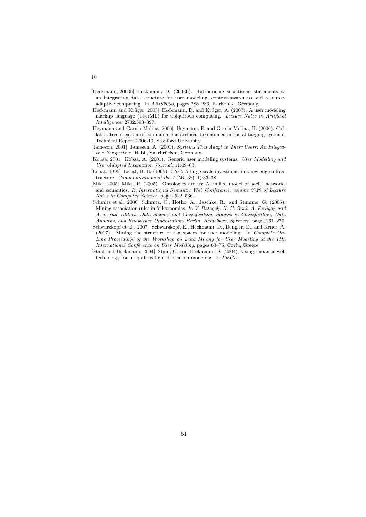- [Heckmann, 2003b] Heckmann, D. (2003b). Introducing situational statements as an integrating data structure for user modeling, context-awareness and resourceadaptive computing. In ABIS2003, pages 283–286, Karlsruhe, Germany.
- [Heckmann and Krüger, 2003] Heckmann, D. and Krüger, A. (2003). A user modeling markup language (UserML) for ubiquitous computing. Lecture Notes in Artificial Intelligence, 2702:393–397.
- [Heymann and Garcia-Molina, 2006] Heymann, P. and Garcia-Molina, H. (2006). Collaborative creation of communal hierarchical taxonomies in social tagging systems. Technical Report 2006-10, Stanford University.
- [Jameson, 2001] Jameson, A. (2001). Systems That Adapt to Their Users: An Integrative Perspective. Habil, Saarbrücken, Germany.
- [Kobsa, 2001] Kobsa, A. (2001). Generic user modeling systems. User Modelling and User-Adapted Interaction Journal, 11:49–63.
- [Lenat, 1995] Lenat, D. B. (1995). CYC: A large-scale investment in knowledge infrastructure. Communications of the ACM, 38(11):33–38.
- [Mika, 2005] Mika, P. (2005). Ontologies are us: A unified model of social networks and semantics. In International Semantic Web Conference, volume 3729 of Lecture Notes in Computer Science, pages 522–536.
- [Schmitz et al., 2006] Schmitz, C., Hotho, A., Jaschke, R., and Stumme, G. (2006). Mining association rules in folksonomies. In V. Batagelj, H.-H. Bock, A. Ferligoj, and A. iberna, editors, Data Science and Classification, Studies in Classification, Data Analysis, and Knowledge Organization, Berlin, Heidelberg, Springer, pages 261–270.
- [Schwarzkopf et al., 2007] Schwarzkopf, E., Heckmann, D., Dengler, D., and Krner, A. (2007). Mining the structure of tag spaces for user modeling. In Complete On-Line Proceedings of the Workshop on Data Mining for User Modeling at the 11th International Conference on User Modeling, pages 63–75, Corfu, Greece.
- [Stahl and Heckmann, 2004] Stahl, C. and Heckmann, D. (2004). Using semantic web technology for ubiquitous hybrid location modeling. In UbiGis.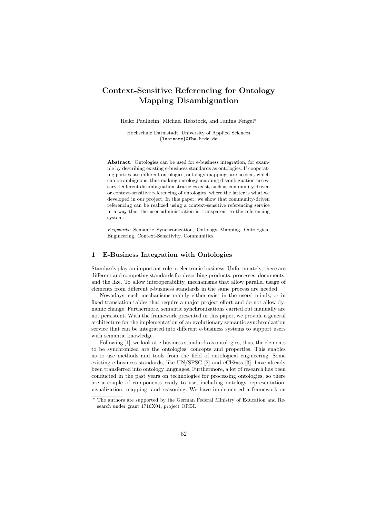# **Context-Sensitive Referencing for Ontology Mapping Disambiguation**

Heiko Paulheim, Michael Rebstock, and Janina Fengel-

Hochschule Darmstadt, University of Applied Sciences {lastname}@fbw.h-da.de

**Abstract.** Ontologies can be used for e-business integration, for example by describing existing e-business standards as ontologies. If cooperating parties use different ontologies, ontology mappings are needed, which can be ambiguous, thus making ontology mapping disambiguation necessary. Different disambiguation strategies exist, such as community-driven or context-sensitive referencing of ontologies, where the latter is what we developed in our project. In this paper, we show that community-driven referencing can be realized using a context-sensitive referencing service in a way that the user administration is transparent to the referencing system.

Keywords: Semantic Synchronization, Ontology Mapping, Ontological Engineering, Context-Sensitivity, Communities

#### **1 E-Business Integration with Ontologies**

Standards play an important role in electronic business. Unfortunately, there are different and competing standards for describing products, processes, documents, and the like. To allow interoperability, mechanisms that allow parallel usage of elements from different e-business standards in the same process are needed.

Nowadays, such mechanisms mainly either exist in the users' minds, or in fixed translation tables that require a major project effort and do not allow dynamic change. Furthermore, semantic synchronizations carried out manually are not persistent. With the framework presented in this paper, we provide a general architecture for the implementation of an evolutionary semantic synchronization service that can be integrated into different e-business systems to support users with semantic knowledge.

Following [1], we look at e-business standards as ontologies, thus, the elements to be synchronized are the ontologies' concepts and properties. This enables us to use methods and tools from the field of ontological engineering. Some existing e-business standards, like UN/SPSC [2] and eCl@ass [3], have already been transferred into ontology languages. Furthermore, a lot of research has been conducted in the past years on technologies for processing ontologies, so there are a couple of components ready to use, including ontology representation, visualization, mapping, and reasoning. We have implemented a framework on

<sup>\*</sup> The authors are supported by the German Federal Ministry of Education and Research under grant 1716X04, project ORBI.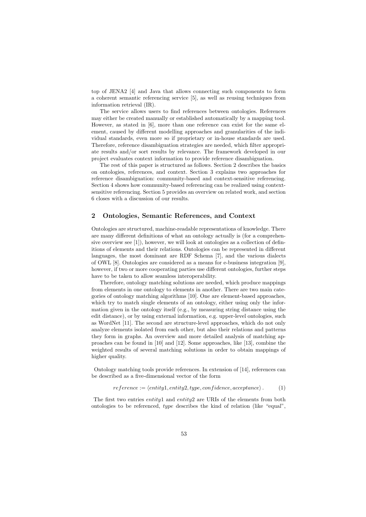top of JENA2 [4] and Java that allows connecting such components to form a coherent semantic referencing service [5], as well as reusing techniques from information retrieval (IR).

The service allows users to find references between ontologies. References may either be created manually or established automatically by a mapping tool. However, as stated in [6], more than one reference can exist for the same element, caused by different modelling approaches and granularities of the individual standards, even more so if proprietary or in-house standards are used. Therefore, reference disambiguation strategies are needed, which filter appropriate results and/or sort results by relevance. The framework developed in our project evaluates context information to provide reference disambiguation.

The rest of this paper is structured as follows. Section 2 describes the basics on ontologies, references, and context. Section 3 explains two approaches for reference disambiguation: community-based and context-sensitive referencing. Section 4 shows how community-based referencing can be realized using contextsensitive referencing. Section 5 provides an overview on related work, and section 6 closes with a discussion of our results.

#### **2 Ontologies, Semantic References, and Context**

Ontologies are structured, machine-readable representations of knowledge. There are many different definitions of what an ontology actually is (for a comprehensive overview see [1]), however, we will look at ontologies as a collection of definitions of elements and their relations. Ontologies can be represented in different languages, the most dominant are RDF Schema [7], and the various dialects of OWL [8]. Ontologies are considered as a means for e-business integration [9], however, if two or more cooperating parties use different ontologies, further steps have to be taken to allow seamless interoperability.

Therefore, ontology matching solutions are needed, which produce mappings from elements in one ontology to elements in another. There are two main categories of ontology matching algorithms [10]. One are element-based approaches, which try to match single elements of an ontology, either using only the information given in the ontology itself (e.g., by measuring string distance using the edit distance), or by using external information, e.g. upper-level ontologies, such as WordNet [11]. The second are structure-level approaches, which do not only analyze elements isolated from each other, but also their relations and patterns they form in graphs. An overview and more detailed analysis of matching approaches can be found in [10] and [12]. Some approaches, like [13], combine the weighted results of several matching solutions in order to obtain mappings of higher quality.

Ontology matching tools provide references. In extension of [14], references can be described as a five-dimensional vector of the form

$$
reference := \langle entity1, entity2, type, confidence, acceptance \rangle.
$$
 (1)

The first two entries entity1 and entity2 are URIs of the elements from both ontologies to be referenced, type describes the kind of relation (like "equal",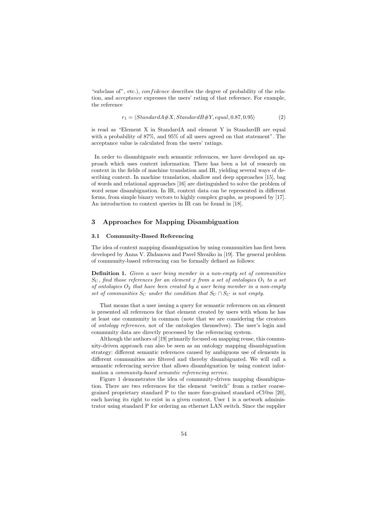"subclass of", etc.), *confidence* describes the degree of probability of the relation, and acceptance expresses the users' rating of that reference. For example, the reference

$$
r_1 = \langle StandardA\#X, StandardB\#Y, equal, 0.87, 0.95 \rangle \tag{2}
$$

is read as "Element X in StandardA and element Y in StandardB are equal with a probability of 87%, and 95% of all users agreed on that statement". The acceptance value is calculated from the users' ratings.

In order to disambiguate such semantic references, we have developed an approach which uses context information. There has been a lot of research on context in the fields of machine translation and IR, yielding several ways of describing context. In machine translation, shallow and deep approaches [15], bag of words and relational approaches [16] are distinguished to solve the problem of word sense disambiguation. In IR, context data can be represented in different forms, from simple binary vectors to highly complex graphs, as proposed by [17]. An introduction to context queries in IR can be found in [18].

#### **3 Approaches for Mapping Disambiguation**

#### **3.1 Community-Based Referencing**

The idea of context mapping disambiguation by using communities has first been developed by Anna V. Zhdanova and Pavel Shvaiko in [19]. The general problem of community-based referencing can be formally defined as follows:

**Definition 1.** Given a user being member in a non-empty set of communities  $S_U$ , find those references for an element x from a set of ontologies  $O_1$  to a set of ontologies  $O_2$  that have been created by a user being member in a non-empty set of communities  $S_C$  under the condition that  $S_U \cap S_C$  is not empty.

That means that a user issuing a query for semantic references on an element is presented all references for that element created by users with whom he has at least one community in common (note that we are considering the creators of ontology references, not of the ontologies themselves). The user's login and community data are directly processed by the referencing system.

Although the authors of [19] primarily focused on mapping reuse, this community-driven approach can also be seen as an ontology mapping disambiguation strategy: different semantic references caused by ambiguous use of elements in different communities are filtered and thereby disambiguated. We will call a semantic referencing service that allows disambiguation by using context information a community-based semantic referencing service.

Figure 1 demonstrates the idea of community-driven mapping disambiguation. There are two references for the element "switch" from a rather coarsegrained proprietary standard P to the more fine-grained standard eCl@ss [20], each having its right to exist in a given context. User 1 is a network administrator using standard P for ordering an ethernet LAN switch. Since the supplier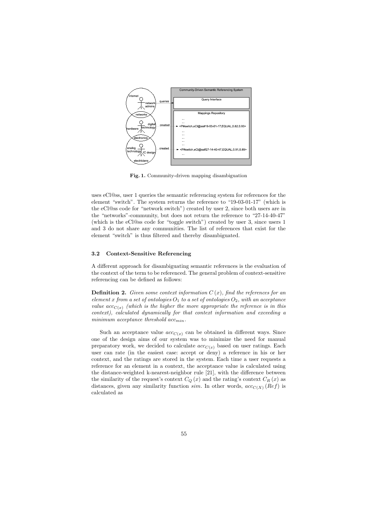

**Fig. 1.** Community-driven mapping disambiguation

uses eCl@ss, user 1 queries the semantic referencing system for references for the element "switch". The system returns the reference to "19-03-01-17" (which is the eCl@ss code for "network switch") created by user 2, since both users are in the "networks"-community, but does not return the reference to "27-14-40-47" (which is the eCl@ss code for "toggle switch") created by user 3, since users 1 and 3 do not share any communities. The list of references that exist for the element "switch" is thus filtered and thereby disambiguated.

#### **3.2 Context-Sensitive Referencing**

A different approach for disambiguating semantic references is the evaluation of the context of the term to be referenced. The general problem of context-sensitive referencing can be defined as follows:

**Definition 2.** Given some context information  $C(x)$ , find the references for an element x from a set of ontologies  $O_1$  to a set of ontologies  $O_2$ , with an acceptance value  $acc_{C(x)}$  (which is the higher the more appropriate the reference is in this context), calculated dynamically for that context information and exceeding a minimum acceptance threshold  $acc_{min}$ .

Such an acceptance value  $acc_{C(x)}$  can be obtained in different ways. Since one of the design aims of our system was to minimize the need for manual preparatory work, we decided to calculate  $acc_{C(x)}$  based on user ratings. Each user can rate (in the easiest case: accept or deny) a reference in his or her context, and the ratings are stored in the system. Each time a user requests a reference for an element in a context, the acceptance value is calculated using the distance-weighted k-nearest-neighbor rule [21], with the difference between the similarity of the request's context  $C_Q(x)$  and the rating's context  $C_R(x)$  as distances, given any similarity function sim. In other words,  $acc_{C(X)}(Ref)$  is calculated as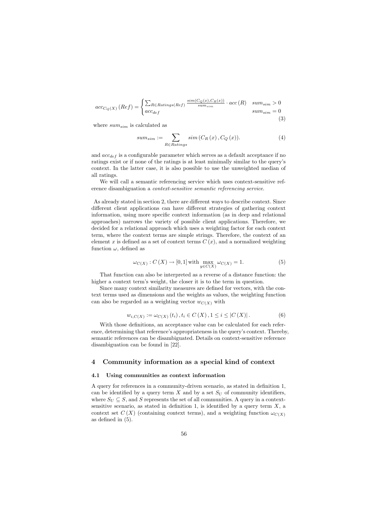$$
acc_{C_Q(X)}(Ref) = \begin{cases} \sum_{R \in Ratings(Ref)} \frac{sim(C_Q(x), C_R(x))}{sum_{sim}} \cdot acc(R) & sum_{sim} > 0\\ acc_{def} & sum_{sim} = 0 \end{cases}
$$
(3)

where  $sum_{sim}$  is calculated as

$$
sum_{sim} := \sum_{R \in Ratings} sim\left(C_R\left(x\right), C_Q\left(x\right)\right). \tag{4}
$$

and  $acc_{def}$  is a configurable parameter which serves as a default acceptance if no ratings exist or if none of the ratings is at least minimally similar to the query's context. In the latter case, it is also possible to use the unweighted median of all ratings.

We will call a semantic referencing service which uses context-sensitive reference disambiguation a context-sensitive semantic referencing service.

As already stated in section 2, there are different ways to describe context. Since different client applications can have different strategies of gathering context information, using more specific context information (as in deep and relational approaches) narrows the variety of possible client applications. Therefore, we decided for a relational approach which uses a weighting factor for each context term, where the context terms are simple strings. Therefore, the context of an element x is defined as a set of context terms  $C(x)$ , and a normalized weighting function  $\omega$ , defined as

$$
\omega_{C(X)} : C(X) \to [0,1] \text{ with } \max_{y \in C(X)} \omega_{C(X)} = 1. \tag{5}
$$

That function can also be interpreted as a reverse of a distance function: the higher a context term's weight, the closer it is to the term in question.

Since many context similarity measures are defined for vectors, with the context terms used as dimensions and the weights as values, the weighting function can also be regarded as a weighting vector  $w_{C(X)}$  with

$$
w_{i,C(X)} := \omega_{C(X)}(t_i), t_i \in C(X), 1 \leq i \leq |C(X)|.
$$
 (6)

With those definitions, an acceptance value can be calculated for each reference, determining that reference's appropriateness in the query's context. Thereby, semantic references can be disambiguated. Details on context-sensitive reference disambiguation can be found in [22].

### **4 Community information as a special kind of context**

#### **4.1 Using communities as context information**

A query for references in a community-driven scenario, as stated in definition 1, can be identified by a query term  $X$  and by a set  $S_U$  of community identifiers, where  $S_U \subseteq S$ , and S represents the set of all communities. A query in a contextsensitive scenario, as stated in definition 1, is identified by a query term  $X$ , a context set  $C(X)$  (containing context terms), and a weighting function  $\omega_{C(X)}$ as defined in (5).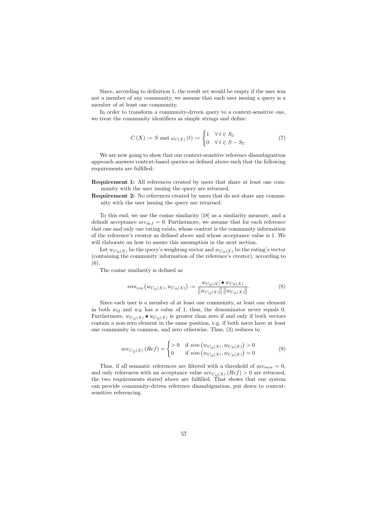Since, according to definition 1, the result set would be empty if the user was not a member of any community, we assume that each user issuing a query is a member of at least one community.

In order to transform a community-driven query to a context-sensitive one. we treat the community identifiers as simple strings and define:

$$
C(X) := S \text{ and } \omega_{C(X)}(t) := \begin{cases} 1 & \forall \, t \in S_U \\ 0 & \forall \, t \in S - S_U \end{cases} \tag{7}
$$

We are now going to show that our context-sensitive reference disambiguation approach answers context-based queries as defined above such that the following requirements are fulfilled:

**Requirement 1:** All references created by users that share at least one community with the user issuing the query are returned.

**Requirement 2:** No references created by users that do not share any community with the user issuing the query are returned.

To this end, we use the cosine similarity [18] as a similarity measure, and a default acceptance  $acc_{def} = 0$ . Furthermore, we assume that for each reference that one and only one rating exists, whose context is the community information of the reference's creator as defined above and whose acceptance value is 1. We will elaborate on how to assure this assumption in the next section.

Let  $w_{C_O(X)}$  be the query's weighting vector and  $w_{C_O(X)}$  be the rating's vector (containing the community information of the reference's creator), according to (6).

The cosine similarity is defined as

$$
sim_{cos}(w_{C_Q(X)}, w_{C_R(X)}) := \frac{w_{C_Q(X)} \bullet w_{C_R(X)}}{\|w_{C_Q(X)}\| \|w_{C_R(X)}\|}.
$$
\n(8)

Since each user is a member of at least one community, at least one element in both  $w_Q$  and  $w_R$  has a value of 1, thus, the denominator never equals 0. Furthermore,  $w_{C_{\Omega}(X)} \bullet w_{C_{R}(X)}$  is greater than zero if and only if both vectors contain a non-zero element in the same position, e.g. if both users have at least one community in common, and zero otherwise. Thus, (3) reduces to

$$
acc_{C_Q(X)}(Ref) = \begin{cases} > 0 & \text{if } sim(w_{C_Q(X)}, w_{C_R(X)}) > 0\\ 0 & \text{if } sim(w_{C_Q(X)}, w_{C_R(X)}) = 0 \end{cases}
$$
(9)

Thus, if all semantic references are filtered with a threshold of  $acc_{min} = 0$ , and only references with an acceptance value  $acc_{C_O(X)}(Ref) > 0$  are returned, the two requirements stated above are fulfilled. That shows that our system can provide community-driven reference disambiguation, put down to contextsensitive referencing.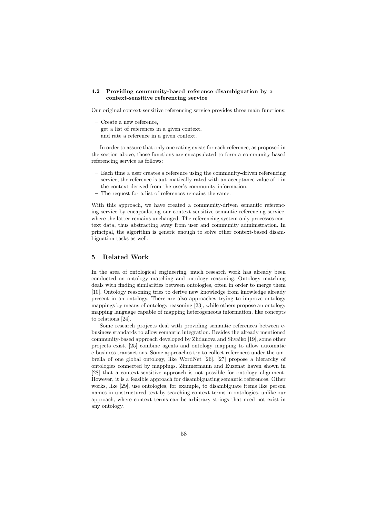#### **4.2 Providing community-based reference disambiguation by a context-sensitive referencing service**

Our original context-sensitive referencing service provides three main functions:

- **–** Create a new reference,
- **–** get a list of references in a given context,
- **–** and rate a reference in a given context.

In order to assure that only one rating exists for each reference, as proposed in the section above, those functions are encapsulated to form a community-based referencing service as follows:

- **–** Each time a user creates a reference using the community-driven referencing service, the reference is automatically rated with an acceptance value of 1 in the context derived from the user's community information.
- **–** The request for a list of references remains the same.

With this approach, we have created a community-driven semantic referencing service by encapsulating our context-sensitive semantic referencing service, where the latter remains unchanged. The referencing system only processes context data, thus abstracting away from user and community administration. In principal, the algorithm is generic enough to solve other context-based disambiguation tasks as well.

## **5 Related Work**

In the area of ontological engineering, much research work has already been conducted on ontology matching and ontology reasoning. Ontology matching deals with finding similarities between ontologies, often in order to merge them [10]. Ontology reasoning tries to derive new knowledge from knowledge already present in an ontology. There are also approaches trying to improve ontology mappings by means of ontology reasoning [23], while others propose an ontology mapping language capable of mapping heterogeneous information, like concepts to relations [24].

Some research projects deal with providing semantic references between ebusiness standards to allow semantic integration. Besides the already mentioned community-based approach developed by Zhdanova and Shvaiko [19], some other projects exist. [25] combine agents and ontology mapping to allow automatic e-business transactions. Some approaches try to collect references under the umbrella of one global ontology, like WordNet [26]. [27] propose a hierarchy of ontologies connected by mappings. Zimmermann and Euzenat haven shown in [28] that a context-sensitive approach is not possible for ontology alignment. However, it is a feasible approach for disambiguating semantic references. Other works, like [29], use ontologies, for example, to disambiguate items like person names in unstructured text by searching context terms in ontologies, unlike our approach, where context terms can be arbitrary strings that need not exist in any ontology.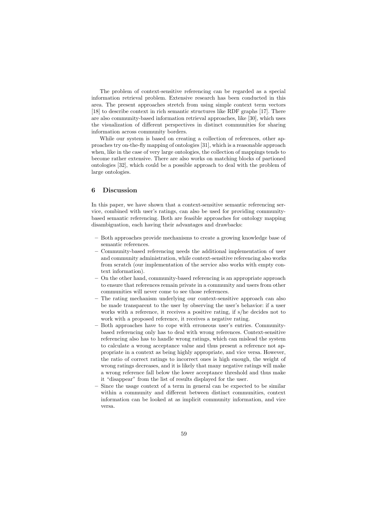The problem of context-sensitive referencing can be regarded as a special information retrieval problem. Extensive research has been conducted in this area. The present approaches stretch from using simple context term vectors [18] to describe context in rich semantic structures like RDF graphs [17]. There are also community-based information retrieval approaches, like [30], which uses the visualization of different perspectives in distinct communities for sharing information across community borders.

While our system is based on creating a collection of references, other approaches try on-the-fly mapping of ontologies [31], which is a reasonable approach when, like in the case of very large ontologies, the collection of mappings tends to become rather extensive. There are also works on matching blocks of partioned ontologies [32], which could be a possible approach to deal with the problem of large ontologies.

#### **6 Discussion**

In this paper, we have shown that a context-sensitive semantic referencing service, combined with user's ratings, can also be used for providing communitybased semantic referencing. Both are feasible approaches for ontology mapping disambiguation, each having their advantages and drawbacks:

- **–** Both approaches provide mechanisms to create a growing knowledge base of semantic references.
- **–** Community-based referencing needs the additional implementation of user and community administration, while context-sensitive referencing also works from scratch (our implementation of the service also works with empty context information).
- **–** On the other hand, community-based referencing is an appropriate approach to ensure that references remain private in a community and users from other communities will never come to see those references.
- **–** The rating mechanism underlying our context-sensitive approach can also be made transparent to the user by observing the user's behavior: if a user works with a reference, it receives a positive rating, if s/he decides not to work with a proposed reference, it receives a negative rating.
- **–** Both approaches have to cope with erroneous user's entries. Communitybased referencing only has to deal with wrong references. Context-sensitive referencing also has to handle wrong ratings, which can mislead the system to calculate a wrong acceptance value and thus present a reference not appropriate in a context as being highly appropriate, and vice versa. However, the ratio of correct ratings to incorrect ones is high enough, the weight of wrong ratings decreases, and it is likely that many negative ratings will make a wrong reference fall below the lower acceptance threshold and thus make it "disappear" from the list of results displayed for the user.
- **–** Since the usage context of a term in general can be expected to be similar within a community and different between distinct communities, context information can be looked at as implicit community information, and vice versa.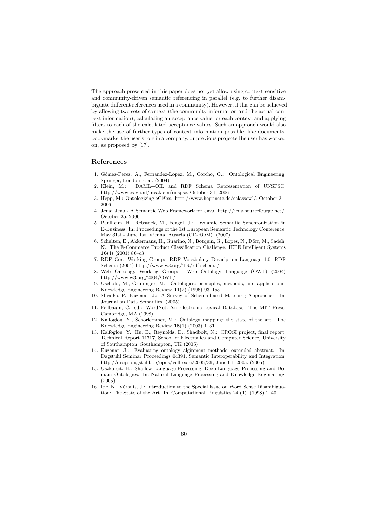The approach presented in this paper does not yet allow using context-sensitive and community-driven semantic referencing in parallel (e.g. to further disambiguate different references used in a community). However, if this can be achieved by allowing two sets of context (the community information and the actual context information), calculating an acceptance value for each context and applying filters to each of the calculated acceptance values. Such an approach would also make the use of further types of context information possible, like documents, bookmarks, the user's role in a company, or previous projects the user has worked on, as proposed by [17].

#### **References**

- 1. Gómez-Pérez, A., Fernández-López, M., Corcho, O.: Ontological Engineering. Springer, London et al. (2004)
- 2. Klein, M.: DAML+OIL and RDF Schema Representation of UNSPSC. http://www.cs.vu.nl/mcaklein/unspsc, October 31, 2006
- 3. Hepp, M.: Ontologizing eCl@ss. http://www.heppnetz.de/eclassowl/, October 31, 2006
- 4. Jena: Jena A Semantic Web Framework for Java. http://jena.sourcefourge.net/, October 25, 2006
- 5. Paulheim, H., Rebstock, M., Fengel, J.: Dynamic Semantic Synchronization in E-Business. In: Proceedings of the 1st European Semantic Technology Conference, May 31st - June 1st, Vienna, Austria (CD-ROM). (2007)
- 6. Schulten, E., Akkermans, H., Guarino, N., Botquin, G., Lopes, N., Dörr, M., Sadeh, N.: The E-Commerce Product Classification Challenge. IEEE Intelligent Systems **16**(4) (2001) 86–c3 7. RDF Core Working Group: RDF Vocabulary Description Language 1.0: RDF
- Schema (2004) http://www.w3.org/TR/rdf-schema/.<br>8. Web Ontology Working Group: Web Ontology
- Web Ontology Language (OWL) (2004) http://www.w3.org/2004/OWL/.
- 9. Uschold, M., Grüninger, M.: Ontologies: principles, methods, and applications. Knowledge Engineering Review **11**(2) (1996) 93–155
- 10. Shvaiko, P., Euzenat, J.: A Survey of Schema-based Matching Approaches. In: Journal on Data Semantics. (2005)
- 11. Fellbaum, C., ed.: WordNet: An Electronic Lexical Database. The MIT Press, Cambridge, MA (1998)
- 12. Kalfoglou, Y., Schorlemmer, M.: Ontology mapping: the state of the art. The Knowledge Engineering Review **18**(1) (2003) 1–31
- 13. Kalfoglou, Y., Hu, B., Reynolds, D., Shadbolt, N.: CROSI project, final report. Technical Report 11717, School of Electronics and Computer Science, University of Southampton, Southampton, UK (2005)
- 14. Euzenat, J.: Evaluating ontology alginment methods, extended abstract. In: Dagstuhl Seminar Proceedings 04391, Semantic Interoperability and Integration, http://drops.dagstuhl.de/opus/volltexte/2005/36, June 06, 2005. (2005)
- 15. Uszkoreit, H.: Shallow Language Processing, Deep Language Processing and Domain Ontologies. In: Natural Language Processing and Knowledge Engineering. (2005)
- 16. Ide, N., Véronis, J.: Introduction to the Special Issue on Word Sense Disambiguation: The State of the Art. In: Computational Linguistics 24 (1). (1998) 1–40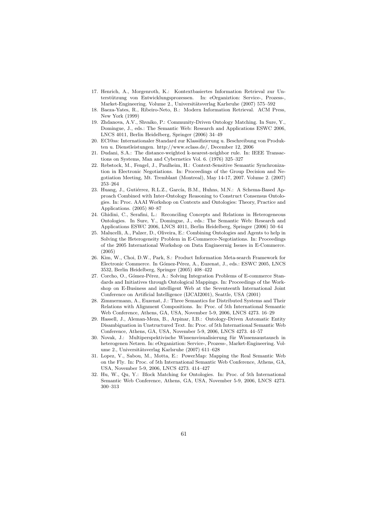- 17. Henrich, A., Morgenroth, K.: Kontextbasiertes Information Retrieval zur Unterstützung von Entwicklungsprozessen. In: eOrganiztion: Service-, Prozess-, Market-Engineering. Volume 2., Universitätsverlag Karlsruhe (2007) 575–592
- 18. Baeza-Yates, R., Ribeiro-Neto, B.: Modern Information Retrieval. ACM Press, New York (1999)
- 19. Zhdanova, A.V., Shvaiko, P.: Community-Driven Ontology Matching. In Sure, Y., Domingue, J., eds.: The Semantic Web: Research and Applications ESWC 2006, LNCS 4011, Berlin Heidelberg, Springer (2006) 34–49
- 20. ECl@ss: Internationaler Standard zur Klassifizierung u. Beschreibung von Produkten u. Dienstleistungen. http://www.eclass.de/, December 12, 2006
- 21. Dudani, S.A.: The distance-weighted k-nearest-neighbor rule. In: IEEE Transactions on Systems, Man and Cybernetics Vol. 6. (1976) 325–327
- 22. Rebstock, M., Fengel, J., Paulheim, H.: Context-Sensitive Semantic Synchronization in Electronic Negotiations. In: Proceedings of the Group Decision and Negotiation Meeting, Mt. Tremblant (Montreal), May 14-17, 2007. Volume 2. (2007) 253–264
- 23. Huang, J., Gutiérrez, R.L.Z., García, B.M., Huhns, M.N.: A Schema-Based Approach Combined with Inter-Ontology Reasoning to Construct Consensus Ontologies. In: Proc. AAAI Workshop on Contexts and Ontologies: Theory, Practice and Applications. (2005) 80–87
- 24. Ghidini, C., Serafini, L.: Reconciling Concepts and Relations in Heterogeneous Ontologies. In Sure, Y., Domingue, J., eds.: The Semantic Web: Research and Applications ESWC 2006, LNCS 4011, Berlin Heidelberg, Springer (2006) 50–64
- 25. Malucelli, A., Palzer, D., Oliveira, E.: Combining Ontologies and Agents to help in Solving the Heterogeneity Problem in E-Commerce-Negotiations. In: Proceedings of the 2005 International Workshop on Data Engineernig Issues in E-Commerce. (2005)
- 26. Kim, W., Choi, D.W., Park, S.: Product Information Meta-search Framework for Electronic Commerce. In Gómez-Pérez, A., Euzenat, J., eds.: ESWC 2005, LNCS 3532, Berlin Heidelberg, Springer (2005) 408–422
- 27. Corcho, O., Gómez-Pérez, A.: Solving Integration Problems of E-commerce Standards and Initiatives through Ontological Mappings. In: Proceedings of the Workshop on E-Business and intelligent Web at the Seventeenth International Joint Conference on Artificial Intelligence (IJCAI2001), Seattle, USA (2001)
- 28. Zimmermann, A., Euzenat, J.: Three Semantics for Distributed Systems and Their Relations with Alignment Compositions. In: Proc. of 5th International Semantic Web Conference, Athens, GA, USA, November 5-9, 2006, LNCS 4273. 16–29
- 29. Hassell, J., Aleman-Meza, B., Arpinar, I.B.: Ontology-Driven Automatic Entity Disambiguation in Unstructured Text. In: Proc. of 5th International Semantic Web Conference, Athens, GA, USA, November 5-9, 2006, LNCS 4273. 44–57
- 30. Novak, J.: Multiperspektivische Wissensvisualisierung für Wissensaustausch in heterogenen Netzen. In: eOrganiztion: Service-, Prozess-, Market-Engineering. Volume 2., Universitätsverlag Karlsruhe (2007) 611–628
- 31. Lopez, V., Sabou, M., Motta, E.: PowerMap: Mapping the Real Semantic Web on the Fly. In: Proc. of 5th International Semantic Web Conference, Athens, GA, USA, November 5-9, 2006, LNCS 4273. 414–427
- 32. Hu, W., Qu, Y.: Block Matching for Ontologies. In: Proc. of 5th International Semantic Web Conference, Athens, GA, USA, November 5-9, 2006, LNCS 4273. 300–313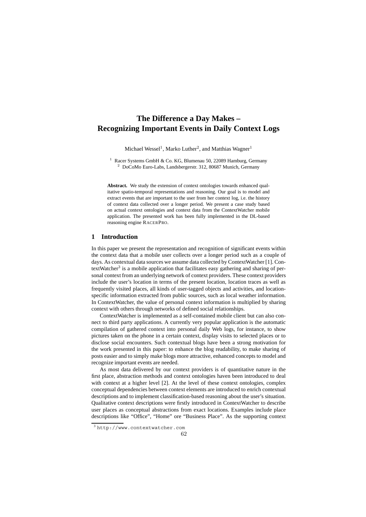# **The Difference a Day Makes – Recognizing Important Events in Daily Context Logs**

Michael Wessel<sup>1</sup>, Marko Luther<sup>2</sup>, and Matthias Wagner<sup>1</sup>

Racer Systems GmbH & Co. KG, Blumenau 50, 22089 Hamburg, Germany <sup>2</sup> DoCoMo Euro-Labs, Landsbergerstr. 312, 80687 Munich, Germany

**Abstract.** We study the extension of context ontologies towards enhanced qualitative spatio-temporal representations and reasoning. Our goal is to model and extract events that are important to the user from her context log, i.e. the history of context data collected over a longer period. We present a case study based on actual context ontologies and context data from the ContextWatcher mobile application. The presented work has been fully implemented in the DL-based reasoning engine RACERPRO.

#### **1 Introduction**

In this paper we present the representation and recognition of significant events within the context data that a mobile user collects over a longer period such as a couple of days. As contextual data sources we assume data collected by ContextWatcher [1]. ContextWatcher<sup>3</sup> is a mobile application that facilitates easy gathering and sharing of personal context from an underlying network of context providers. These context providers include the user's location in terms of the present location, location traces as well as frequently visited places, all kinds of user-tagged objects and activities, and locationspecific information extracted from public sources, such as local weather information. In ContextWatcher, the value of personal context information is multiplied by sharing context with others through networks of defined social relationships.

ContextWatcher is implemented as a self-contained mobile client but can also connect to third party applications. A currently very popular application is the automatic compilation of gathered context into personal daily Web logs, for instance, to show pictures taken on the phone in a certain context, display visits to selected places or to disclose social encounters. Such contextual blogs have been a strong motivation for the work presented in this paper: to enhance the blog readability, to make sharing of posts easier and to simply make blogs more attractive, enhanced concepts to model and recognize important events are needed.

As most data delivered by our context providers is of quantitative nature in the first place, abstraction methods and context ontologies haven been introduced to deal with context at a higher level [2]. At the level of these context ontologies, complex conceptual dependencies between context elements are introduced to enrich contextual descriptions and to implement classification-based reasoning about the user's situation. Qualitative context descriptions were firstly introduced in ContextWatcher to describe user places as conceptual abstractions from exact locations. Examples include place descriptions like "Office", "Home" ore "Business Place". As the supporting context

<sup>3</sup> http://www.contextwatcher.com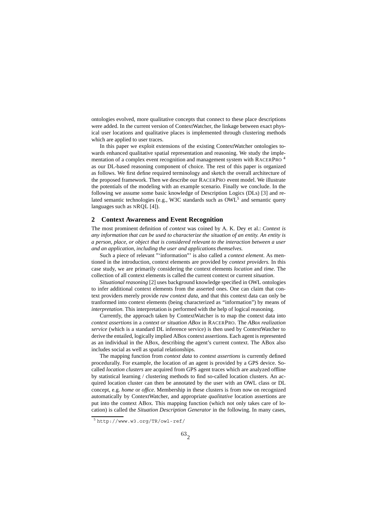ontologies evolved, more qualitative concepts that connect to these place descriptions were added. In the current version of ContextWatcher, the linkage between exact physical user locations and qualitative places is implemented through clustering methods which are applied to user traces.

In this paper we exploit extensions of the existing ContextWatcher ontologies towards enhanced qualitative spatial representation and reasoning. We study the implementation of a complex event recognition and management system with RACERPRO <sup>4</sup> as our DL-based reasoning component of choice. The rest of this paper is organized as follows. We first define required terminology and sketch the overall architecture of the proposed framework. Then we describe our RACERPRO event model. We illustrate the potentials of the modeling with an example scenario. Finally we conclude. In the following we assume some basic knowledge of Description Logics (DLs) [3] and related semantic technologies (e.g., W3C standards such as OWL<sup>5</sup> and semantic query languages such as NROL [4]).

### **2 Context Awareness and Event Recognition**

The most prominent definition of *context* was coined by A. K. Dey et al.: *Context is any information that can be used to characterize the situation of an entity. An entity is a person, place, or object that is considered relevant to the interaction between a user and an application, including the user and applications themselves.*

Such a piece of relevant "'information"' is also called a *context element*. As mentioned in the introduction, context elements are provided by *context providers.* In this case study, we are primarily considering the context elements *location* and *time*. The collection of all context elements is called the current context or current *situation*.

*Situational reasoning* [2] uses background knowledge specified in OWL ontologies to infer additional context elements from the asserted ones. One can claim that context providers merely provide *raw context data*, and that this context data can only be tranformed into context elements (being characterized as "information") by means of *interpretation.* This interpretation is performed with the help of logical reasoning.

Currently, the approach taken by ContextWatcher is to map the context data into *context assertions* in a *context or situation ABox* in RACERPRO. The *ABox realization service* (which is a standard DL inference service) is then used by ContextWatcher to derive the entailed, logically implied ABox context assertions. Each agent is represented as an individual in the ABox, describing the agent's current context. The ABox also includes social as well as spatial relationships.

The mapping function from *context data* to *context assertions* is currently defined procedurally. For example, the location of an agent is provided by a GPS device. Socalled *location clusters* are acquired from GPS agent traces which are analyzed offline by statistical learning / clustering methods to find so-called location clusters. An acquired location cluster can then be annotated by the user with an OWL class or DL concept, e.g. *home* or *office*. Membership in these clusters is from now on recognized automatically by ContextWatcher, and appropriate *qualitative* location assertions are put into the context ABox. This mapping function (which not only takes care of location) is called the *Situation Description Generator* in the following. In many cases,

<sup>5</sup> http://www.w3.org/TR/owl-ref/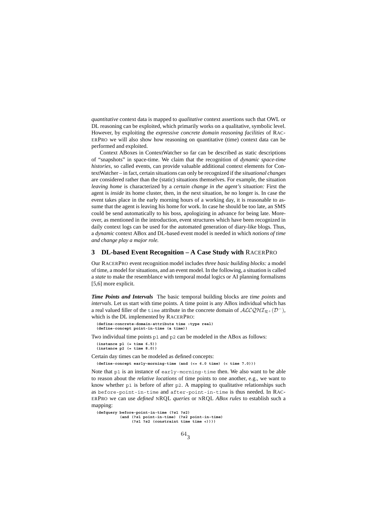*quantitative* context data is mapped to *qualitative* context assertions such that OWL or DL reasoning can be exploited, which primarily works on a qualitative, symbolic level. However, by exploiting the *expressive concrete domain reasoning facilities* of RAC-ERPRO we will also show how reasoning on quantitative (time) context data can be performed and exploited.

Context ABoxes in ContextWatcher so far can be described as static descriptions of "snapshots" in space-time. We claim that the recognition of *dynamic space-time histories*, so called events, can provide valuable additional context elements for ContextWatcher – in fact, certain situations can only be recognized if the *situational changes* are considered rather than the (static) situations themselves. For example, the situation *leaving home* is characterized by a *certain change in the agent's situation:* First the agent is *inside* its home cluster, then, in the next situation, he no longer is. In case the event takes place in the early morning hours of a working day, it is reasonable to assume that the agent is leaving his home for work. In case he should be too late, an SMS could be send automatically to his boss, apologizing in advance for being late. Moreover, as mentioned in the introduction, event structures which have been recognized in daily context logs can be used for the automated generation of diary-like blogs. Thus, a *dynamic* context ABox and DL-based event model is needed in which *notions of time and change play a major role.*

### **3 DL-based Event Recognition – A Case Study with** RACERPRO

Our RACERPRO event recognition model includes *three basic building blocks:* a model of time, a model for situations, and an event model. In the following, a situation is called a *state* to make the resemblance with temporal modal logics or AI planning formalisms [5,6] more explicit.

*Time Points and Intervals* The basic temporal building blocks are *time points* and *intervals*. Let us start with time points. A time point is any ABox individual which has a real valued filler of the time attribute in the concrete domain of  $ALCQHT_{\mathcal{R}+}(\mathcal{D}^-)$ , which is the DL implemented by RACERPRO:

**(define-concrete-domain-attribute time :type real) (define-concept point-in-time (a time))**

Two individual time points p1 and p2 can be modeled in the ABox as follows:

**(instance p1 (= time 6.5)) (instance p2 (= time 8.0))**

Certain day times can be modeled as defined concepts:

**(define-concept early-morning-time (and (<= 6.0 time) (< time 7.0)))**

Note that p1 is an instance of early-morning-time then. We also want to be able to reason about the *relative locations* of time points to one another, e.g., we want to know whether p1 is before of after p2. A mapping to qualitative relationships such as before-point-in-time and after-point-in-time is thus needed. In RAC-ERPRO we can use *defined* NRQL *queries* or NRQL *ABox rules* to establish such a mapping:

```
(defquery before-point-in-time (?s1 ?s2)
                  (and (?s1 point-in-time) (?s2 point-in-time)
                (?s1 ?s2 (constraint time time <))))
```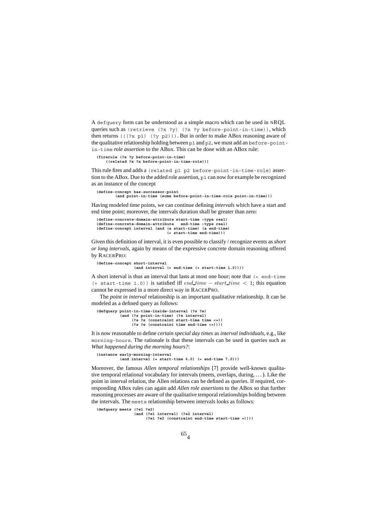A defquery form can be understood as a simple macro which can be used in NRQL queries such as (retrieve (?x ?y) (?x ?y before-point-in-time)), which then returns ( $((?x p1) (?y p2))$ . But in order to make ABox reasoning aware of the qualitative relationship holding between p1 and p2, we must add an before-pointin-time *role assertion* to the ABox. This can be done with an ABox rule:

**(firerule (?x ?y before-point-in-time)**

**((related ?x ?x before-point-in-time-role)))**

This rule fires and adds a (related p1 p2 before-point-in-time-role) assertion to the ABox. Due to the added role assertion, p1 can now for example be recognized as an instance of the concept

**(define-concept has-successor-point (and point-in-time (some before-point-in-time-role point-in-time)))**

Having modeled time points, we can continue defining *intervals* which have a start and end time point; moreover, the intervals duration shall be greater than zero:

```
(define-concrete-domain-attribute start-time :type real)
(define-concrete-domain-attribute end-time :type real)
(define-concept interval (and (a start-time) (a end-time)
(< start-time end-time)))
```
Given this definition of interval, it is even possible to classify / recognize events as *short or long intervals*, again by means of the expressive concrete domain reasoning offered by RACERPRO:

**(define-concept short-interval (and interval (< end-time (+ start-time 1.0))))**

A short interval is thus an interval that lasts at most one hour; note that  $\zeta$  end-time (+ start-time 1.0)) is satisfied iff  $end_time - start_time < 1$ ; this equation cannot be expressed in a more direct way in RACERPRO.

The *point in interval* relationship is an important qualitative relationship. It can be modeled as a defined query as follows:

```
(defquery point-in-time-inside-interval (?s ?e)
(and (?s point-in-time) (?e interval)
(?e ?s (constraint start-time time <=))
                          (?s ?e (constraint time end-time <=))))
```
It is now reasonable to define *certain special day times* as *interval individuals*, e.g., like morning-hours. The rationale is that these intervals can be used in queries such as *What happened during the morning hours?*:

**(instance early-morning-interval (and interval (= start-time 6.0) (= end-time 7.0)))**

Moreover, the famous *Allen temporal relationships* [7] provide well-known qualitative temporal relational vocabulary for intervals (meets, overlaps, during, . . . ). Like the point in interval relation, the Allen relations can be defined as queries. If required, corresponding ABox rules can again add *Allen role assertions* to the ABox so that further reasoning processes are aware of the qualitative temporal relationships holding between the intervals. The meets relationship between intervals looks as follows:

```
(defquery meets (?e1 ?e2)
                (and (?e1 interval) (?e2 interval)
                     (?e1 ?e2 (constraint end-time start-time =))))
```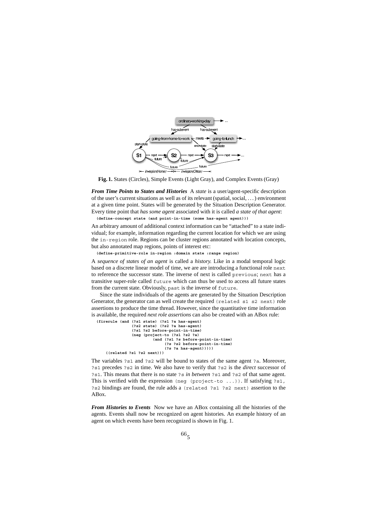

**Fig. 1.** States (Circles), Simple Events (Light Gray), and Complex Events (Gray)

*From Time Points to States and Histories* A *state* is a user/agent-specific description of the user's current situations as well as of its relevant (spatial, social, . . . ) environment at a given time point. States will be generated by the Situation Description Generator. Every time point that *has some agent* associated with it is called *a state of that agent*: **(define-concept state (and point-in-time (some has-agent agent)))**

An arbitrary amount of additional context information can be "attached" to a state individual; for example, information regarding the current location for which we are using the in-region role. Regions can be cluster regions annotated with location concepts, but also annotated map regions, points of interest etc:

**(define-primitive-role in-region :domain state :range region)**

A *sequence of states of an agent* is called a *history.* Like in a modal temporal logic based on a discrete linear model of time, we are are introducing a functional role next to reference the successor state. The inverse of next is called previous; next has a transitive super-role called future which can thus be used to access all future states from the current state. Obviously, past is the inverse of future.

Since the state individuals of the agents are generated by the Situation Description Generator, the generator can as well create the required (related s1 s2 next) role assertions to produce the time thread. However, since the quantitative time information is available, the required *next role assertions* can also be created with an ABox rule:

```
(firerule (and (?s1 state) (?s1 ?a has-agent)
(?s2 state) (?s2 ?a has-agent)
                   (?s1 ?s2 before-point-in-time)
                   (neg (project-to (?s1 ?s2 ?a)
(and (?s1 ?s before-point-in-time)
                                     (?s ?s2 before-point-in-time)
                                     (?s ?a has-agent)))))
     ((related ?s1 ?s2 next)))
```
The variables ?s1 and ?s2 will be bound to states of the same agent ?a. Moreover, ?s1 precedes ?s2 in time. We also have to verify that ?s2 is the *direct* successor of ?s1. This means that there is no state ?s *in between* ?s1 and ?s2 of that same agent. This is verified with the expression (neg (project-to ...)). If satisfying  $?51$ , ?s2 bindings are found, the rule adds a (related ?s1 ?s2 next) assertion to the ABox.

*From Histories to Events* Now we have an ABox containing all the histories of the agents. Events shall now be recognized on agent histories. An example history of an agent on which events have been recognized is shown in Fig. 1.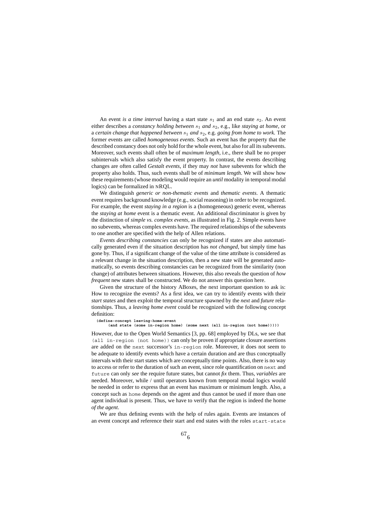An event *is a time interval* having a start state  $s_1$  and an end state  $s_2$ . An event either describes a *constancy holding between*  $s_1$  *and*  $s_2$ , e.g., like *staying at home*, or a *certain change that happened between*  $s_1$  *and*  $s_2$ , e.g. *going from home to work*. The former events are called *homogeneous events*. Such an event has the property that the described constancy does not only hold for the whole event, but also for all its subevents. Moreover, such events shall often be of *maximum length*, i.e., there shall be no proper subintervals which also satisfy the event property. In contrast, the events describing changes are often called *Gestalt events*, if they may *not* have subevents for which the property also holds. Thus, such events shall be of *minimum length*. We will show how these requirements (whose modeling would require an *until* modality in temporal modal logics) can be formalized in NRQL.

We distinguish *generic or non-thematic events* and *thematic events*. A thematic event requires background knowledge (e.g., social reasoning) in order to be recognized. For example, the event *staying in a region* is a (homogeneous) generic event, whereas the *staying at home* event is a thematic event. An additional discriminator is given by the distinction of *simple vs. complex events*, as illustrated in Fig. 2. Simple events have no subevents, whereas complex events have. The required relationships of the subevents to one another are specified with the help of Allen relations.

*Events describing constancies* can only be recognized if states are also automatically generated even if the situation description has *not changed*, but simply time has gone by. Thus, if a significant change of the value of the time attribute is considered as a relevant change in the situation description, then a new state will be generated automatically, so events describing constancies can be recognized from the similarity (non change) of attributes between situations. However, this also reveals the question of *how frequent* new states shall be constructed. We do not answer this question here.

Given the structure of the history ABoxes, the next important question to ask is: How to recognize the events? As a first idea, we can try to identify events with their *start states* and then exploit the temporal structure spawned by the *next* and *future* relationships. Thus, a *leaving home event* could be recognized with the following concept definition:

#### **(define-concept leaving-home-event**

**(and state (some in-region home) (some next (all in-region (not home)))))**

However, due to the Open World Semantics [3, pp. 68] employed by DLs, we see that (all in-region (not home)) can only be proven if appropriate closure assertions are added on the next successor's in-region role. Moreover, it does not seem to be adequate to identify events which have a certain duration and are thus conceptually intervals with their start states which are conceptually time points. Also, there is no way to access or refer to the duration of such an event, since role quantification on next and future can only *see* the require future states, but cannot *fix* them. Thus, *variables* are needed. Moreover, while / until operators known from temporal modal logics would be needed in order to express that an event has maximum or minimum length. Also, a concept such as home depends on the agent and thus cannot be used if more than one agent individual is present. Thus, we have to verify that the region is indeed the home *of the agent*.

We are thus defining events with the help of rules again. Events are instances of an event concept and reference their start and end states with the roles start-state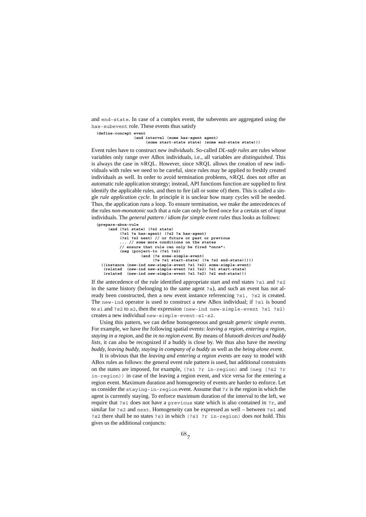and end-state. In case of a complex event, the subevents are aggregated using the has-subevent role. These events thus satisfy

**(define-concept event**

**(and interval (some has-agent agent) (some start-state state) (some end-state state)))**

Event rules have to construct *new individuals*. So-called *DL-safe rules* are rules whose variables only range over ABox individuals, i.e., all variables are *distinguished*. This is always the case in NRQL. However, since NRQL allows the creation of new individuals with rules we need to be careful, since rules may be applied to freshly created individuals as well. In order to avoid termination problems, NRQL does not offer an automatic rule application strategy; instead, API functions function are supplied to first identify the applicable rules, and then to fire (all or some of) them. This is called a single *rule application cycle*. In principle it is unclear how many cycles will be needed. Thus, the application runs a loop. To ensure termination, we make the antecedences of the rules *non-monotonic* such that a rule can only be fired once for a certain set of input individuals. The *general pattern / idiom for simple event rules* thus looks as follows:

```
(prepare-abox-rule
     (and (?s1 state) (?s2 state)
           (?s1 ?a has-agent) (?s2 ?a has-agent)
           (?s1 ?s2 next) // or future or past or previous
... // some more conditions on the states
           // ensure that rule can only be fired "once":
           (neg (project-to (?s1 ?s2)
                      (and (?e some-simple-event)
(?e ?s1 start-state) (?e ?s2 end-state)))))
  ((instance (new-ind new-simple-event ?s1 ?s2) some-simple-event)
   (related (new-ind new-simple-event ?s1 ?s2) ?s1 start-state)
   (related (new-ind new-simple-event ?s1 ?s2) ?s2 end-state)))
```
If the antecedence of the rule identified appropriate start and end states ?s1 and ?s2 in the same history (belonging to the same agent ?a), and such an event has not already been constructed, then a new event instance referencing ?s1, ?s2 is created. The new-ind operator is used to construct a new ABox individual; if ?s1 is bound to s1 and ?s2 to s2, then the expression (new-ind new-simple-event ?s1 ?s2) creates a new individual new-simple-event-s1-s2.

Using this pattern, we can define homogeneous and gestalt *generic simple events.* For example, we have the following spatial events: *leaving a region, entering a region, staying in a region,* and the *in no region event.* By means of *blutooth devices and buddy lists,* it can also be recognized if a buddy is close by. We thus also have the *meeting buddy, leaving buddy, staying in company of a buddy* as well as the *being alone event.*

It is obvious that the *leaving and entering a region events* are easy to model with ABox rules as follows: the general event rule pattern is used, but additional constraints on the states are imposed, for example, (?s1 ?r in-region) and (neg (?s2 ?r in-region)) in case of the leaving a region event, and vice versa for the entering a region event. Maximum duration and homogeneity of events are harder to enforce. Let us consider the staying-in-region event. Assume that ?r is the region in which the agent is currently staying. To enforce maximum duration of the interval to the left, we require that ?s1 does not have a previous state which is also contained in ?r, and similar for ?s2 and next. Homogeneity can be expressed as well – between ?s1 and ?s2 there shall be no states ?s3 in which (?s3 ?r in-region) does *not* hold. This gives us the additional conjuncts: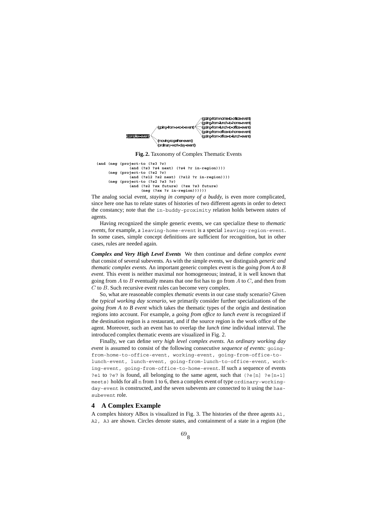

**Fig. 2.** Taxonomy of Complex Thematic Events

```
(and (neg (project-to (?s3 ?r)
     (and (?s3 ?s4 next) (?s4 ?r in-region))))
(neg (project-to (?s2 ?r)
               (and (?s12 ?s2 next) (?s12 ?r in-region))))
     (neg (project-to (?s2 ?s3 ?r)
               (and (?s2 ?sx future) (?sx ?s3 future)
                    (neg (?sx ?r in-region))))))
```
The analog social event, *staying in company of a buddy,* is even more complicated, since here one has to relate states of histories of two different agents in order to detect the constancy; note that the in-buddy-proximity relation holds between *states* of agents.

Having recognized the simple generic events, we can specialize these to *thematic events,* for example, a leaving-home-event is a special leaving-region-event. In some cases, simple concept definitions are sufficient for recognition, but in other cases, rules are needed again.

*Complex and Very High Level Events* We then continue and define *complex event* that consist of several subevents. As with the simple events, we distinguish *generic and thematic complex events.* An important generic complex event is the *going from A to B event*. This event is neither maximal nor homogeneous; instead, it is well known that going from A to B eventually means that one fist has to go from A to C, and then from C to B. Such recursive event rules can become very complex.

So, what are reasonable complex *thematic* events in our case study scenario? Given the *typical working day scenario,* we primarily consider further specializations of the *going from A to B event* which takes the thematic types of the origin and destination regions into account. For example, a *going from office to lunch event* is recognized if the destination region is a restaurant, and if the source region is the work office of the agent. Moreover, such an event has to overlap the *lunch time* individual interval. The introduced complex thematic events are visualized in Fig. 2.

Finally, we can define *very high level complex events*. An *ordinary working day event* is assumed to consist of the following consecutive *sequence of events:* goingfrom-home-to-office-event, working-event, going-from-office-tolunch-event, lunch-event, going-from-lunch-to-office-event, working-event, going-from-office-to-home-event. If such a sequence of events ?e1 to ?e7 is found, all belonging to the same agent, such that  $(2e[n]$  ?e[n+1] meets) holds for all n from 1 to 6, then a complex event of type ordinary-workingday-event is constructed, and the seven subevents are connected to it using the hassubevent role.

#### **4 A Complex Example**

A complex history ABox is visualized in Fig. 3. The histories of the three agents A1, A2, A3 are shown. Circles denote states, and containment of a state in a region (the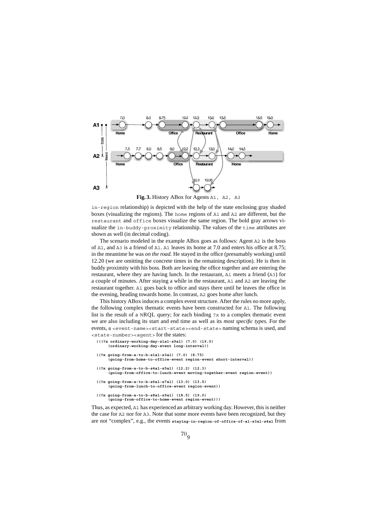

**Fig. 3.** History ABox for Agents A1, A2, A3

in-region relationship) is depicted with the help of the state enclosing gray shaded boxes (visualizing the regions). The home regions of A1 and A2 are different, but the restaurant and office boxes visualize the same region. The bold gray arrows visualize the in-buddy-proximity relationship. The values of the time attributes are shown as well (in decimal coding).

The scenario modeled in the example ABox goes as follows: Agent A2 is the boss of A1, and A3 is a friend of A1. A1 leaves its home at 7.0 and enters his office at 8.75; in the meantime he was *on the road.* He stayed in the office (presumably working) until 12.20 (we are omitting the concrete times in the remaining description). He is then in buddy proximity with his boss. Both are leaving the office together and are entering the restaurant, where they are having lunch. In the restaurant, A1 meets a friend (A3) for a couple of minutes. After staying a while in the restaurant, A1 and A2 are leaving the restaurant together. A1 goes back to office and stays there until he leaves the office in the evening, heading towards home. In contrast, A2 goes home after lunch.

This history ABox induces a complex event structure. After the rules no more apply, the following complex thematic events have been constructed for A1. The following list is the result of a NRQL query; for each binding  $\alpha$  to a complex thematic event we are also including its start and end time as well as its *most specific types.* For the events, a <event-name><start-state><end-state> naming schema is used, and <state-number><agent> for the states:

```
(((?x ordinary-working-day-s1a1-s9a1) (7.0) (19.0)
        (ordinary-working-day-event long-interval))
  ((?x going-from-a-to-b-s1a1-s3a1) (7.0) (8.75)
        (going-from-home-to-office-event region-event short-interval))
  ((?x going-from-a-to-b-s4a1-s5a1) (12.2) (12.3)
(going-from-office-to-lunch-event moving-together-event region-event))
  ((?x going-from-a-to-b-s6a1-s7a1) (13.0) (13.5)
        (going-from-lunch-to-office-event region-event))
  ((?x going-from-a-to-b-s8a1-s9a1) (18.5) (19.0)
        (going-from-office-to-home-event region-event)))
Thus, as expected, A1 has experienced an arbitrary working day. However, this is neither
```
the case for A2 nor for A3. Note that some more events have been recognized, but they are not "complex", e.g., the events **staying-in-region-of-office-of-a1-s3a1-s4a1** from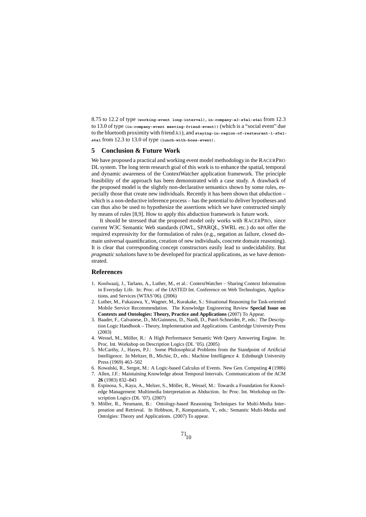8.75 to 12.2 of type **(working-event long-interval)**, **in-company-a3-s5a1-s6a1** from 12.3 to 13.0 of type **(in-company-event meeting-friend-event))** (which is a "social event" due to the bluetooth proximity with friend A3), and **staying-in-region-of-restaurant-1-s5a1 s6a1** from 12.3 to 13.0 of type **(lunch-with-boss-event)**.

#### **5 Conclusion & Future Work**

We have proposed a practical and working event model methodology in the RACERPRO DL system. The long term research goal of this work is to enhance the spatial, temporal and dynamic awareness of the ContextWatcher application framework. The principle feasibility of the approach has been demonstrated with a case study. A drawback of the proposed model is the slightly non-declarative semantics shown by some rules, especially those that create new individuals. Recently it has been shown that *abduction* – which is a non-deductive inference process – has the potential to deliver hypotheses and can thus also be used to hypothesize the assertions which we have constructed simply by means of rules [8,9]. How to apply this abduction framework is future work.

It should be stressed that the proposed model only works with RACERPRO, since current W3C Semantic Web standards (OWL, SPARQL, SWRL etc.) do not offer the required expressivity for the formulation of rules (e.g., negation as failure, closed domain universal quantification, creation of new individuals, concrete domain reasoning). It is clear that corresponding concept constructors easily lead to undecidability. But *pragmatic solutions* have to be developed for practical applications, as we have demonstrated.

#### **References**

- 1. Koolwaaij, J., Tarlano, A., Luther, M., et al.: ContextWatcher Sharing Context Information in Everyday Life. In: Proc. of the IASTED Int. Conference on Web Technologies, Applications, and Services (WTAS'06). (2006)
- 2. Luther, M., Fukazawa, Y., Wagner, M., Kurakake, S.: Situational Reasoning for Task-oriented Mobile Service Recommendation. The Knowledge Engineering Review **Special Issue on Contexts and Ontologies: Theory, Practice and Applications** (2007) To Appear.
- 3. Baader, F., Calvanese, D., McGuinness, D., Nardi, D., Patel-Schneider, P., eds.: The Description Logic Handbook – Theory, Implemenation and Applications. Cambridge University Press (2003)
- 4. Wessel, M., Möller, R.: A High Performance Semantic Web Query Answering Engine. In: Proc. Int. Workshop on Description Logics (DL '05). (2005)
- 5. McCarthy, J., Hayes, P.J.: Some Philosophical Problems from the Standpoint of Artificial Intelligence. In Meltzer, B., Michie, D., eds.: Machine Intelligence 4. Edinburgh University Press (1969) 463–502
- 6. Kowalski, R., Sergot, M.: A Logic-based Calculus of Events. New Gen. Computing **4** (1986) 7. Allen, J.F.: Maintaining Knowledge about Temporal Intervals. Communications of the ACM
	- **26** (1983) 832–843
- 8. Espinosa, S., Kaya, A., Melzer, S., Möller, R., Wessel, M.: Towards a Foundation for Knowledge Management: Multimedia Interpretation as Abduction. In: Proc. Int. Workshop on Description Logics (DL '07). (2007)
- 9. Möller, R., Neumann, B.: Ontology-based Reasoning Techniques for Multi-Media Interpreation and Retrieval. In Hobbson, P., Kompatsiaris, Y., eds.: Semantic Multi-Media and Ontolgies: Theory and Applications. (2007) To appear.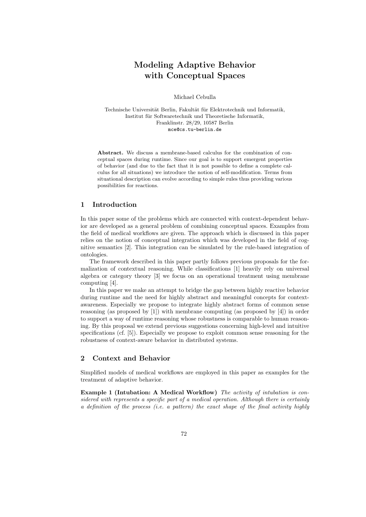# **Modeling Adaptive Behavior with Conceptual Spaces**

Michael Cebulla

Technische Universität Berlin, Fakultät für Elektrotechnik und Informatik, Institut für Softwaretechnik und Theoretische Informatik, Franklinstr. 28/29, 10587 Berlin mce@cs.tu-berlin.de

**Abstract.** We discuss a membrane-based calculus for the combination of conceptual spaces during runtime. Since our goal is to support emergent properties of behavior (and due to the fact that it is not possible to define a complete calculus for all situations) we introduce the notion of self-modification. Terms from situational description can evolve according to simple rules thus providing various possibilities for reactions.

## **1 Introduction**

In this paper some of the problems which are connected with context-dependent behavior are developed as a general problem of combining conceptual spaces. Examples from the field of medical workflows are given. The approach which is discussed in this paper relies on the notion of conceptual integration which was developed in the field of cognitive semantics [2]. This integration can be simulated by the rule-based integration of ontologies.

The framework described in this paper partly follows previous proposals for the formalization of contextual reasoning. While classifications [1] heavily rely on universal algebra or category theory [3] we focus on an operational treatment using membrane computing [4].

In this paper we make an attempt to bridge the gap between highly reactive behavior during runtime and the need for highly abstract and meaningful concepts for contextawareness. Especially we propose to integrate highly abstract forms of common sense reasoning (as proposed by [1]) with membrane computing (as proposed by [4]) in order to support a way of runtime reasoning whose robustness is comparable to human reasoning. By this proposal we extend previous suggestions concerning high-level and intuitive specifications (cf. [5]). Especially we propose to exploit common sense reasoning for the robustness of context-aware behavior in distributed systems.

# **2 Context and Behavior**

Simplified models of medical workflows are employed in this paper as examples for the treatment of adaptive behavior.

**Example 1 (Intubation: A Medical Workflow)** The activity of intubation is considered with represents a specific part of a medical operation. Although there is certainly a definition of the process (i.e. a pattern) the exact shape of the final activity highly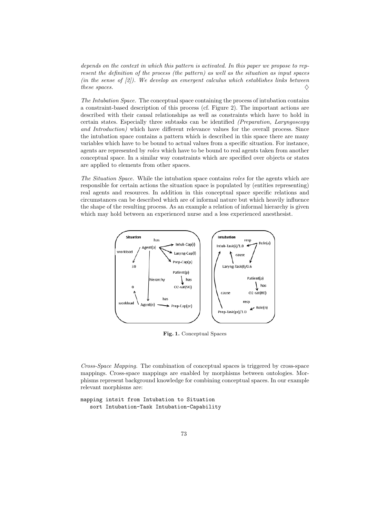depends on the context in which this pattern is activated. In this paper we propose to represent the definition of the process (the pattern) as well as the situation as input spaces (in the sense of  $(2)$ ). We develop an emergent calculus which establishes links between these spaces.  $\Diamond$ 

The Intubation Space. The conceptual space containing the process of intubation contains a constraint-based description of this process (cf. Figure 2). The important actions are described with their causal relationships as well as constraints which have to hold in certain states. Especially three subtasks can be identified (Preparation, Laryngoscopy and Introduction) which have different relevance values for the overall process. Since the intubation space contains a pattern which is described in this space there are many variables which have to be bound to actual values from a specific situation. For instance, agents are represented by roles which have to be bound to real agents taken from another conceptual space. In a similar way constraints which are specified over objects or states are applied to elements from other spaces.

The Situation Space. While the intubation space contains roles for the agents which are responsible for certain actions the situation space is populated by (entities representing) real agents and resources. In addition in this conceptual space specific relations and circumstances can be described which are of informal nature but which heavily influence the shape of the resulting process. As an example a relation of informal hierarchy is given which may hold between an experienced nurse and a less experienced anesthesist.



**Fig. 1.** Conceptual Spaces

Cross-Space Mapping. The combination of conceptual spaces is triggered by cross-space mappings. Cross-space mappings are enabled by morphisms between ontologies. Morphisms represent background knowledge for combining conceptual spaces. In our example relevant morphisms are:

```
mapping intsit from Intubation to Situation
   sort Intubation-Task Intubation-Capability
```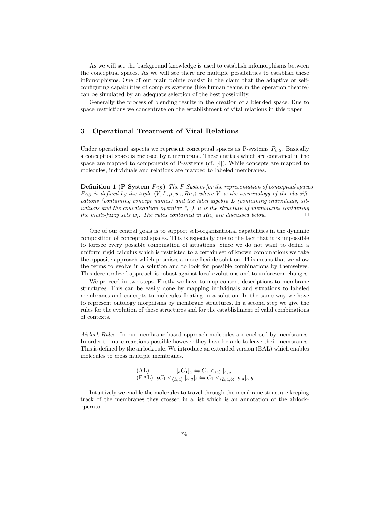As we will see the background knowledge is used to establish infomorphisms between the conceptual spaces. As we will see there are multiple possibilities to establish these infomorphisms. One of our main points consist in the claim that the adaptive or selfconfiguring capabilities of complex systems (like human teams in the operation theatre) can be simulated by an adequate selection of the best possibility.

Generally the process of blending results in the creation of a blended space. Due to space restrictions we concentrate on the establishment of vital relations in this paper.

## **3 Operational Treatment of Vital Relations**

Under operational aspects we represent conceptual spaces as  $P$ -systems  $P_{CS}$ . Basically a conceptual space is enclosed by a membrane. These entities which are contained in the space are mapped to components of P-systems (cf. [4]). While concepts are mapped to molecules, individuals and relations are mapped to labeled membranes.

**Definition 1 (P-System**  $P_{CS}$ ) The P-System for the representation of conceptual spaces  $P_{CS}$  is defined by the tuple  $\langle V, L, \mu, w_i, Rn_i \rangle$  where V is the terminology of the classifications (containing concept names) and the label algebra L (containing individuals, situations and the concatenation operator ",").  $\mu$  is the structure of membranes containing the multi-fuzzy sets w<sub>i</sub>. The rules contained in Rn<sub>i</sub> are discussed below.

One of our central goals is to support self-organizational capabilities in the dynamic composition of conceptual spaces. This is especially due to the fact that it is impossible to foresee every possible combination of situations. Since we do not want to define a uniform rigid calculus which is restricted to a certain set of known combinations we take the opposite approach which promises a more flexible solution. This means that we allow the terms to evolve in a solution and to look for possible combinations by themselves. This decentralized approach is robust against local evolutions and to unforeseen changes.

We proceed in two steps. Firstly we have to map context descriptions to membrane structures. This can be easily done by mapping individuals and situations to labeled membranes and concepts to molecules floating in a solution. In the same way we have to represent ontology morphisms by membrane structures. In a second step we give the rules for the evolution of these structures and for the establishment of valid combinations of contexts.

Airlock Rules. In our membrane-based approach molecules are enclosed by membranes. In order to make reactions possible however they have be able to leave their membranes. This is defined by the airlock rule. We introduce an extended version (EAL) which enables molecules to cross multiple membranes.

$$
\begin{array}{ll}\n\text{(AL)} & [aC_1]_a \leftrightharpoons C_1 \lhd_{\langle a \rangle} [a]_a \\
\text{(EAL)} & [bC_1 \lhd_{\langle L, a \rangle} [a]_a]_b \leftrightharpoons C_1 \lhd_{\langle L, a, b \rangle} [b]_a]_b\n\end{array}
$$

Intuitively we enable the molecules to travel through the membrane structure keeping track of the membranes they crossed in a list which is an annotation of the airlockoperator.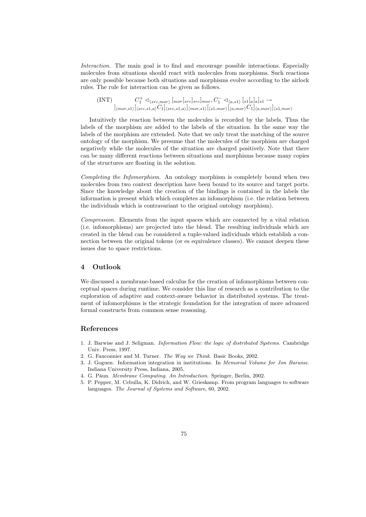Interaction. The main goal is to find and encourage possible interactions. Especially molecules from situations should react with molecules from morphisms. Such reactions are only possible because both situations and morphisms evolve according to the airlock rules. The rule for interaction can be given as follows.

(INT)  $C_1^+ \triangleleft_{\langle src, mor \rangle} [mor[src]src]_{mor}, C_1^- \triangleleft_{\langle a, s1 \rangle} [s1[a]_a]_{s1} \rightarrow$  $[\langle_{mor,s1\rangle}[\langle_{src,s1,a\rangle}C_1]\langle_{src,s1,a\rangle}]\langle_{mor,s1\rangle}[\langle_{s1,mor\rangle}[\langle_{a,mor\rangle}C_1]\langle_{a,mor\rangle}]\langle_{s1,mor\rangle}$ 

Intuitively the reaction between the molecules is recorded by the labels. Thus the labels of the morphism are added to the labels of the situation. In the same way the labels of the morphism are extended. Note that we only treat the matching of the source ontology of the morphism. We presume that the molecules of the morphism are charged negatively while the molecules of the situation are charged positively. Note that there can be many different reactions between situations and morphisms because many copies of the structures are floating in the solution.

Completing the Infomorphism. An ontology morphism is completely bound when two molecules from two context description have been bound to its source and target ports. Since the knowledge about the creation of the bindings is contained in the labels the information is present which which completes an infomorphism (i.e. the relation between the individuals which is contravariant to the original ontology morphism).

Compression. Elements from the input spaces which are connected by a vital relation (i.e. infomorphisms) are projected into the blend. The resulting individuals which are created in the blend can be considered a tuple-valued individuals which establish a connection between the original tokens (or es equivalence classes). We cannot deepen these issues due to space restrictions.

#### **4 Outlook**

We discussed a membrane-based calculus for the creation of infomorphisms between conceptual spaces during runtime. We consider this line of research as a contribution to the exploration of adaptive and context-aware behavior in distributed systems. The treatment of infomorphisms is the strategic foundation for the integration of more advanced formal constructs from common sense reasoning.

# **References**

- 1. J. Barwise and J. Seligman. Information Flow: the logic of distributed Systems. Cambridge Univ. Press, 1997.
- 2. G. Fauconnier and M. Turner. The Way we Think. Basic Books, 2002.
- 3. J. Goguen. Information integration in institutions. In Memorial Volume for Jon Barwise. Indiana University Press, Indiana, 2005.
- 4. G. Păun. Membrane Computing. An Introduction. Springer, Berlin, 2002.
- 5. P. Pepper, M. Cebulla, K. Didrich, and W. Grieskamp. From program languages to software languages. The Journal of Systems and Software, 60, 2002.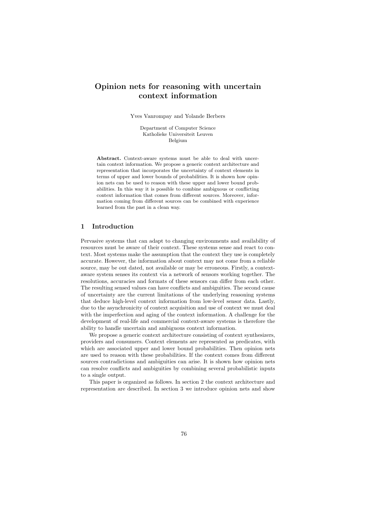# **Opinion nets for reasoning with uncertain context information**

Yves Vanrompay and Yolande Berbers

Department of Computer Science Katholieke Universiteit Leuven Belgium

**Abstract.** Context-aware systems must be able to deal with uncertain context information. We propose a generic context architecture and representation that incorporates the uncertainty of context elements in terms of upper and lower bounds of probabilities. It is shown how opinion nets can be used to reason with these upper and lower bound probabilities. In this way it is possible to combine ambiguous or conflicting context information that comes from different sources. Moreover, information coming from different sources can be combined with experience learned from the past in a clean way.

#### **1 Introduction**

Pervasive systems that can adapt to changing environments and availability of resources must be aware of their context. These systems sense and react to context. Most systems make the assumption that the context they use is completely accurate. However, the information about context may not come from a reliable source, may be out dated, not available or may be erroneous. Firstly, a contextaware system senses its context via a network of sensors working together. The resolutions, accuracies and formats of these sensors can differ from each other. The resulting sensed values can have conflicts and ambiguities. The second cause of uncertainty are the current limitations of the underlying reasoning systems that deduce high-level context information from low-level sensor data. Lastly, due to the asynchronicity of context acquisition and use of context we must deal with the imperfection and aging of the context information. A challenge for the development of real-life and commercial context-aware systems is therefore the ability to handle uncertain and ambiguous context information.

We propose a generic context architecture consisting of context synthesizers, providers and consumers. Context elements are represented as predicates, with which are associated upper and lower bound probabilities. Then opinion nets are used to reason with these probabilities. If the context comes from different sources contradictions and ambiguities can arise. It is shown how opinion nets can resolve conflicts and ambiguities by combining several probabilistic inputs to a single output.

This paper is organized as follows. In section 2 the context architecture and representation are described. In section 3 we introduce opinion nets and show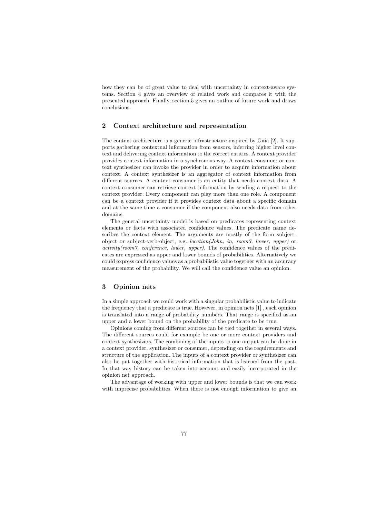how they can be of great value to deal with uncertainty in context-aware systems. Section 4 gives an overview of related work and compares it with the presented approach. Finally, section 5 gives an outline of future work and draws conclusions.

#### **2 Context architecture and representation**

The context architecture is a generic infrastructure inspired by Gaia [2]. It supports gathering contextual information from sensors, inferring higher level context and delivering context information to the correct entities. A context provider provides context information in a synchronous way. A context consumer or context synthesizer can invoke the provider in order to acquire information about context. A context synthesizer is an aggregator of context information from different sources. A context consumer is an entity that needs context data. A context consumer can retrieve context information by sending a request to the context provider. Every component can play more than one role. A component can be a context provider if it provides context data about a specific domain and at the same time a consumer if the component also needs data from other domains.

The general uncertainty model is based on predicates representing context elements or facts with associated confidence values. The predicate name describes the context element. The arguments are mostly of the form subjectobject or subject-verb-object, e.g. location(John, in, room3, lower, upper) or activity(room7, conference, lower, upper). The confidence values of the predicates are expressed as upper and lower bounds of probabilities. Alternatively we could express confidence values as a probabilistic value together with an accuracy measurement of the probability. We will call the confidence value an opinion.

#### **3 Opinion nets**

In a simple approach we could work with a singular probabilistic value to indicate the frequency that a predicate is true. However, in opinion nets [1] , each opinion is translated into a range of probability numbers. That range is specified as an upper and a lower bound on the probability of the predicate to be true.

Opinions coming from different sources can be tied together in several ways. The different sources could for example be one or more context providers and context synthesizers. The combining of the inputs to one output can be done in a context provider, synthesizer or consumer, depending on the requirements and structure of the application. The inputs of a context provider or synthesizer can also be put together with historical information that is learned from the past. In that way history can be taken into account and easily incorporated in the opinion net approach.

The advantage of working with upper and lower bounds is that we can work with imprecise probabilities. When there is not enough information to give an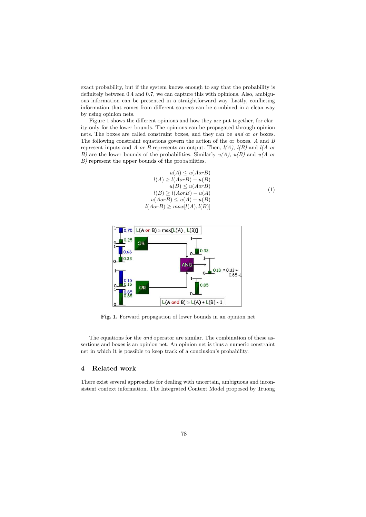exact probability, but if the system knows enough to say that the probability is definitely between 0.4 and 0.7, we can capture this with opinions. Also, ambiguous information can be presented in a straightforward way. Lastly, conflicting information that comes from different sources can be combined in a clean way by using opinion nets.

Figure 1 shows the different opinions and how they are put together, for clarity only for the lower bounds. The opinions can be propagated through opinion nets. The boxes are called constraint boxes, and they can be and or or boxes. The following constraint equations govern the action of the or boxes. A and B represent inputs and A or B represents an output. Then,  $l(A)$ ,  $l(B)$  and  $l(A)$  or B) are the lower bounds of the probabilities. Similarly  $u(A)$ ,  $u(B)$  and  $u(A)$  or B) represent the upper bounds of the probabilities.

$$
u(A) \le u(AorB)
$$
  
\n
$$
l(A) \ge l(AorB) - u(B)
$$
  
\n
$$
u(B) \le u(AorB)
$$
  
\n
$$
l(B) \ge l(AorB) - u(A)
$$
  
\n
$$
u(AorB) \le u(A) + u(B)
$$
  
\n
$$
l(AorB) \ge max[l(A), l(B)]
$$
  
\n(1)



**Fig. 1.** Forward propagation of lower bounds in an opinion net

The equations for the and operator are similar. The combination of these assertions and boxes is an opinion net. An opinion net is thus a numeric constraint net in which it is possible to keep track of a conclusion's probability.

#### **4 Related work**

There exist several approaches for dealing with uncertain, ambiguous and inconsistent context information. The Integrated Context Model proposed by Truong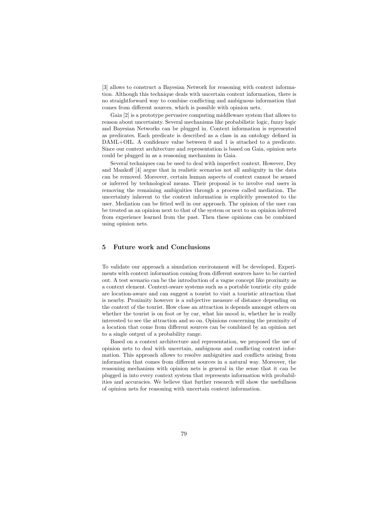[3] allows to construct a Bayesian Network for reasoning with context information. Although this technique deals with uncertain context information, there is no straightforward way to combine conflicting and ambiguous information that comes from different sources, which is possible with opinion nets.

Gaia [2] is a prototype pervasive computing middleware system that allows to reason about uncertainty. Several mechanisms like probabilistic logic, fuzzy logic and Bayesian Networks can be plugged in. Context information is represented as predicates. Each predicate is described as a class in an ontology defined in DAML+OIL. A confidence value between 0 and 1 is attached to a predicate. Since our context architecture and representation is based on Gaia, opinion nets could be plugged in as a reasoning mechanism in Gaia.

Several techniques can be used to deal with imperfect context. However, Dey and Mankoff [4] argue that in realistic scenarios not all ambiguity in the data can be removed. Moreover, certain human aspects of context cannot be sensed or inferred by technological means. Their proposal is to involve end users in removing the remaining ambiguities through a process called mediation. The uncertainty inherent to the context information is explicitly presented to the user. Mediation can be fitted well in our approach. The opinion of the user can be treated as an opinion next to that of the system or next to an opinion inferred from experience learned from the past. Then these opinions can be combined using opinion nets.

#### **5 Future work and Conclusions**

To validate our approach a simulation environment will be developed. Experiments with context information coming from different sources have to be carried out. A test scenario can be the introduction of a vague concept like proximity as a context element. Context-aware systems such as a portable touristic city guide are location-aware and can suggest a tourist to visit a touristic attraction that is nearby. Proximity however is a subjective measure of distance depending on the context of the tourist. How close an attraction is depends amongst others on whether the tourist is on foot or by car, what his mood is, whether he is really interested to see the attraction and so on. Opinions concerning the proximity of a location that come from different sources can be combined by an opinion net to a single output of a probability range.

Based on a context architecture and representation, we proposed the use of opinion nets to deal with uncertain, ambiguous and conflicting context information. This approach allows to resolve ambiguities and conflicts arising from information that comes from different sources in a natural way. Moreover, the reasoning mechanism with opinion nets is general in the sense that it can be plugged in into every context system that represents information with probabilities and accuracies. We believe that further research will show the usefullness of opinion nets for reasoning with uncertain context information.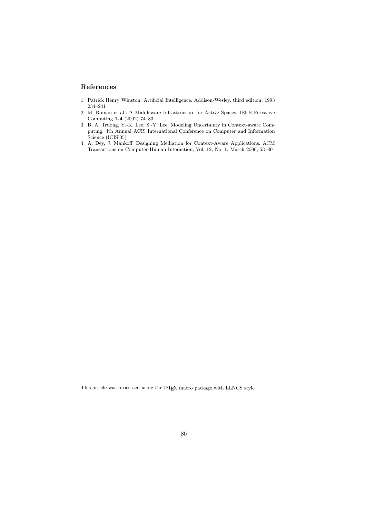# **References**

- 1. Patrick Henry Winston. Artificial Intelligence. Addison-Wesley, third edition, 1993 234–241
- 2. M. Roman et al.: A Middleware Infrastructure for Active Spaces. IEEE Pervasive Computing **1-4** (2002) 74–83
- 3. B. A. Truong, Y.-K. Lee, S.-Y. Lee: Modeling Uncertainty in Context-aware Computing. 4th Annual ACIS International Conference on Computer and Information Science (ICIS'05)
- 4. A. Dey, J. Mankoff: Designing Mediation for Context-Aware Applications. ACM Transactions on Computer-Human Interaction, Vol. 12, No. 1, March 2006, 53–80

This article was processed using the L<sup>AT</sup>EX macro package with LLNCS style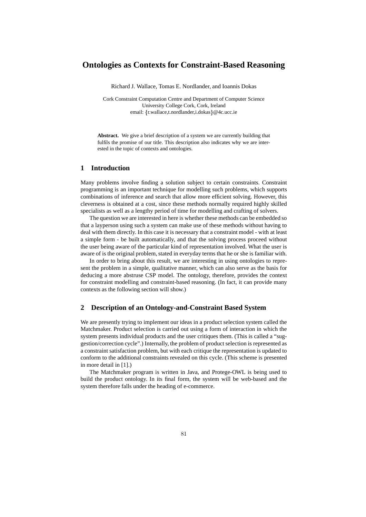# **Ontologies as Contexts for Constraint-Based Reasoning**

Richard J. Wallace, Tomas E. Nordlander, and Ioannis Dokas

Cork Constraint Computation Centre and Department of Computer Science University College Cork, Cork, Ireland email: {r.wallace,t.nordlander,i.dokas} @4c.ucc.ie

**Abstract.** We give a brief description of a system we are currently building that fulfils the promise of our title. This description also indicates why we are interested in the topic of contexts and ontologies.

# **1 Introduction**

Many problems involve finding a solution subject to certain constraints. Constraint programming is an important technique for modelling such problems, which supports combinations of inference and search that allow more efficient solving. However, this cleverness is obtained at a cost, since these methods normally required highly skilled specialists as well as a lengthy period of time for modelling and crafting of solvers.

The question we are interested in here is whether these methods can be embedded so that a layperson using such a system can make use of these methods without having to deal with them directly. In this case it is necessary that a constraint model - with at least a simple form - be built automatically, and that the solving process proceed without the user being aware of the particular kind of representation involved. What the user is aware of is the original problem, stated in everyday terms that he or she is familiar with.

In order to bring about this result, we are interesting in using ontologies to represent the problem in a simple, qualitative manner, which can also serve as the basis for deducing a more abstruse CSP model. The ontology, therefore, provides the context for constraint modelling and constraint-based reasoning. (In fact, it can provide many contexts as the following section will show.)

### **2 Description of an Ontology-and-Constraint Based System**

We are presently trying to implement our ideas in a product selection system called the Matchmaker. Product selection is carried out using a form of interaction in which the system presents individual products and the user critiques them. (This is called a "suggestion/correction cycle".) Internally, the problem of product selection is represented as a constraint satisfaction problem, but with each critique the representation is updated to conform to the additional constraints revealed on this cycle. (This scheme is presented in more detail in [1].)

The Matchmaker program is written in Java, and Protege-OWL is being used to build the product ontology. In its final form, the system will be web-based and the system therefore falls under the heading of e-commerce.